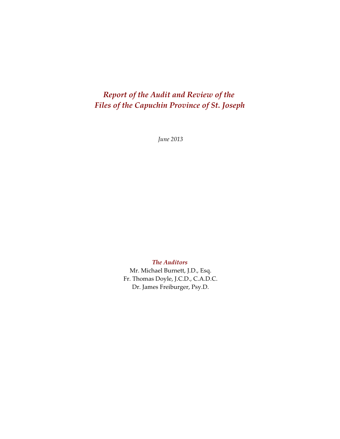# *Report of the Audit and Review of the Files of the Capuchin Province of St. Joseph*

*June 2013*

*The Auditors*

Mr. Michael Burnett, J.D., Esq. Fr. Thomas Doyle, J.C.D., C.A.D.C. Dr. James Freiburger, Psy.D.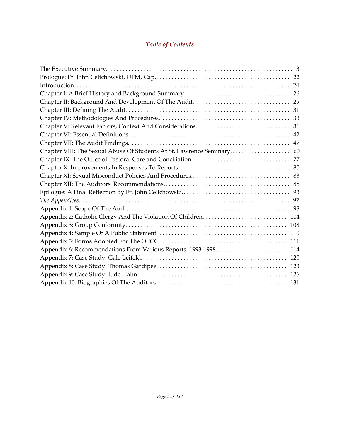# *Table of Contents*

| Appendix 6: Recommendations From Various Reports: 1993-1998 114 |
|-----------------------------------------------------------------|
|                                                                 |
|                                                                 |
|                                                                 |
|                                                                 |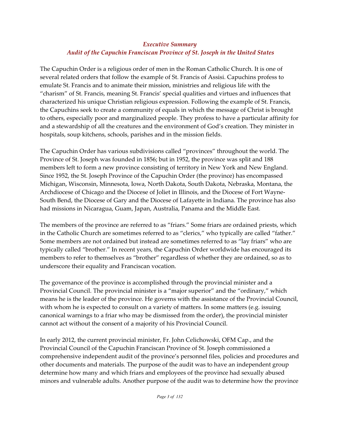# *Executive Summary Audit of the Capuchin Franciscan Province of St. Joseph in the United States*

The Capuchin Order is a religious order of men in the Roman Catholic Church. It is one of several related orders that follow the example of St. Francis of Assisi. Capuchins profess to emulate St. Francis and to animate their mission, ministries and religious life with the "charism" of St. Francis, meaning St. Francis' special qualities and virtues and influences that characterized his unique Christian religious expression. Following the example of St. Francis, the Capuchins seek to create a community of equals in which the message of Christ is brought to others, especially poor and marginalized people. They profess to have a particular affinity for and a stewardship of all the creatures and the environment of God's creation. They minister in hospitals, soup kitchens, schools, parishes and in the mission fields.

The Capuchin Order has various subdivisions called "provinces" throughout the world. The Province of St. Joseph was founded in 1856; but in 1952, the province was split and 188 members left to form a new province consisting of territory in New York and New England. Since 1952, the St. Joseph Province of the Capuchin Order (the province) has encompassed Michigan, Wisconsin, Minnesota, Iowa, North Dakota, South Dakota, Nebraska, Montana, the Archdiocese of Chicago and the Diocese of Joliet in Illinois, and the Diocese of Fort Wayne-South Bend, the Diocese of Gary and the Diocese of Lafayette in Indiana. The province has also had missions in Nicaragua, Guam, Japan, Australia, Panama and the Middle East.

The members of the province are referred to as "friars." Some friars are ordained priests, which in the Catholic Church are sometimes referred to as "clerics," who typically are called "father." Some members are not ordained but instead are sometimes referred to as "lay friars" who are typically called "brother." In recent years, the Capuchin Order worldwide has encouraged its members to refer to themselves as "brother" regardless of whether they are ordained, so as to underscore their equality and Franciscan vocation.

The governance of the province is accomplished through the provincial minister and a Provincial Council. The provincial minister is a "major superior" and the "ordinary," which means he is the leader of the province. He governs with the assistance of the Provincial Council, with whom he is expected to consult on a variety of matters. In some matters (e.g. issuing canonical warnings to a friar who may be dismissed from the order), the provincial minister cannot act without the consent of a majority of his Provincial Council.

In early 2012, the current provincial minister, Fr. John Celichowski, OFM Cap., and the Provincial Council of the Capuchin Franciscan Province of St. Joseph commissioned a comprehensive independent audit of the province's personnel files, policies and procedures and other documents and materials. The purpose of the audit was to have an independent group determine how many and which friars and employees of the province had sexually abused minors and vulnerable adults. Another purpose of the audit was to determine how the province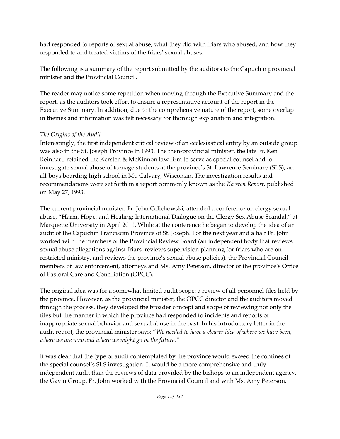had responded to reports of sexual abuse, what they did with friars who abused, and how they responded to and treated victims of the friars' sexual abuses.

The following is a summary of the report submitted by the auditors to the Capuchin provincial minister and the Provincial Council.

The reader may notice some repetition when moving through the Executive Summary and the report, as the auditors took effort to ensure a representative account of the report in the Executive Summary. In addition, due to the comprehensive nature of the report, some overlap in themes and information was felt necessary for thorough explanation and integration.

## *The Origins of the Audit*

Interestingly, the first independent critical review of an ecclesiastical entity by an outside group was also in the St. Joseph Province in 1993. The then-provincial minister, the late Fr. Ken Reinhart, retained the Kersten & McKinnon law firm to serve as special counsel and to investigate sexual abuse of teenage students at the province's St. Lawrence Seminary (SLS), an all-boys boarding high school in Mt. Calvary, Wisconsin. The investigation results and recommendations were set forth in a report commonly known as the *Kersten Report*, published on May 27, 1993.

The current provincial minister, Fr. John Celichowski, attended a conference on clergy sexual abuse, "Harm, Hope, and Healing: International Dialogue on the Clergy Sex Abuse Scandal," at Marquette University in April 2011. While at the conference he began to develop the idea of an audit of the Capuchin Franciscan Province of St. Joseph. For the next year and a half Fr. John worked with the members of the Provincial Review Board (an independent body that reviews sexual abuse allegations against friars, reviews supervision planning for friars who are on restricted ministry, and reviews the province's sexual abuse policies), the Provincial Council, members of law enforcement, attorneys and Ms. Amy Peterson, director of the province's Office of Pastoral Care and Conciliation (OPCC).

The original idea was for a somewhat limited audit scope: a review of all personnel files held by the province. However, as the provincial minister, the OPCC director and the auditors moved through the process, they developed the broader concept and scope of reviewing not only the files but the manner in which the province had responded to incidents and reports of inappropriate sexual behavior and sexual abuse in the past. In his introductory letter in the audit report, the provincial minister says: "*We needed to have a clearer idea of where we have been, where we are now and where we might go in the future."*

It was clear that the type of audit contemplated by the province would exceed the confines of the special counsel's SLS investigation. It would be a more comprehensive and truly independent audit than the reviews of data provided by the bishops to an independent agency, the Gavin Group. Fr. John worked with the Provincial Council and with Ms. Amy Peterson,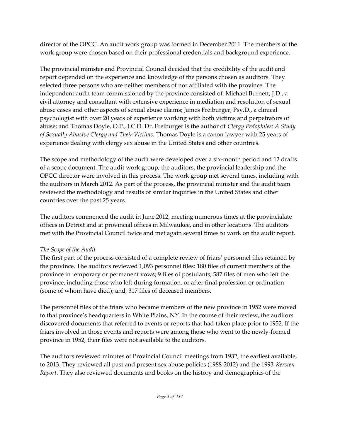director of the OPCC. An audit work group was formed in December 2011. The members of the work group were chosen based on their professional credentials and background experience.

The provincial minister and Provincial Council decided that the credibility of the audit and report depended on the experience and knowledge of the persons chosen as auditors. They selected three persons who are neither members of nor affiliated with the province. The independent audit team commissioned by the province consisted of: Michael Burnett, J.D., a civil attorney and consultant with extensive experience in mediation and resolution of sexual abuse cases and other aspects of sexual abuse claims; James Freiburger, Psy.D., a clinical psychologist with over 20 years of experience working with both victims and perpetrators of abuse; and Thomas Doyle, O.P., J.C.D. Dr. Freiburger is the author of *Clergy Pedophiles: A Study of Sexually Abusive Clergy and Their Victims.* Thomas Doyle is a canon lawyer with 25 years of experience dealing with clergy sex abuse in the United States and other countries.

The scope and methodology of the audit were developed over a six-month period and 12 drafts of a scope document. The audit work group, the auditors, the provincial leadership and the OPCC director were involved in this process. The work group met several times, including with the auditors in March 2012. As part of the process, the provincial minister and the audit team reviewed the methodology and results of similar inquiries in the United States and other countries over the past 25 years.

The auditors commenced the audit in June 2012, meeting numerous times at the provincialate offices in Detroit and at provincial offices in Milwaukee, and in other locations. The auditors met with the Provincial Council twice and met again several times to work on the audit report.

## *The Scope of the Audit*

The first part of the process consisted of a complete review of friars' personnel files retained by the province. The auditors reviewed 1,093 personnel files: 180 files of current members of the province in temporary or permanent vows; 9 files of postulants; 587 files of men who left the province, including those who left during formation, or after final profession or ordination (some of whom have died); and, 317 files of deceased members.

The personnel files of the friars who became members of the new province in 1952 were moved to that province's headquarters in White Plains, NY. In the course of their review, the auditors discovered documents that referred to events or reports that had taken place prior to 1952. If the friars involved in those events and reports were among those who went to the newly-formed province in 1952, their files were not available to the auditors.

The auditors reviewed minutes of Provincial Council meetings from 1932, the earliest available, to 2013. They reviewed all past and present sex abuse policies (1988-2012) and the 1993 *Kersten Report*. They also reviewed documents and books on the history and demographics of the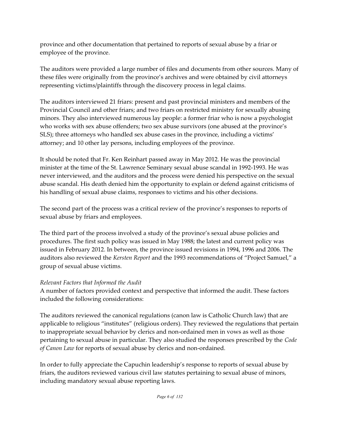province and other documentation that pertained to reports of sexual abuse by a friar or employee of the province.

The auditors were provided a large number of files and documents from other sources. Many of these files were originally from the province's archives and were obtained by civil attorneys representing victims/plaintiffs through the discovery process in legal claims.

The auditors interviewed 21 friars: present and past provincial ministers and members of the Provincial Council and other friars; and two friars on restricted ministry for sexually abusing minors. They also interviewed numerous lay people: a former friar who is now a psychologist who works with sex abuse offenders; two sex abuse survivors (one abused at the province's SLS); three attorneys who handled sex abuse cases in the province, including a victims' attorney; and 10 other lay persons, including employees of the province.

It should be noted that Fr. Ken Reinhart passed away in May 2012. He was the provincial minister at the time of the St. Lawrence Seminary sexual abuse scandal in 1992-1993. He was never interviewed, and the auditors and the process were denied his perspective on the sexual abuse scandal. His death denied him the opportunity to explain or defend against criticisms of his handling of sexual abuse claims, responses to victims and his other decisions.

The second part of the process was a critical review of the province's responses to reports of sexual abuse by friars and employees.

The third part of the process involved a study of the province's sexual abuse policies and procedures. The first such policy was issued in May 1988; the latest and current policy was issued in February 2012. In between, the province issued revisions in 1994, 1996 and 2006. The auditors also reviewed the *Kersten Report* and the 1993 recommendations of "Project Samuel," a group of sexual abuse victims.

## *Relevant Factors that Informed the Audit*

A number of factors provided context and perspective that informed the audit. These factors included the following considerations:

The auditors reviewed the canonical regulations (canon law is Catholic Church law) that are applicable to religious "institutes" (religious orders). They reviewed the regulations that pertain to inappropriate sexual behavior by clerics and non-ordained men in vows as well as those pertaining to sexual abuse in particular. They also studied the responses prescribed by the *Code of Canon Law* for reports of sexual abuse by clerics and non-ordained.

In order to fully appreciate the Capuchin leadership's response to reports of sexual abuse by friars, the auditors reviewed various civil law statutes pertaining to sexual abuse of minors, including mandatory sexual abuse reporting laws.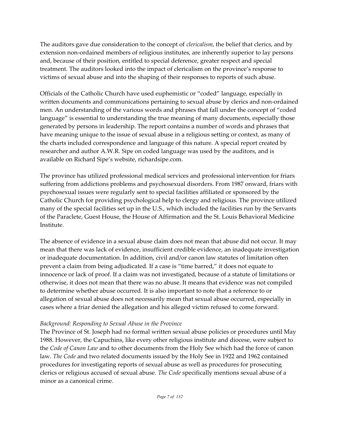The auditors gave due consideration to the concept of *clericalism*, the belief that clerics, and by extension non-ordained members of religious institutes, are inherently superior to lay persons and, because of their position, entitled to special deference, greater respect and special treatment. The auditors looked into the impact of clericalism on the province's response to victims of sexual abuse and into the shaping of their responses to reports of such abuse.

Officials of the Catholic Church have used euphemistic or "coded" language, especially in written documents and communications pertaining to sexual abuse by clerics and non-ordained men. An understanding of the various words and phrases that fall under the concept of "coded language" is essential to understanding the true meaning of many documents, especially those generated by persons in leadership. The report contains a number of words and phrases that have meaning unique to the issue of sexual abuse in a religious setting or context, as many of the charts included correspondence and language of this nature. A special report created by researcher and author A.W.R. Sipe on coded language was used by the auditors, and is available on Richard Sipe's website, richardsipe.com.

The province has utilized professional medical services and professional intervention for friars suffering from addictions problems and psychosexual disorders. From 1987 onward, friars with psychosexual issues were regularly sent to special facilities affiliated or sponsored by the Catholic Church for providing psychological help to clergy and religious. The province utilized many of the special facilities set up in the U.S., which included the facilities run by the Servants of the Paraclete, Guest House, the House of Affirmation and the St. Louis Behavioral Medicine Institute.

The absence of evidence in a sexual abuse claim does not mean that abuse did not occur. It may mean that there was lack of evidence, insufficient credible evidence, an inadequate investigation or inadequate documentation. In addition, civil and/or canon law statutes of limitation often prevent a claim from being adjudicated. If a case is "time barred," it does not equate to innocence or lack of proof. If a claim was not investigated, because of a statute of limitations or otherwise, it does not mean that there was no abuse. It means that evidence was not compiled to determine whether abuse occurred. It is also important to note that a reference to or allegation of sexual abuse does not necessarily mean that sexual abuse occurred, especially in cases where a friar denied the allegation and his alleged victim refused to come forward.

#### *Background: Responding to Sexual Abuse in the Province*

The Province of St. Joseph had no formal written sexual abuse policies or procedures until May 1988. However, the Capuchins, like every other religious institute and diocese, were subject to the *Code of Canon Law* and to other documents from the Holy See which had the force of canon law. *The Code* and two related documents issued by the Holy See in 1922 and 1962 contained procedures for investigating reports of sexual abuse as well as procedures for prosecuting clerics or religious accused of sexual abuse. *The Code* specifically mentions sexual abuse of a minor as a canonical crime.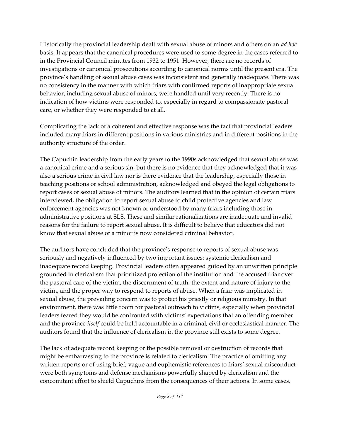Historically the provincial leadership dealt with sexual abuse of minors and others on an *ad hoc* basis. It appears that the canonical procedures were used to some degree in the cases referred to in the Provincial Council minutes from 1932 to 1951. However, there are no records of investigations or canonical prosecutions according to canonical norms until the present era. The province's handling of sexual abuse cases was inconsistent and generally inadequate. There was no consistency in the manner with which friars with confirmed reports of inappropriate sexual behavior, including sexual abuse of minors, were handled until very recently. There is no indication of how victims were responded to, especially in regard to compassionate pastoral care, or whether they were responded to at all.

Complicating the lack of a coherent and effective response was the fact that provincial leaders included many friars in different positions in various ministries and in different positions in the authority structure of the order.

The Capuchin leadership from the early years to the 1990s acknowledged that sexual abuse was a canonical crime and a serious sin, but there is no evidence that they acknowledged that it was also a serious crime in civil law nor is there evidence that the leadership, especially those in teaching positions or school administration, acknowledged and obeyed the legal obligations to report cases of sexual abuse of minors. The auditors learned that in the opinion of certain friars interviewed, the obligation to report sexual abuse to child protective agencies and law enforcement agencies was not known or understood by many friars including those in administrative positions at SLS. These and similar rationalizations are inadequate and invalid reasons for the failure to report sexual abuse. It is difficult to believe that educators did not know that sexual abuse of a minor is now considered criminal behavior.

The auditors have concluded that the province's response to reports of sexual abuse was seriously and negatively influenced by two important issues: systemic clericalism and inadequate record keeping. Provincial leaders often appeared guided by an unwritten principle grounded in clericalism that prioritized protection of the institution and the accused friar over the pastoral care of the victim, the discernment of truth, the extent and nature of injury to the victim, and the proper way to respond to reports of abuse. When a friar was implicated in sexual abuse, the prevailing concern was to protect his priestly or religious ministry. In that environment, there was little room for pastoral outreach to victims, especially when provincial leaders feared they would be confronted with victims' expectations that an offending member and the province *itself* could be held accountable in a criminal, civil or ecclesiastical manner. The auditors found that the influence of clericalism in the province still exists to some degree.

The lack of adequate record keeping or the possible removal or destruction of records that might be embarrassing to the province is related to clericalism. The practice of omitting any written reports or of using brief, vague and euphemistic references to friars' sexual misconduct were both symptoms and defense mechanisms powerfully shaped by clericalism and the concomitant effort to shield Capuchins from the consequences of their actions. In some cases,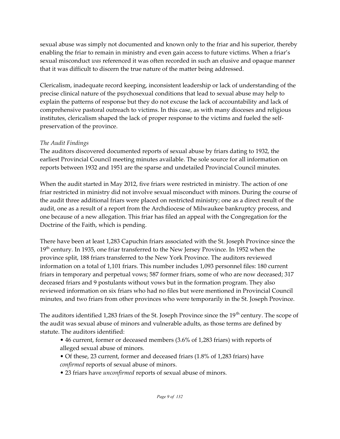sexual abuse was simply not documented and known only to the friar and his superior, thereby enabling the friar to remain in ministry and even gain access to future victims. When a friar's sexual misconduct *was* referenced it was often recorded in such an elusive and opaque manner that it was difficult to discern the true nature of the matter being addressed.

Clericalism, inadequate record keeping, inconsistent leadership or lack of understanding of the precise clinical nature of the psychosexual conditions that lead to sexual abuse may help to explain the patterns of response but they do not excuse the lack of accountability and lack of comprehensive pastoral outreach to victims. In this case, as with many dioceses and religious institutes, clericalism shaped the lack of proper response to the victims and fueled the selfpreservation of the province.

#### *The Audit Findings*

The auditors discovered documented reports of sexual abuse by friars dating to 1932, the earliest Provincial Council meeting minutes available. The sole source for all information on reports between 1932 and 1951 are the sparse and undetailed Provincial Council minutes.

When the audit started in May 2012, five friars were restricted in ministry. The action of one friar restricted in ministry did not involve sexual misconduct with minors. During the course of the audit three additional friars were placed on restricted ministry; one as a direct result of the audit, one as a result of a report from the Archdiocese of Milwaukee bankruptcy process, and one because of a new allegation. This friar has filed an appeal with the Congregation for the Doctrine of the Faith, which is pending.

There have been at least 1,283 Capuchin friars associated with the St. Joseph Province since the 19<sup>th</sup> century. In 1935, one friar transferred to the New Jersey Province. In 1952 when the province split, 188 friars transferred to the New York Province. The auditors reviewed information on a total of 1,101 friars. This number includes 1,093 personnel files: 180 current friars in temporary and perpetual vows; 587 former friars, some of who are now deceased; 317 deceased friars and 9 postulants without vows but in the formation program. They also reviewed information on six friars who had no files but were mentioned in Provincial Council minutes, and two friars from other provinces who were temporarily in the St. Joseph Province.

The auditors identified 1,283 friars of the St. Joseph Province since the 19<sup>th</sup> century. The scope of the audit was sexual abuse of minors and vulnerable adults, as those terms are defined by statute. The auditors identified:

• 46 current, former or deceased members (3.6% of 1,283 friars) with reports of alleged sexual abuse of minors.

• Of these, 23 current, former and deceased friars (1.8% of 1,283 friars) have *confirmed* reports of sexual abuse of minors.

• 23 friars have *unconfirmed* reports of sexual abuse of minors.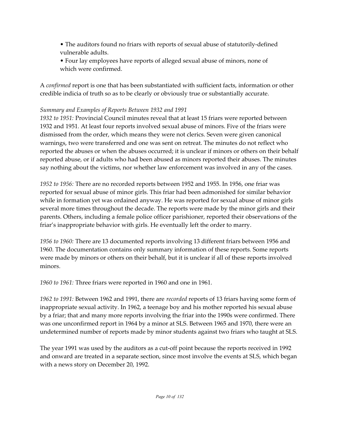- The auditors found no friars with reports of sexual abuse of statutorily-defined vulnerable adults.
- Four lay employees have reports of alleged sexual abuse of minors, none of which were confirmed.

A *confirmed* report is one that has been substantiated with sufficient facts, information or other credible indicia of truth so as to be clearly or obviously true or substantially accurate.

# *Summary and Examples of Reports Between 1932 and 1991*

*1932 to 1951:* Provincial Council minutes reveal that at least 15 friars were reported between 1932 and 1951. At least four reports involved sexual abuse of minors. Five of the friars were dismissed from the order, which means they were not clerics. Seven were given canonical warnings, two were transferred and one was sent on retreat. The minutes do not reflect who reported the abuses or when the abuses occurred; it is unclear if minors or others on their behalf reported abuse, or if adults who had been abused as minors reported their abuses. The minutes say nothing about the victims, nor whether law enforcement was involved in any of the cases.

*1952 to 1956:* There are no recorded reports between 1952 and 1955. In 1956, one friar was reported for sexual abuse of minor girls. This friar had been admonished for similar behavior while in formation yet was ordained anyway. He was reported for sexual abuse of minor girls several more times throughout the decade. The reports were made by the minor girls and their parents. Others, including a female police officer parishioner, reported their observations of the friar's inappropriate behavior with girls. He eventually left the order to marry.

*1956 to 1960:* There are 13 documented reports involving 13 different friars between 1956 and 1960. The documentation contains only summary information of these reports. Some reports were made by minors or others on their behalf, but it is unclear if all of these reports involved minors.

*1960 to 1961:* Three friars were reported in 1960 and one in 1961.

*1962 to 1991:* Between 1962 and 1991, there are *recorded* reports of 13 friars having some form of inappropriate sexual activity. In 1962, a teenage boy and his mother reported his sexual abuse by a friar; that and many more reports involving the friar into the 1990s were confirmed. There was one unconfirmed report in 1964 by a minor at SLS. Between 1965 and 1970, there were an undetermined number of reports made by minor students against two friars who taught at SLS.

The year 1991 was used by the auditors as a cut-off point because the reports received in 1992 and onward are treated in a separate section, since most involve the events at SLS, which began with a news story on December 20, 1992.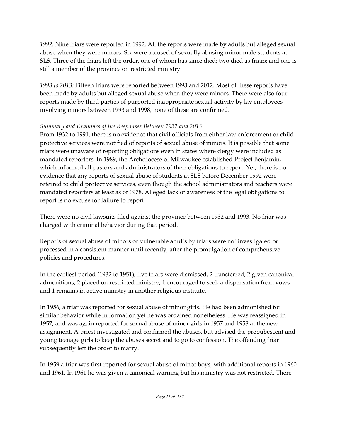*1992:* Nine friars were reported in 1992. All the reports were made by adults but alleged sexual abuse when they were minors. Six were accused of sexually abusing minor male students at SLS. Three of the friars left the order, one of whom has since died; two died as friars; and one is still a member of the province on restricted ministry.

*1993 to 2013:* Fifteen friars were reported between 1993 and 2012. Most of these reports have been made by adults but alleged sexual abuse when they were minors. There were also four reports made by third parties of purported inappropriate sexual activity by lay employees involving minors between 1993 and 1998, none of these are confirmed.

# *Summary and Examples of the Responses Between 1932 and 2013*

From 1932 to 1991, there is no evidence that civil officials from either law enforcement or child protective services were notified of reports of sexual abuse of minors. It is possible that some friars were unaware of reporting obligations even in states where clergy were included as mandated reporters. In 1989, the Archdiocese of Milwaukee established Project Benjamin, which informed all pastors and administrators of their obligations to report. Yet, there is no evidence that any reports of sexual abuse of students at SLS before December 1992 were referred to child protective services, even though the school administrators and teachers were mandated reporters at least as of 1978. Alleged lack of awareness of the legal obligations to report is no excuse for failure to report.

There were no civil lawsuits filed against the province between 1932 and 1993. No friar was charged with criminal behavior during that period.

Reports of sexual abuse of minors or vulnerable adults by friars were not investigated or processed in a consistent manner until recently, after the promulgation of comprehensive policies and procedures.

In the earliest period (1932 to 1951), five friars were dismissed, 2 transferred, 2 given canonical admonitions, 2 placed on restricted ministry, 1 encouraged to seek a dispensation from vows and 1 remains in active ministry in another religious institute.

In 1956, a friar was reported for sexual abuse of minor girls. He had been admonished for similar behavior while in formation yet he was ordained nonetheless. He was reassigned in 1957, and was again reported for sexual abuse of minor girls in 1957 and 1958 at the new assignment. A priest investigated and confirmed the abuses, but advised the prepubescent and young teenage girls to keep the abuses secret and to go to confession. The offending friar subsequently left the order to marry.

In 1959 a friar was first reported for sexual abuse of minor boys, with additional reports in 1960 and 1961. In 1961 he was given a canonical warning but his ministry was not restricted. There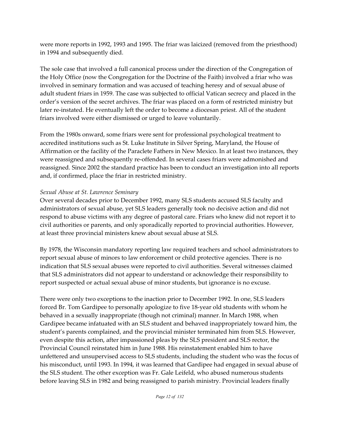were more reports in 1992, 1993 and 1995. The friar was laicized (removed from the priesthood) in 1994 and subsequently died.

The sole case that involved a full canonical process under the direction of the Congregation of the Holy Office (now the Congregation for the Doctrine of the Faith) involved a friar who was involved in seminary formation and was accused of teaching heresy and of sexual abuse of adult student friars in 1959. The case was subjected to official Vatican secrecy and placed in the order's version of the secret archives. The friar was placed on a form of restricted ministry but later re-instated. He eventually left the order to become a diocesan priest. All of the student friars involved were either dismissed or urged to leave voluntarily.

From the 1980s onward, some friars were sent for professional psychological treatment to accredited institutions such as St. Luke Institute in Silver Spring, Maryland, the House of Affirmation or the facility of the Paraclete Fathers in New Mexico. In at least two instances, they were reassigned and subsequently re-offended. In several cases friars were admonished and reassigned. Since 2002 the standard practice has been to conduct an investigation into all reports and, if confirmed, place the friar in restricted ministry.

#### *Sexual Abuse at St. Lawrence Seminary*

Over several decades prior to December 1992, many SLS students accused SLS faculty and administrators of sexual abuse, yet SLS leaders generally took no decisive action and did not respond to abuse victims with any degree of pastoral care. Friars who knew did not report it to civil authorities or parents, and only sporadically reported to provincial authorities. However, at least three provincial ministers knew about sexual abuse at SLS.

By 1978, the Wisconsin mandatory reporting law required teachers and school administrators to report sexual abuse of minors to law enforcement or child protective agencies. There is no indication that SLS sexual abuses were reported to civil authorities. Several witnesses claimed that SLS administrators did not appear to understand or acknowledge their responsibility to report suspected or actual sexual abuse of minor students, but ignorance is no excuse.

There were only two exceptions to the inaction prior to December 1992. In one, SLS leaders forced Br. Tom Gardipee to personally apologize to five 18-year old students with whom he behaved in a sexually inappropriate (though not criminal) manner. In March 1988, when Gardipee became infatuated with an SLS student and behaved inappropriately toward him, the student's parents complained, and the provincial minister terminated him from SLS. However, even despite this action, after impassioned pleas by the SLS president and SLS rector, the Provincial Council reinstated him in June 1988. His reinstatement enabled him to have unfettered and unsupervised access to SLS students, including the student who was the focus of his misconduct, until 1993. In 1994, it was learned that Gardipee had engaged in sexual abuse of the SLS student. The other exception was Fr. Gale Leifeld, who abused numerous students before leaving SLS in 1982 and being reassigned to parish ministry. Provincial leaders finally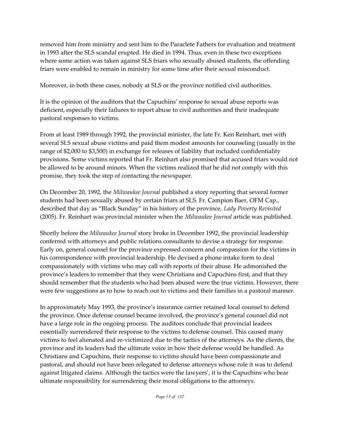removed him from ministry and sent him to the Paraclete Fathers for evaluation and treatment in 1993 after the SLS scandal erupted. He died in 1994. Thus, even in these two exceptions where some action was taken against SLS friars who sexually abused students, the offending friars were enabled to remain in ministry for some time after their sexual misconduct.

Moreover, in both these cases, nobody at SLS or the province notified civil authorities.

It is the opinion of the auditors that the Capuchins' response to sexual abuse reports was deficient, especially their failures to report abuse to civil authorities and their inadequate pastoral responses to victims.

From at least 1989 through 1992, the provincial minister, the late Fr. Ken Reinhart, met with several SLS sexual abuse victims and paid them modest amounts for counseling (usually in the range of \$2,000 to \$3,500) in exchange for releases of liability that included confidentiality provisions. Some victims reported that Fr. Reinhart also promised that accused friars would not be allowed to be around minors. When the victims realized that he did not comply with this promise, they took the step of contacting the newspaper.

On December 20, 1992, the *Milwaukee Journal* published a story reporting that several former students had been sexually abused by certain friars at SLS. Fr. Campion Baer, OFM Cap., described that day as "Black Sunday" in his history of the province, *Lady Poverty Revisited* (2005). Fr. Reinhart was provincial minister when the *Milwaukee Journal* article was published.

Shortly before the *Milwaukee Journal* story broke in December 1992, the provincial leadership conferred with attorneys and public relations consultants to devise a strategy for response. Early on, general counsel for the province expressed concern and compassion for the victims in his correspondence with provincial leadership. He devised a phone intake form to deal compassionately with victims who may call with reports of their abuse. He admonished the province's leaders to remember that they were Christians and Capuchins first, and that they should remember that the students who had been abused were the true victims. However, there were few suggestions as to how to reach out to victims and their families in a pastoral manner.

In approximately May 1993, the province's insurance carrier retained local counsel to defend the province. Once defense counsel became involved, the province's general counsel did not have a large role in the ongoing process. The auditors conclude that provincial leaders essentially surrendered their response to the victims to defense counsel. This caused many victims to feel alienated and re-victimized due to the tactics of the attorneys. As the clients, the province and its leaders had the ultimate voice in how their defense would be handled. As Christians and Capuchins, their response to victims should have been compassionate and pastoral, and should not have been relegated to defense attorneys whose role it was to defend against litigated claims. Although the tactics were the lawyers', it is the Capuchins who bear ultimate responsibility for surrendering their moral obligations to the attorneys.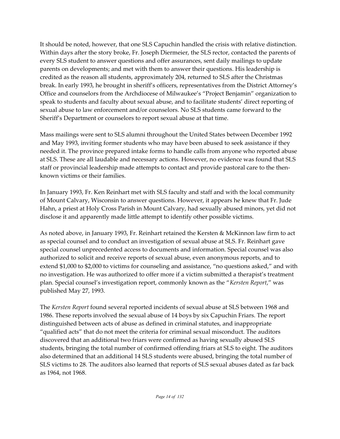It should be noted, however, that one SLS Capuchin handled the crisis with relative distinction. Within days after the story broke, Fr. Joseph Diermeier, the SLS rector, contacted the parents of every SLS student to answer questions and offer assurances, sent daily mailings to update parents on developments; and met with them to answer their questions. His leadership is credited as the reason all students, approximately 204, returned to SLS after the Christmas break. In early 1993, he brought in sheriff's officers, representatives from the District Attorney's Office and counselors from the Archdiocese of Milwaukee's "Project Benjamin" organization to speak to students and faculty about sexual abuse, and to facilitate students' direct reporting of sexual abuse to law enforcement and/or counselors. No SLS students came forward to the Sheriff's Department or counselors to report sexual abuse at that time.

Mass mailings were sent to SLS alumni throughout the United States between December 1992 and May 1993, inviting former students who may have been abused to seek assistance if they needed it. The province prepared intake forms to handle calls from anyone who reported abuse at SLS. These are all laudable and necessary actions. However, no evidence was found that SLS staff or provincial leadership made attempts to contact and provide pastoral care to the thenknown victims or their families.

In January 1993, Fr. Ken Reinhart met with SLS faculty and staff and with the local community of Mount Calvary, Wisconsin to answer questions. However, it appears he knew that Fr. Jude Hahn, a priest at Holy Cross Parish in Mount Calvary, had sexually abused minors, yet did not disclose it and apparently made little attempt to identify other possible victims.

As noted above, in January 1993, Fr. Reinhart retained the Kersten & McKinnon law firm to act as special counsel and to conduct an investigation of sexual abuse at SLS. Fr. Reinhart gave special counsel unprecedented access to documents and information. Special counsel was also authorized to solicit and receive reports of sexual abuse, even anonymous reports, and to extend \$1,000 to \$2,000 to victims for counseling and assistance, "no questions asked," and with no investigation. He was authorized to offer more if a victim submitted a therapist's treatment plan. Special counsel's investigation report, commonly known as the "*Kersten Report*," was published May 27, 1993.

The *Kersten Report* found several reported incidents of sexual abuse at SLS between 1968 and 1986. These reports involved the sexual abuse of 14 boys by six Capuchin Friars. The report distinguished between acts of abuse as defined in criminal statutes, and inappropriate "qualified acts" that do not meet the criteria for criminal sexual misconduct. The auditors discovered that an additional two friars were confirmed as having sexually abused SLS students, bringing the total number of confirmed offending friars at SLS to eight. The auditors also determined that an additional 14 SLS students were abused, bringing the total number of SLS victims to 28. The auditors also learned that reports of SLS sexual abuses dated as far back as 1964, not 1968.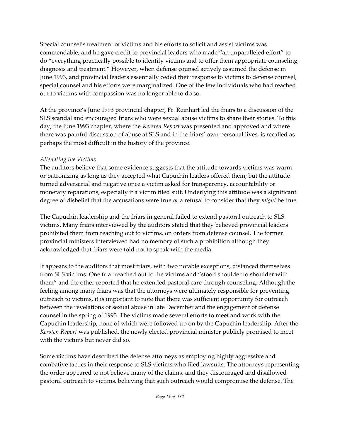Special counsel's treatment of victims and his efforts to solicit and assist victims was commendable, and he gave credit to provincial leaders who made "an unparalleled effort" to do "everything practically possible to identify victims and to offer them appropriate counseling, diagnosis and treatment." However, when defense counsel actively assumed the defense in June 1993, and provincial leaders essentially ceded their response to victims to defense counsel, special counsel and his efforts were marginalized. One of the few individuals who had reached out to victims with compassion was no longer able to do so.

At the province's June 1993 provincial chapter, Fr. Reinhart led the friars to a discussion of the SLS scandal and encouraged friars who were sexual abuse victims to share their stories. To this day, the June 1993 chapter, where the *Kersten Report* was presented and approved and where there was painful discussion of abuse at SLS and in the friars' own personal lives, is recalled as perhaps the most difficult in the history of the province.

#### *Alienating the Victims*

The auditors believe that some evidence suggests that the attitude towards victims was warm or patronizing as long as they accepted what Capuchin leaders offered them; but the attitude turned adversarial and negative once a victim asked for transparency, accountability or monetary reparations, especially if a victim filed suit. Underlying this attitude was a significant degree of disbelief that the accusations were true *or* a refusal to consider that they *might* be true.

The Capuchin leadership and the friars in general failed to extend pastoral outreach to SLS victims. Many friars interviewed by the auditors stated that they believed provincial leaders prohibited them from reaching out to victims, on orders from defense counsel. The former provincial ministers interviewed had no memory of such a prohibition although they acknowledged that friars were told not to speak with the media.

It appears to the auditors that most friars, with two notable exceptions, distanced themselves from SLS victims. One friar reached out to the victims and "stood shoulder to shoulder with them" and the other reported that he extended pastoral care through counseling. Although the feeling among many friars was that the attorneys were ultimately responsible for preventing outreach to victims, it is important to note that there was sufficient opportunity for outreach between the revelations of sexual abuse in late December and the engagement of defense counsel in the spring of 1993. The victims made several efforts to meet and work with the Capuchin leadership, none of which were followed up on by the Capuchin leadership. After the *Kersten Report* was published, the newly elected provincial minister publicly promised to meet with the victims but never did so.

Some victims have described the defense attorneys as employing highly aggressive and combative tactics in their response to SLS victims who filed lawsuits. The attorneys representing the order appeared to not believe many of the claims, and they discouraged and disallowed pastoral outreach to victims, believing that such outreach would compromise the defense. The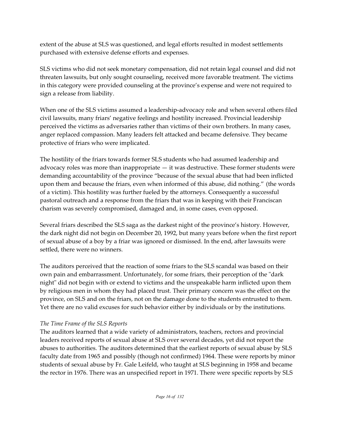extent of the abuse at SLS was questioned, and legal efforts resulted in modest settlements purchased with extensive defense efforts and expenses.

SLS victims who did not seek monetary compensation, did not retain legal counsel and did not threaten lawsuits, but only sought counseling, received more favorable treatment. The victims in this category were provided counseling at the province's expense and were not required to sign a release from liability.

When one of the SLS victims assumed a leadership-advocacy role and when several others filed civil lawsuits, many friars' negative feelings and hostility increased. Provincial leadership perceived the victims as adversaries rather than victims of their own brothers. In many cases, anger replaced compassion. Many leaders felt attacked and became defensive. They became protective of friars who were implicated.

The hostility of the friars towards former SLS students who had assumed leadership and advocacy roles was more than inappropriate — it was destructive. These former students were demanding accountability of the province "because of the sexual abuse that had been inflicted upon them and because the friars, even when informed of this abuse, did nothing." (the words of a victim). This hostility was further fueled by the attorneys. Consequently a successful pastoral outreach and a response from the friars that was in keeping with their Franciscan charism was severely compromised, damaged and, in some cases, even opposed.

Several friars described the SLS saga as the darkest night of the province's history. However, the dark night did not begin on December 20, 1992, but many years before when the first report of sexual abuse of a boy by a friar was ignored or dismissed. In the end, after lawsuits were settled, there were no winners.

The auditors perceived that the reaction of some friars to the SLS scandal was based on their own pain and embarrassment. Unfortunately, for some friars, their perception of the "dark night" did not begin with or extend to victims and the unspeakable harm inflicted upon them by religious men in whom they had placed trust. Their primary concern was the effect on the province, on SLS and on the friars, not on the damage done to the students entrusted to them. Yet there are no valid excuses for such behavior either by individuals or by the institutions.

## *The Time Frame of the SLS Reports*

The auditors learned that a wide variety of administrators, teachers, rectors and provincial leaders received reports of sexual abuse at SLS over several decades, yet did not report the abuses to authorities. The auditors determined that the earliest reports of sexual abuse by SLS faculty date from 1965 and possibly (though not confirmed) 1964. These were reports by minor students of sexual abuse by Fr. Gale Leifeld, who taught at SLS beginning in 1958 and became the rector in 1976. There was an unspecified report in 1971. There were specific reports by SLS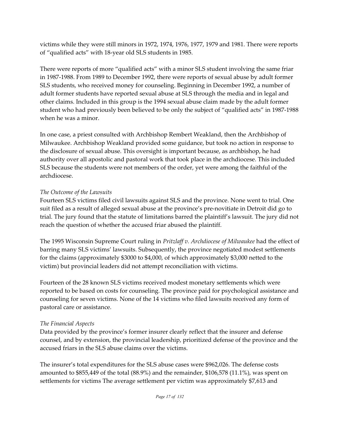victims while they were still minors in 1972, 1974, 1976, 1977, 1979 and 1981. There were reports of "qualified acts" with 18-year old SLS students in 1985.

There were reports of more "qualified acts" with a minor SLS student involving the same friar in 1987-1988. From 1989 to December 1992, there were reports of sexual abuse by adult former SLS students, who received money for counseling. Beginning in December 1992, a number of adult former students have reported sexual abuse at SLS through the media and in legal and other claims. Included in this group is the 1994 sexual abuse claim made by the adult former student who had previously been believed to be only the subject of "qualified acts" in 1987-1988 when he was a minor.

In one case, a priest consulted with Archbishop Rembert Weakland, then the Archbishop of Milwaukee. Archbishop Weakland provided some guidance, but took no action in response to the disclosure of sexual abuse. This oversight is important because, as archbishop, he had authority over all apostolic and pastoral work that took place in the archdiocese. This included SLS because the students were not members of the order, yet were among the faithful of the archdiocese.

#### *The Outcome of the Lawsuits*

Fourteen SLS victims filed civil lawsuits against SLS and the province. None went to trial. One suit filed as a result of alleged sexual abuse at the province's pre-novitiate in Detroit did go to trial. The jury found that the statute of limitations barred the plaintiff's lawsuit. The jury did not reach the question of whether the accused friar abused the plaintiff.

The 1995 Wisconsin Supreme Court ruling in *Pritzlaff v. Archdiocese of Milwaukee* had the effect of barring many SLS victims' lawsuits. Subsequently, the province negotiated modest settlements for the claims (approximately \$3000 to \$4,000, of which approximately \$3,000 netted to the victim) but provincial leaders did not attempt reconciliation with victims.

Fourteen of the 28 known SLS victims received modest monetary settlements which were reported to be based on costs for counseling. The province paid for psychological assistance and counseling for seven victims. None of the 14 victims who filed lawsuits received any form of pastoral care or assistance.

## *The Financial Aspects*

Data provided by the province's former insurer clearly reflect that the insurer and defense counsel, and by extension, the provincial leadership, prioritized defense of the province and the accused friars in the SLS abuse claims over the victims.

The insurer's total expenditures for the SLS abuse cases were \$962,026. The defense costs amounted to \$855,449 of the total (88.9%) and the remainder, \$106,578 (11.1%), was spent on settlements for victims The average settlement per victim was approximately \$7,613 and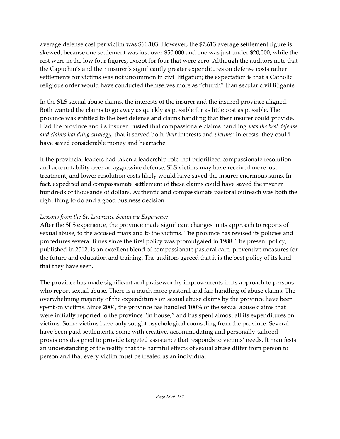average defense cost per victim was \$61,103. However, the \$7,613 average settlement figure is skewed; because one settlement was just over \$50,000 and one was just under \$20,000, while the rest were in the low four figures, except for four that were zero. Although the auditors note that the Capuchin's and their insurer's significantly greater expenditures on defense costs rather settlements for victims was not uncommon in civil litigation; the expectation is that a Catholic religious order would have conducted themselves more as "church" than secular civil litigants.

In the SLS sexual abuse claims, the interests of the insurer and the insured province aligned. Both wanted the claims to go away as quickly as possible for as little cost as possible. The province was entitled to the best defense and claims handling that their insurer could provide. Had the province and its insurer trusted that compassionate claims handling *was the best defense and claims handling strategy*, that it served both *their* interests and *victims'* interests, they could have saved considerable money and heartache.

If the provincial leaders had taken a leadership role that prioritized compassionate resolution and accountability over an aggressive defense, SLS victims may have received more just treatment; and lower resolution costs likely would have saved the insurer enormous sums. In fact, expedited and compassionate settlement of these claims could have saved the insurer hundreds of thousands of dollars. Authentic and compassionate pastoral outreach was both the right thing to do and a good business decision.

### *Lessons from the St. Lawrence Seminary Experience*

After the SLS experience, the province made significant changes in its approach to reports of sexual abuse, to the accused friars and to the victims. The province has revised its policies and procedures several times since the first policy was promulgated in 1988. The present policy, published in 2012, is an excellent blend of compassionate pastoral care, preventive measures for the future and education and training. The auditors agreed that it is the best policy of its kind that they have seen.

The province has made significant and praiseworthy improvements in its approach to persons who report sexual abuse. There is a much more pastoral and fair handling of abuse claims. The overwhelming majority of the expenditures on sexual abuse claims by the province have been spent on victims. Since 2004, the province has handled 100% of the sexual abuse claims that were initially reported to the province "in house," and has spent almost all its expenditures on victims. Some victims have only sought psychological counseling from the province. Several have been paid settlements, some with creative, accommodating and personally-tailored provisions designed to provide targeted assistance that responds to victims' needs. It manifests an understanding of the reality that the harmful effects of sexual abuse differ from person to person and that every victim must be treated as an individual.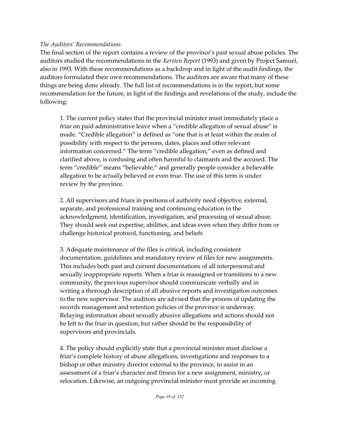#### *The Auditors' Recommendations*

The final section of the report contains a review of the province's past sexual abuse policies. The auditors studied the recommendations in the *Kersten Report* (1993) and given by Project Samuel, also in 1993. With these recommendations as a backdrop and in light of the audit findings, the auditors formulated their own recommendations. The auditors are aware that many of these things are being done already. The full list of recommendations is in the report, but some recommendation for the future, in light of the findings and revelations of the study, include the following:

1. The current policy states that the provincial minister must immediately place a friar on paid administrative leave when a "credible allegation of sexual abuse" is made. "Credible allegation" is defined as "one that is at least within the realm of possibility with respect to the persons, dates, places and other relevant information concerned." The term "credible allegation," even as defined and clarified above, is confusing and often harmful to claimants and the accused. The term "credible" means "believable," and generally people consider a believable allegation to be *actually* believed or even true. The use of this term is under review by the province.

2. All supervisors and friars in positions of authority need objective, external, separate, and professional training and continuing education in the acknowledgment, identification, investigation, and processing of sexual abuse. They should seek out expertise, abilities, and ideas even when they differ from or challenge historical protocol, functioning, and beliefs

3. Adequate maintenance of the files is critical, including consistent documentation, guidelines and mandatory review of files for new assignments. This includes both past and current documentations of all interpersonal and sexually inappropriate reports. When a friar is reassigned or transitions to a new community, the previous supervisor should communicate verbally and in writing a thorough description of all abusive reports and investigation outcomes to the new supervisor. The auditors are advised that the process of updating the records management and retention policies of the province is underway. Relaying information about sexually abusive allegations and actions should not be left to the friar in question, but rather should be the responsibility of supervisors and provincials.

4. The policy should explicitly state that a provincial minister must disclose a friar's complete history of abuse allegations, investigations and responses to a bishop or other ministry director external to the province, to assist in an assessment of a friar's character and fitness for a new assignment, ministry, or relocation. Likewise, an outgoing provincial minister must provide an incoming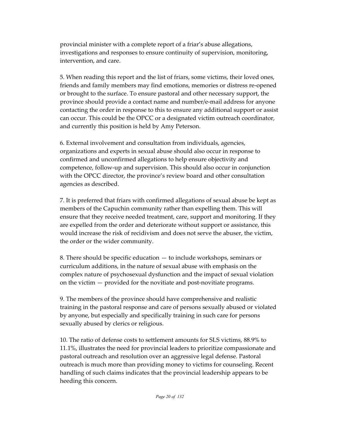provincial minister with a complete report of a friar's abuse allegations, investigations and responses to ensure continuity of supervision, monitoring, intervention, and care.

5. When reading this report and the list of friars, some victims, their loved ones, friends and family members may find emotions, memories or distress re-opened or brought to the surface. To ensure pastoral and other necessary support, the province should provide a contact name and number/e-mail address for anyone contacting the order in response to this to ensure any additional support or assist can occur. This could be the OPCC or a designated victim outreach coordinator, and currently this position is held by Amy Peterson.

6. External involvement and consultation from individuals, agencies, organizations and experts in sexual abuse should also occur in response to confirmed and unconfirmed allegations to help ensure objectivity and competence, follow-up and supervision. This should also occur in conjunction with the OPCC director, the province's review board and other consultation agencies as described.

7. It is preferred that friars with confirmed allegations of sexual abuse be kept as members of the Capuchin community rather than expelling them. This will ensure that they receive needed treatment, care, support and monitoring. If they are expelled from the order and deteriorate without support or assistance, this would increase the risk of recidivism and does not serve the abuser, the victim, the order or the wider community.

8. There should be specific education — to include workshops, seminars or curriculum additions, in the nature of sexual abuse with emphasis on the complex nature of psychosexual dysfunction and the impact of sexual violation on the victim — provided for the novitiate and post-novitiate programs.

9. The members of the province should have comprehensive and realistic training in the pastoral response and care of persons sexually abused or violated by anyone, but especially and specifically training in such care for persons sexually abused by clerics or religious.

10. The ratio of defense costs to settlement amounts for SLS victims, 88.9% to 11.1%, illustrates the need for provincial leaders to prioritize compassionate and pastoral outreach and resolution over an aggressive legal defense. Pastoral outreach is much more than providing money to victims for counseling. Recent handling of such claims indicates that the provincial leadership appears to be heeding this concern.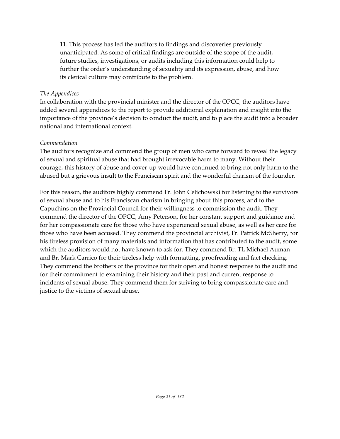11. This process has led the auditors to findings and discoveries previously unanticipated. As some of critical findings are outside of the scope of the audit, future studies, investigations, or audits including this information could help to further the order's understanding of sexuality and its expression, abuse, and how its clerical culture may contribute to the problem.

#### *The Appendices*

In collaboration with the provincial minister and the director of the OPCC, the auditors have added several appendices to the report to provide additional explanation and insight into the importance of the province's decision to conduct the audit, and to place the audit into a broader national and international context.

#### *Commendation*

The auditors recognize and commend the group of men who came forward to reveal the legacy of sexual and spiritual abuse that had brought irrevocable harm to many. Without their courage, this history of abuse and cover-up would have continued to bring not only harm to the abused but a grievous insult to the Franciscan spirit and the wonderful charism of the founder.

For this reason, the auditors highly commend Fr. John Celichowski for listening to the survivors of sexual abuse and to his Franciscan charism in bringing about this process, and to the Capuchins on the Provincial Council for their willingness to commission the audit. They commend the director of the OPCC, Amy Peterson, for her constant support and guidance and for her compassionate care for those who have experienced sexual abuse, as well as her care for those who have been accused. They commend the provincial archivist, Fr. Patrick McSherry, for his tireless provision of many materials and information that has contributed to the audit, some which the auditors would not have known to ask for. They commend Br. TL Michael Auman and Br. Mark Carrico for their tireless help with formatting, proofreading and fact checking. They commend the brothers of the province for their open and honest response to the audit and for their commitment to examining their history and their past and current response to incidents of sexual abuse. They commend them for striving to bring compassionate care and justice to the victims of sexual abuse.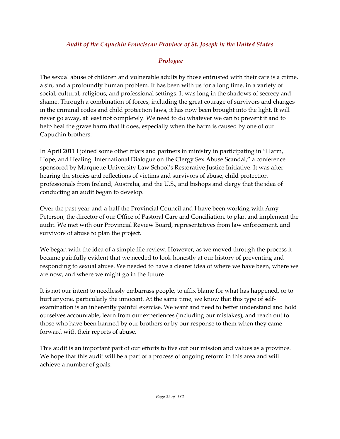## *Audit of the Capuchin Franciscan Province of St. Joseph in the United States*

# *Prologue*

The sexual abuse of children and vulnerable adults by those entrusted with their care is a crime, a sin, and a profoundly human problem. It has been with us for a long time, in a variety of social, cultural, religious, and professional settings. It was long in the shadows of secrecy and shame. Through a combination of forces, including the great courage of survivors and changes in the criminal codes and child protection laws, it has now been brought into the light. It will never go away, at least not completely. We need to do whatever we can to prevent it and to help heal the grave harm that it does, especially when the harm is caused by one of our Capuchin brothers.

In April 2011 I joined some other friars and partners in ministry in participating in "Harm, Hope, and Healing: International Dialogue on the Clergy Sex Abuse Scandal," a conference sponsored by Marquette University Law School's Restorative Justice Initiative. It was after hearing the stories and reflections of victims and survivors of abuse, child protection professionals from Ireland, Australia, and the U.S., and bishops and clergy that the idea of conducting an audit began to develop.

Over the past year-and-a-half the Provincial Council and I have been working with Amy Peterson, the director of our Office of Pastoral Care and Conciliation, to plan and implement the audit. We met with our Provincial Review Board, representatives from law enforcement, and survivors of abuse to plan the project.

We began with the idea of a simple file review. However, as we moved through the process it became painfully evident that we needed to look honestly at our history of preventing and responding to sexual abuse. We needed to have a clearer idea of where we have been, where we are now, and where we might go in the future.

It is not our intent to needlessly embarrass people, to affix blame for what has happened, or to hurt anyone, particularly the innocent. At the same time, we know that this type of selfexamination is an inherently painful exercise. We want and need to better understand and hold ourselves accountable, learn from our experiences (including our mistakes), and reach out to those who have been harmed by our brothers or by our response to them when they came forward with their reports of abuse.

This audit is an important part of our efforts to live out our mission and values as a province. We hope that this audit will be a part of a process of ongoing reform in this area and will achieve a number of goals: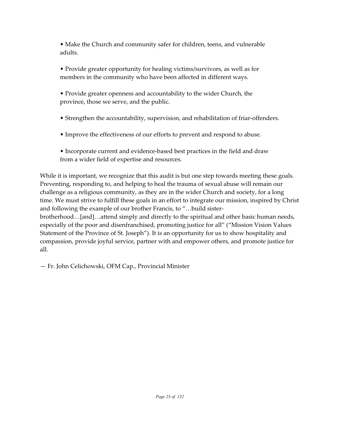• Make the Church and community safer for children, teens, and vulnerable adults.

• Provide greater opportunity for healing victims/survivors, as well as for members in the community who have been affected in different ways.

• Provide greater openness and accountability to the wider Church, the province, those we serve, and the public.

• Strengthen the accountability, supervision, and rehabilitation of friar-offenders.

• Improve the effectiveness of our efforts to prevent and respond to abuse.

• Incorporate current and evidence-based best practices in the field and draw from a wider field of expertise and resources.

While it is important, we recognize that this audit is but one step towards meeting these goals. Preventing, responding to, and helping to heal the trauma of sexual abuse will remain our challenge as a religious community, as they are in the wider Church and society, for a long time. We must strive to fulfill these goals in an effort to integrate our mission, inspired by Christ and following the example of our brother Francis, to "…build sisterbrotherhood…[and]…attend simply and directly to the spiritual and other basic human needs, especially of the poor and disenfranchised, promoting justice for all" ("Mission Vision Values Statement of the Province of St. Joseph"). It is an opportunity for us to show hospitality and compassion, provide joyful service, partner with and empower others, and promote justice for all.

— Fr. John Celichowski, OFM Cap., Provincial Minister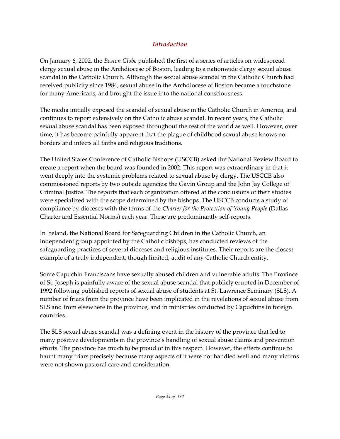# *Introduction*

On January 6, 2002, the *Boston Globe* published the first of a series of articles on widespread clergy sexual abuse in the Archdiocese of Boston, leading to a nationwide clergy sexual abuse scandal in the Catholic Church. Although the sexual abuse scandal in the Catholic Church had received publicity since 1984, sexual abuse in the Archdiocese of Boston became a touchstone for many Americans, and brought the issue into the national consciousness.

The media initially exposed the scandal of sexual abuse in the Catholic Church in America, and continues to report extensively on the Catholic abuse scandal. In recent years, the Catholic sexual abuse scandal has been exposed throughout the rest of the world as well. However, over time, it has become painfully apparent that the plague of childhood sexual abuse knows no borders and infects all faiths and religious traditions.

The United States Conference of Catholic Bishops (USCCB) asked the National Review Board to create a report when the board was founded in 2002. This report was extraordinary in that it went deeply into the systemic problems related to sexual abuse by clergy. The USCCB also commissioned reports by two outside agencies: the Gavin Group and the John Jay College of Criminal Justice. The reports that each organization offered at the conclusions of their studies were specialized with the scope determined by the bishops. The USCCB conducts a study of compliance by dioceses with the terms of the *Charter for the Protection of Young People* (Dallas Charter and Essential Norms) each year. These are predominantly self-reports.

In Ireland, the National Board for Safeguarding Children in the Catholic Church, an independent group appointed by the Catholic bishops, has conducted reviews of the safeguarding practices of several dioceses and religious institutes. Their reports are the closest example of a truly independent, though limited, audit of any Catholic Church entity.

Some Capuchin Franciscans have sexually abused children and vulnerable adults. The Province of St. Joseph is painfully aware of the sexual abuse scandal that publicly erupted in December of 1992 following published reports of sexual abuse of students at St. Lawrence Seminary (SLS). A number of friars from the province have been implicated in the revelations of sexual abuse from SLS and from elsewhere in the province, and in ministries conducted by Capuchins in foreign countries.

The SLS sexual abuse scandal was a defining event in the history of the province that led to many positive developments in the province's handling of sexual abuse claims and prevention efforts. The province has much to be proud of in this respect. However, the effects continue to haunt many friars precisely because many aspects of it were not handled well and many victims were not shown pastoral care and consideration.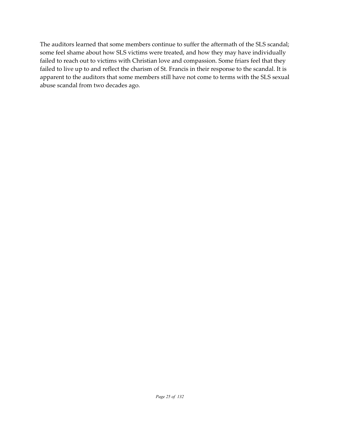The auditors learned that some members continue to suffer the aftermath of the SLS scandal; some feel shame about how SLS victims were treated, and how they may have individually failed to reach out to victims with Christian love and compassion. Some friars feel that they failed to live up to and reflect the charism of St. Francis in their response to the scandal. It is apparent to the auditors that some members still have not come to terms with the SLS sexual abuse scandal from two decades ago.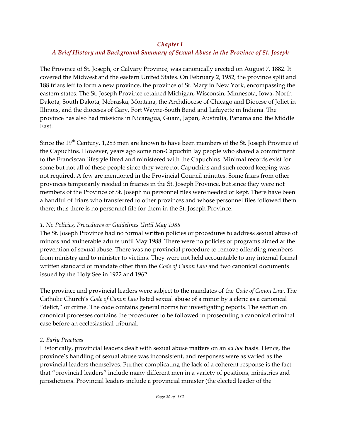#### *Chapter I*

# *A Brief History and Background Summary of Sexual Abuse in the Province of St. Joseph*

The Province of St. Joseph, or Calvary Province, was canonically erected on August 7, 1882. It covered the Midwest and the eastern United States. On February 2, 1952, the province split and 188 friars left to form a new province, the province of St. Mary in New York, encompassing the eastern states. The St. Joseph Province retained Michigan, Wisconsin, Minnesota, Iowa, North Dakota, South Dakota, Nebraska, Montana, the Archdiocese of Chicago and Diocese of Joliet in Illinois, and the dioceses of Gary, Fort Wayne-South Bend and Lafayette in Indiana. The province has also had missions in Nicaragua, Guam, Japan, Australia, Panama and the Middle East.

Since the 19<sup>th</sup> Century, 1,283 men are known to have been members of the St. Joseph Province of the Capuchins. However, years ago some non-Capuchin lay people who shared a commitment to the Franciscan lifestyle lived and ministered with the Capuchins. Minimal records exist for some but not all of these people since they were not Capuchins and such record keeping was not required. A few are mentioned in the Provincial Council minutes. Some friars from other provinces temporarily resided in friaries in the St. Joseph Province, but since they were not members of the Province of St. Joseph no personnel files were needed or kept. There have been a handful of friars who transferred to other provinces and whose personnel files followed them there; thus there is no personnel file for them in the St. Joseph Province.

## *1. No Policies, Procedures or Guidelines Until May 1988*

The St. Joseph Province had no formal written policies or procedures to address sexual abuse of minors and vulnerable adults until May 1988. There were no policies or programs aimed at the prevention of sexual abuse. There was no provincial procedure to remove offending members from ministry and to minister to victims. They were not held accountable to any internal formal written standard or mandate other than the *Code of Canon Law* and two canonical documents issued by the Holy See in 1922 and 1962.

The province and provincial leaders were subject to the mandates of the *Code of Canon Law*. The Catholic Church's *Code of Canon Law* listed sexual abuse of a minor by a cleric as a canonical "delict," or crime. The code contains general norms for investigating reports. The section on canonical processes contains the procedures to be followed in prosecuting a canonical criminal case before an ecclesiastical tribunal.

# *2. Early Practices*

Historically, provincial leaders dealt with sexual abuse matters on an *ad hoc* basis. Hence, the province's handling of sexual abuse was inconsistent, and responses were as varied as the provincial leaders themselves. Further complicating the lack of a coherent response is the fact that "provincial leaders" include many different men in a variety of positions, ministries and jurisdictions. Provincial leaders include a provincial minister (the elected leader of the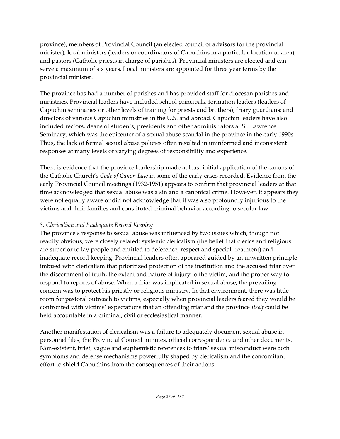province), members of Provincial Council (an elected council of advisors for the provincial minister), local ministers (leaders or coordinators of Capuchins in a particular location or area), and pastors (Catholic priests in charge of parishes). Provincial ministers are elected and can serve a maximum of six years. Local ministers are appointed for three year terms by the provincial minister.

The province has had a number of parishes and has provided staff for diocesan parishes and ministries. Provincial leaders have included school principals, formation leaders (leaders of Capuchin seminaries or other levels of training for priests and brothers), friary guardians; and directors of various Capuchin ministries in the U.S. and abroad. Capuchin leaders have also included rectors, deans of students, presidents and other administrators at St. Lawrence Seminary, which was the epicenter of a sexual abuse scandal in the province in the early 1990s. Thus, the lack of formal sexual abuse policies often resulted in uninformed and inconsistent responses at many levels of varying degrees of responsibility and experience.

There is evidence that the province leadership made at least initial application of the canons of the Catholic Church's *Code of Canon Law* in some of the early cases recorded. Evidence from the early Provincial Council meetings (1932-1951) appears to confirm that provincial leaders at that time acknowledged that sexual abuse was a sin and a canonical crime. However, it appears they were not equally aware or did not acknowledge that it was also profoundly injurious to the victims and their families and constituted criminal behavior according to secular law.

# *3. Clericalism and Inadequate Record Keeping*

The province's response to sexual abuse was influenced by two issues which, though not readily obvious, were closely related: systemic clericalism (the belief that clerics and religious are superior to lay people and entitled to deference, respect and special treatment) and inadequate record keeping. Provincial leaders often appeared guided by an unwritten principle imbued with clericalism that prioritized protection of the institution and the accused friar over the discernment of truth, the extent and nature of injury to the victim, and the proper way to respond to reports of abuse. When a friar was implicated in sexual abuse, the prevailing concern was to protect his priestly or religious ministry. In that environment, there was little room for pastoral outreach to victims, especially when provincial leaders feared they would be confronted with victims' expectations that an offending friar and the province *itself* could be held accountable in a criminal, civil or ecclesiastical manner.

Another manifestation of clericalism was a failure to adequately document sexual abuse in personnel files, the Provincial Council minutes, official correspondence and other documents. Non-existent, brief, vague and euphemistic references to friars' sexual misconduct were both symptoms and defense mechanisms powerfully shaped by clericalism and the concomitant effort to shield Capuchins from the consequences of their actions.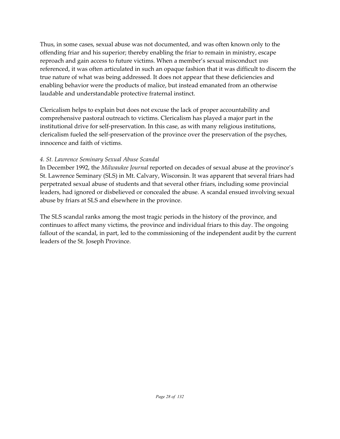Thus, in some cases, sexual abuse was not documented, and was often known only to the offending friar and his superior; thereby enabling the friar to remain in ministry, escape reproach and gain access to future victims. When a member's sexual misconduct *was* referenced, it was often articulated in such an opaque fashion that it was difficult to discern the true nature of what was being addressed. It does not appear that these deficiencies and enabling behavior were the products of malice, but instead emanated from an otherwise laudable and understandable protective fraternal instinct.

Clericalism helps to explain but does not excuse the lack of proper accountability and comprehensive pastoral outreach to victims. Clericalism has played a major part in the institutional drive for self-preservation. In this case, as with many religious institutions, clericalism fueled the self-preservation of the province over the preservation of the psyches, innocence and faith of victims.

#### *4. St. Lawrence Seminary Sexual Abuse Scandal*

In December 1992, the *Milwaukee Journal* reported on decades of sexual abuse at the province's St. Lawrence Seminary (SLS) in Mt. Calvary, Wisconsin. It was apparent that several friars had perpetrated sexual abuse of students and that several other friars, including some provincial leaders, had ignored or disbelieved or concealed the abuse. A scandal ensued involving sexual abuse by friars at SLS and elsewhere in the province.

The SLS scandal ranks among the most tragic periods in the history of the province, and continues to affect many victims, the province and individual friars to this day. The ongoing fallout of the scandal, in part, led to the commissioning of the independent audit by the current leaders of the St. Joseph Province.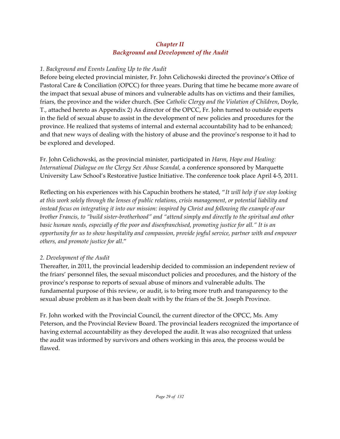# *Chapter II Background and Development of the Audit*

## *1. Background and Events Leading Up to the Audit*

Before being elected provincial minister, Fr. John Celichowski directed the province's Office of Pastoral Care & Conciliation (OPCC) for three years. During that time he became more aware of the impact that sexual abuse of minors and vulnerable adults has on victims and their families, friars, the province and the wider church. (See *Catholic Clergy and the Violation of Children*, Doyle, T., attached hereto as Appendix 2) As director of the OPCC, Fr. John turned to outside experts in the field of sexual abuse to assist in the development of new policies and procedures for the province. He realized that systems of internal and external accountability had to be enhanced; and that new ways of dealing with the history of abuse and the province's response to it had to be explored and developed.

Fr. John Celichowski, as the provincial minister, participated in *Harm, Hope and Healing: International Dialogue on the Clergy Sex Abuse Scandal,* a conference sponsored by Marquette University Law School's Restorative Justice Initiative. The conference took place April 4-5, 2011.

Reflecting on his experiences with his Capuchin brothers he stated, "*It will help if we stop looking at this work solely through the lenses of public relations, crisis management, or potential liability and instead focus on integrating it into our mission: inspired by Christ and following the example of our brother Francis, to "build sister-brotherhood" and "attend simply and directly to the spiritual and other basic human needs, especially of the poor and disenfranchised, promoting justice for all." It is an opportunity for us to show hospitality and compassion, provide joyful service, partner with and empower others, and promote justice for all*."

# *2. Development of the Audit*

Thereafter, in 2011, the provincial leadership decided to commission an independent review of the friars' personnel files, the sexual misconduct policies and procedures, and the history of the province's response to reports of sexual abuse of minors and vulnerable adults. The fundamental purpose of this review, or audit, is to bring more truth and transparency to the sexual abuse problem as it has been dealt with by the friars of the St. Joseph Province.

Fr. John worked with the Provincial Council, the current director of the OPCC, Ms. Amy Peterson, and the Provincial Review Board. The provincial leaders recognized the importance of having external accountability as they developed the audit. It was also recognized that unless the audit was informed by survivors and others working in this area, the process would be flawed.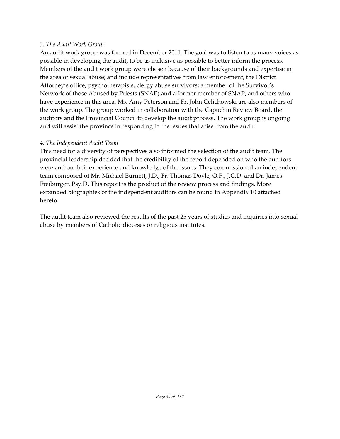#### *3. The Audit Work Group*

An audit work group was formed in December 2011. The goal was to listen to as many voices as possible in developing the audit, to be as inclusive as possible to better inform the process. Members of the audit work group were chosen because of their backgrounds and expertise in the area of sexual abuse; and include representatives from law enforcement, the District Attorney's office, psychotherapists, clergy abuse survivors; a member of the Survivor's Network of those Abused by Priests (SNAP) and a former member of SNAP, and others who have experience in this area. Ms. Amy Peterson and Fr. John Celichowski are also members of the work group. The group worked in collaboration with the Capuchin Review Board, the auditors and the Provincial Council to develop the audit process. The work group is ongoing and will assist the province in responding to the issues that arise from the audit.

## *4. The Independent Audit Team*

This need for a diversity of perspectives also informed the selection of the audit team. The provincial leadership decided that the credibility of the report depended on who the auditors were and on their experience and knowledge of the issues. They commissioned an independent team composed of Mr. Michael Burnett, J.D., Fr. Thomas Doyle, O.P., J.C.D. and Dr. James Freiburger, Psy.D. This report is the product of the review process and findings. More expanded biographies of the independent auditors can be found in Appendix 10 attached hereto.

The audit team also reviewed the results of the past 25 years of studies and inquiries into sexual abuse by members of Catholic dioceses or religious institutes.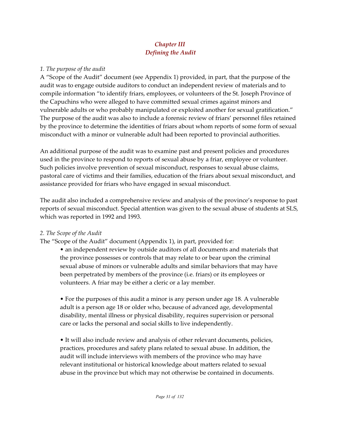# *Chapter III Defining the Audit*

#### *1. The purpose of the audit*

A "Scope of the Audit" document (see Appendix 1) provided, in part, that the purpose of the audit was to engage outside auditors to conduct an independent review of materials and to compile information "to identify friars, employees, or volunteers of the St. Joseph Province of the Capuchins who were alleged to have committed sexual crimes against minors and vulnerable adults or who probably manipulated or exploited another for sexual gratification." The purpose of the audit was also to include a forensic review of friars' personnel files retained by the province to determine the identities of friars about whom reports of some form of sexual misconduct with a minor or vulnerable adult had been reported to provincial authorities.

An additional purpose of the audit was to examine past and present policies and procedures used in the province to respond to reports of sexual abuse by a friar, employee or volunteer. Such policies involve prevention of sexual misconduct, responses to sexual abuse claims, pastoral care of victims and their families, education of the friars about sexual misconduct, and assistance provided for friars who have engaged in sexual misconduct.

The audit also included a comprehensive review and analysis of the province's response to past reports of sexual misconduct. Special attention was given to the sexual abuse of students at SLS, which was reported in 1992 and 1993.

## *2. The Scope of the Audit*

The "Scope of the Audit" document (Appendix 1), in part, provided for:

• an independent review by outside auditors of all documents and materials that the province possesses or controls that may relate to or bear upon the criminal sexual abuse of minors or vulnerable adults and similar behaviors that may have been perpetrated by members of the province (i.e. friars) or its employees or volunteers. A friar may be either a cleric or a lay member.

• For the purposes of this audit a minor is any person under age 18. A vulnerable adult is a person age 18 or older who, because of advanced age, developmental disability, mental illness or physical disability, requires supervision or personal care or lacks the personal and social skills to live independently.

• It will also include review and analysis of other relevant documents, policies, practices, procedures and safety plans related to sexual abuse. In addition, the audit will include interviews with members of the province who may have relevant institutional or historical knowledge about matters related to sexual abuse in the province but which may not otherwise be contained in documents.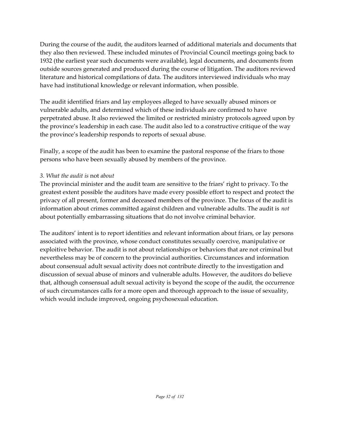During the course of the audit, the auditors learned of additional materials and documents that they also then reviewed. These included minutes of Provincial Council meetings going back to 1932 (the earliest year such documents were available), legal documents, and documents from outside sources generated and produced during the course of litigation. The auditors reviewed literature and historical compilations of data. The auditors interviewed individuals who may have had institutional knowledge or relevant information, when possible.

The audit identified friars and lay employees alleged to have sexually abused minors or vulnerable adults, and determined which of these individuals are confirmed to have perpetrated abuse. It also reviewed the limited or restricted ministry protocols agreed upon by the province's leadership in each case. The audit also led to a constructive critique of the way the province's leadership responds to reports of sexual abuse.

Finally, a scope of the audit has been to examine the pastoral response of the friars to those persons who have been sexually abused by members of the province.

#### *3. What the audit is* not *about*

The provincial minister and the audit team are sensitive to the friars' right to privacy. To the greatest extent possible the auditors have made every possible effort to respect and protect the privacy of all present, former and deceased members of the province. The focus of the audit is information about crimes committed against children and vulnerable adults. The audit is *not* about potentially embarrassing situations that do not involve criminal behavior.

The auditors' intent is to report identities and relevant information about friars, or lay persons associated with the province, whose conduct constitutes sexually coercive, manipulative or exploitive behavior. The audit is not about relationships or behaviors that are not criminal but nevertheless may be of concern to the provincial authorities. Circumstances and information about consensual adult sexual activity does not contribute directly to the investigation and discussion of sexual abuse of minors and vulnerable adults. However, the auditors do believe that, although consensual adult sexual activity is beyond the scope of the audit, the occurrence of such circumstances calls for a more open and thorough approach to the issue of sexuality, which would include improved, ongoing psychosexual education.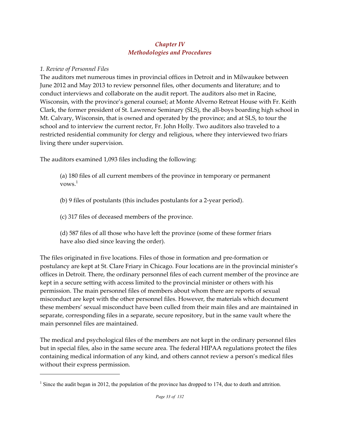#### *Chapter IV Methodologies and Procedures*

#### *1. Review of Personnel Files*

The auditors met numerous times in provincial offices in Detroit and in Milwaukee between June 2012 and May 2013 to review personnel files, other documents and literature; and to conduct interviews and collaborate on the audit report. The auditors also met in Racine, Wisconsin, with the province's general counsel; at Monte Alverno Retreat House with Fr. Keith Clark, the former president of St. Lawrence Seminary (SLS), the all-boys boarding high school in Mt. Calvary, Wisconsin, that is owned and operated by the province; and at SLS, to tour the school and to interview the current rector, Fr. John Holly. Two auditors also traveled to a restricted residential community for clergy and religious, where they interviewed two friars living there under supervision.

The auditors examined 1,093 files including the following:

(a) 180 files of all current members of the province in temporary or permanent vows. $1$ 

(b) 9 files of postulants (this includes postulants for a 2-year period).

(c) 317 files of deceased members of the province.

(d) 587 files of all those who have left the province (some of these former friars have also died since leaving the order).

The files originated in five locations. Files of those in formation and pre-formation or postulancy are kept at St. Clare Friary in Chicago. Four locations are in the provincial minister's offices in Detroit. There, the ordinary personnel files of each current member of the province are kept in a secure setting with access limited to the provincial minister or others with his permission. The main personnel files of members about whom there are reports of sexual misconduct are kept with the other personnel files. However, the materials which document these members' sexual misconduct have been culled from their main files and are maintained in separate, corresponding files in a separate, secure repository, but in the same vault where the main personnel files are maintained.

The medical and psychological files of the members are not kept in the ordinary personnel files but in special files, also in the same secure area. The federal HIPAA regulations protect the files containing medical information of any kind, and others cannot review a person's medical files without their express permission.

<sup>&</sup>lt;sup>1</sup> Since the audit began in 2012, the population of the province has dropped to 174, due to death and attrition.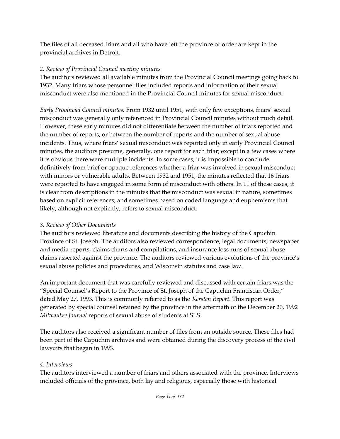The files of all deceased friars and all who have left the province or order are kept in the provincial archives in Detroit.

# *2. Review of Provincial Council meeting minutes*

The auditors reviewed all available minutes from the Provincial Council meetings going back to 1932. Many friars whose personnel files included reports and information of their sexual misconduct were also mentioned in the Provincial Council minutes for sexual misconduct.

*Early Provincial Council minutes:* From 1932 until 1951, with only few exceptions, friars' sexual misconduct was generally only referenced in Provincial Council minutes without much detail. However, these early minutes did not differentiate between the number of friars reported and the number of reports, or between the number of reports and the number of sexual abuse incidents*.* Thus, where friars' sexual misconduct was reported only in early Provincial Council minutes, the auditors presume, generally, one report for each friar; except in a few cases where it is obvious there were multiple incidents. In some cases, it is impossible to conclude definitively from brief or opaque references whether a friar was involved in sexual misconduct with minors or vulnerable adults. Between 1932 and 1951, the minutes reflected that 16 friars were reported to have engaged in some form of misconduct with others. In 11 of these cases, it is clear from descriptions in the minutes that the misconduct was sexual in nature, sometimes based on explicit references, and sometimes based on coded language and euphemisms that likely, although not explicitly, refers to sexual misconduct.

# *3. Review of Other Documents*

The auditors reviewed literature and documents describing the history of the Capuchin Province of St. Joseph. The auditors also reviewed correspondence, legal documents, newspaper and media reports, claims charts and compilations, and insurance loss runs of sexual abuse claims asserted against the province. The auditors reviewed various evolutions of the province's sexual abuse policies and procedures, and Wisconsin statutes and case law.

An important document that was carefully reviewed and discussed with certain friars was the "Special Counsel's Report to the Province of St. Joseph of the Capuchin Franciscan Order," dated May 27, 1993. This is commonly referred to as the *Kersten Report*. This report was generated by special counsel retained by the province in the aftermath of the December 20, 1992 *Milwaukee Journal* reports of sexual abuse of students at SLS.

The auditors also received a significant number of files from an outside source. These files had been part of the Capuchin archives and were obtained during the discovery process of the civil lawsuits that began in 1993.

# *4. Interviews*

The auditors interviewed a number of friars and others associated with the province. Interviews included officials of the province, both lay and religious, especially those with historical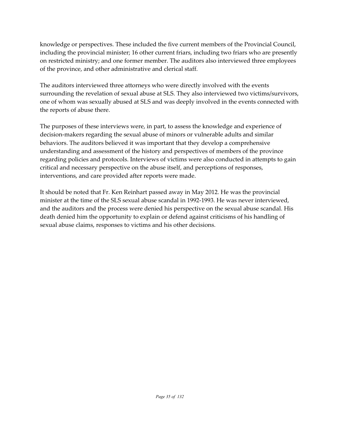knowledge or perspectives. These included the five current members of the Provincial Council, including the provincial minister; 16 other current friars, including two friars who are presently on restricted ministry; and one former member. The auditors also interviewed three employees of the province, and other administrative and clerical staff.

The auditors interviewed three attorneys who were directly involved with the events surrounding the revelation of sexual abuse at SLS. They also interviewed two victims/survivors, one of whom was sexually abused at SLS and was deeply involved in the events connected with the reports of abuse there.

The purposes of these interviews were, in part, to assess the knowledge and experience of decision-makers regarding the sexual abuse of minors or vulnerable adults and similar behaviors. The auditors believed it was important that they develop a comprehensive understanding and assessment of the history and perspectives of members of the province regarding policies and protocols. Interviews of victims were also conducted in attempts to gain critical and necessary perspective on the abuse itself, and perceptions of responses, interventions, and care provided after reports were made.

It should be noted that Fr. Ken Reinhart passed away in May 2012. He was the provincial minister at the time of the SLS sexual abuse scandal in 1992-1993. He was never interviewed, and the auditors and the process were denied his perspective on the sexual abuse scandal. His death denied him the opportunity to explain or defend against criticisms of his handling of sexual abuse claims, responses to victims and his other decisions.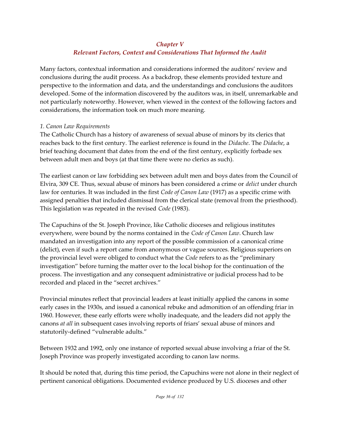#### *Chapter V*

# *Relevant Factors, Context and Considerations That Informed the Audit*

Many factors, contextual information and considerations informed the auditors' review and conclusions during the audit process. As a backdrop, these elements provided texture and perspective to the information and data, and the understandings and conclusions the auditors developed. Some of the information discovered by the auditors was, in itself, unremarkable and not particularly noteworthy. However, when viewed in the context of the following factors and considerations, the information took on much more meaning.

#### *1. Canon Law Requirements*

The Catholic Church has a history of awareness of sexual abuse of minors by its clerics that reaches back to the first century. The earliest reference is found in the *Didache*. The *Didache*, a brief teaching document that dates from the end of the first century, explicitly forbade sex between adult men and boys (at that time there were no clerics as such).

The earliest canon or law forbidding sex between adult men and boys dates from the Council of Elvira, 309 CE. Thus, sexual abuse of minors has been considered a crime or *delict* under church law for centuries. It was included in the first *Code of Canon Law* (1917) as a specific crime with assigned penalties that included dismissal from the clerical state (removal from the priesthood). This legislation was repeated in the revised *Code* (1983).

The Capuchins of the St. Joseph Province, like Catholic dioceses and religious institutes everywhere, were bound by the norms contained in the *Code of Canon Law*. Church law mandated an investigation into any report of the possible commission of a canonical crime (delict), even if such a report came from anonymous or vague sources. Religious superiors on the provincial level were obliged to conduct what the *Code* refers to as the "preliminary investigation" before turning the matter over to the local bishop for the continuation of the process. The investigation and any consequent administrative or judicial process had to be recorded and placed in the "secret archives."

Provincial minutes reflect that provincial leaders at least initially applied the canons in some early cases in the 1930s, and issued a canonical rebuke and admonition of an offending friar in 1960. However, these early efforts were wholly inadequate, and the leaders did not apply the canons *at all* in subsequent cases involving reports of friars' sexual abuse of minors and statutorily-defined "vulnerable adults."

Between 1932 and 1992, only one instance of reported sexual abuse involving a friar of the St. Joseph Province was properly investigated according to canon law norms.

It should be noted that, during this time period, the Capuchins were not alone in their neglect of pertinent canonical obligations. Documented evidence produced by U.S. dioceses and other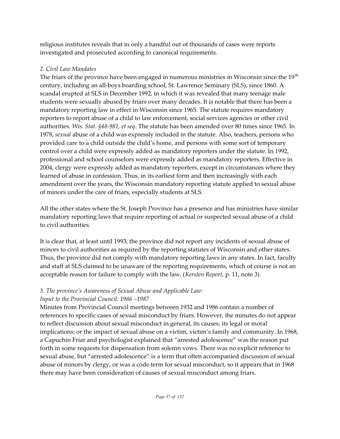religious institutes reveals that in only a handful out of thousands of cases were reports investigated and prosecuted according to canonical requirements.

## *2. Civil Law Mandates*

The friars of the province have been engaged in numerous ministries in Wisconsin since the  $19<sup>th</sup>$ century, including an all-boys boarding school, St. Lawrence Seminary (SLS), since 1860. A scandal erupted at SLS in December 1992, in which it was revealed that many teenage male students were sexually abused by friars over many decades. It is notable that there has been a mandatory reporting law in effect in Wisconsin since 1965. The statute requires mandatory reporters to report abuse of a child to law enforcement, social services agencies or other civil authorities. *Wis. Stat. §48-981, et seq*. The statute has been amended over 80 times since 1965. In 1978, *sexual* abuse of a child was expressly included in the statute. Also, teachers, persons who provided care to a child outside the child's home, and persons with some sort of temporary control over a child were expressly added as mandatory reporters under the statute. In 1992, professional and school counselors were expressly added as mandatory reporters. Effective in 2004, clergy were expressly added as mandatory reporters, except in circumstances where they learned of abuse in confession. Thus, in its earliest form and then increasingly with each amendment over the years, the Wisconsin mandatory reporting statute applied to sexual abuse of minors under the care of friars, especially students at SLS.

All the other states where the St. Joseph Province has a presence and has ministries have similar mandatory reporting laws that require reporting of actual or suspected sexual abuse of a child to civil authorities.

It is clear that, at least until 1993, the province did not report any incidents of sexual abuse of minors to civil authorities as required by the reporting statutes of Wisconsin and other states. Thus, the province did not comply with mandatory reporting laws in any states. In fact, faculty and staff at SLS claimed to be unaware of the reporting requirements, which of course is not an acceptable reason for failure to comply with the law. (*Kersten Report*, p. 11, note 3).

# *3. The province's Awareness of Sexual Abuse and Applicable Law:*

# *Input to the Provincial Council: 1986 –1987*

Minutes from Provincial Council meetings between 1932 and 1986 contain a number of references to specific cases of sexual misconduct by friars. However, the minutes do not appear to reflect discussion about sexual misconduct in general, its causes, its legal or moral implications; or the impact of sexual abuse on a victim, victim's family and community. In 1968, a Capuchin Friar and psychologist explained that "arrested adolescence" was the reason put forth in some requests for dispensation from solemn vows. There was no explicit reference to sexual abuse, but "arrested adolescence" is a term that often accompanied discussion of sexual abuse of minors by clergy, or was a code term for sexual misconduct, so it appears that in 1968 there may have been consideration of causes of sexual misconduct among friars.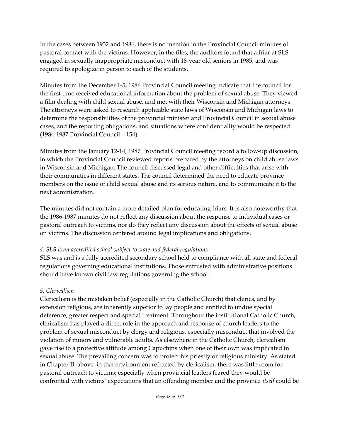In the cases between 1932 and 1986, there is no mention in the Provincial Council minutes of pastoral contact with the victims. However, in the files, the auditors found that a friar at SLS engaged in sexually inappropriate misconduct with 18-year old seniors in 1985, and was required to apologize in person to each of the students.

Minutes from the December 1-5, 1986 Provincial Council meeting indicate that the council for the first time received educational information about the problem of sexual abuse. They viewed a film dealing with child sexual abuse, and met with their Wisconsin and Michigan attorneys. The attorneys were asked to research applicable state laws of Wisconsin and Michigan laws to determine the responsibilities of the provincial minister and Provincial Council in sexual abuse cases, and the reporting obligations, and situations where confidentiality would be respected (1984-1987 Provincial Council – 154).

Minutes from the January 12-14, 1987 Provincial Council meeting record a follow-up discussion, in which the Provincial Council reviewed reports prepared by the attorneys on child abuse laws in Wisconsin and Michigan. The council discussed legal and other difficulties that arise with their communities in different states. The council determined the need to educate province members on the issue of child sexual abuse and its serious nature, and to communicate it to the next administration.

The minutes did not contain a more detailed plan for educating friars. It is also noteworthy that the 1986-1987 minutes do not reflect any discussion about the response to individual cases or pastoral outreach to victims, nor do they reflect any discussion about the effects of sexual abuse on victims. The discussion centered around legal implications and obligations.

#### *4. SLS is an accredited school subject to state and federal regulations*

SLS was and is a fully accredited secondary school held to compliance with all state and federal regulations governing educational institutions. Those entrusted with administrative positions should have known civil law regulations governing the school.

#### *5. Clericalism*

Clericalism is the mistaken belief (especially in the Catholic Church) that clerics, and by extension religious, are inherently superior to lay people and entitled to undue special deference, greater respect and special treatment. Throughout the institutional Catholic Church, clericalism has played a direct role in the approach and response of church leaders to the problem of sexual misconduct by clergy and religious, especially misconduct that involved the violation of minors and vulnerable adults. As elsewhere in the Catholic Church, clericalism gave rise to a protective attitude among Capuchins when one of their own was implicated in sexual abuse. The prevailing concern was to protect his priestly or religious ministry. As stated in Chapter II, above, in that environment refracted by clericalism, there was little room for pastoral outreach to victims; especially when provincial leaders feared they would be confronted with victims' expectations that an offending member and the province *itself* could be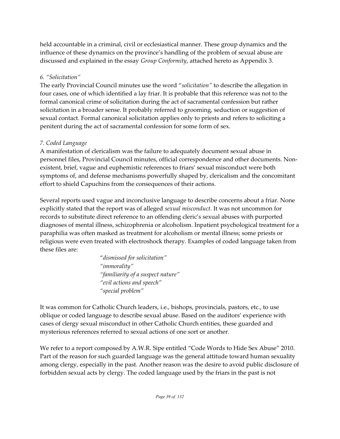held accountable in a criminal, civil or ecclesiastical manner. These group dynamics and the influence of these dynamics on the province's handling of the problem of sexual abuse are discussed and explained in the essay *Group Conformity*, attached hereto as Appendix 3.

## *6. "Solicitation"*

The early Provincial Council minutes use the word "*solicitation"* to describe the allegation in four cases, one of which identified a lay friar. It is probable that this reference was not to the formal canonical crime of solicitation during the act of sacramental confession but rather solicitation in a broader sense. It probably referred to grooming, seduction or suggestion of sexual contact. Formal canonical solicitation applies only to priests and refers to soliciting a penitent during the act of sacramental confession for some form of sex.

## *7. Coded Language*

A manifestation of clericalism was the failure to adequately document sexual abuse in personnel files, Provincial Council minutes, official correspondence and other documents. Nonexistent, brief, vague and euphemistic references to friars' sexual misconduct were both symptoms of, and defense mechanisms powerfully shaped by, clericalism and the concomitant effort to shield Capuchins from the consequences of their actions.

Several reports used vague and inconclusive language to describe concerns about a friar. None explicitly stated that the report was of alleged *sexual misconduct*. It was not uncommon for records to substitute direct reference to an offending cleric's sexual abuses with purported diagnoses of mental illness, schizophrenia or alcoholism. Inpatient psychological treatment for a paraphilia was often masked as treatment for alcoholism or mental illness; some priests or religious were even treated with electroshock therapy. Examples of coded language taken from these files are:

> "*dismissed for solicitation" "immorality" "familiarity of a suspect nature" "evil actions and speech" "special problem"*

It was common for Catholic Church leaders, i.e., bishops, provincials, pastors, etc., to use oblique or coded language to describe sexual abuse. Based on the auditors' experience with cases of clergy sexual misconduct in other Catholic Church entities, these guarded and mysterious references referred to sexual actions of one sort or another.

We refer to a report composed by A.W.R. Sipe entitled "Code Words to Hide Sex Abuse" 2010. Part of the reason for such guarded language was the general attitude toward human sexuality among clergy, especially in the past. Another reason was the desire to avoid public disclosure of forbidden sexual acts by clergy. The coded language used by the friars in the past is not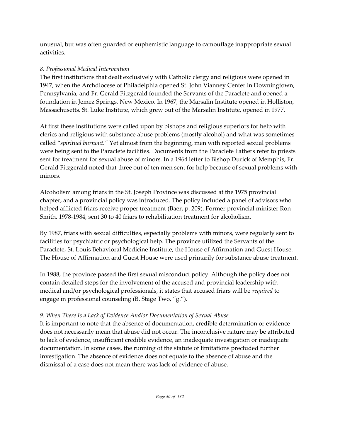unusual, but was often guarded or euphemistic language to camouflage inappropriate sexual activities.

## *8. Professional Medical Intervention*

The first institutions that dealt exclusively with Catholic clergy and religious were opened in 1947, when the Archdiocese of Philadelphia opened St. John Vianney Center in Downingtown, Pennsylvania, and Fr. Gerald Fitzgerald founded the Servants of the Paraclete and opened a foundation in Jemez Springs, New Mexico. In 1967, the Marsalin Institute opened in Holliston, Massachusetts. St. Luke Institute, which grew out of the Marsalin Institute, opened in 1977.

At first these institutions were called upon by bishops and religious superiors for help with clerics and religious with substance abuse problems (mostly alcohol) and what was sometimes called "*spiritual burnout."* Yet almost from the beginning, men with reported sexual problems were being sent to the Paraclete facilities. Documents from the Paraclete Fathers refer to priests sent for treatment for sexual abuse of minors. In a 1964 letter to Bishop Durick of Memphis, Fr. Gerald Fitzgerald noted that three out of ten men sent for help because of sexual problems with minors.

Alcoholism among friars in the St. Joseph Province was discussed at the 1975 provincial chapter, and a provincial policy was introduced. The policy included a panel of advisors who helped afflicted friars receive proper treatment (Baer, p. 209). Former provincial minister Ron Smith, 1978-1984, sent 30 to 40 friars to rehabilitation treatment for alcoholism.

By 1987, friars with sexual difficulties, especially problems with minors, were regularly sent to facilities for psychiatric or psychological help. The province utilized the Servants of the Paraclete, St. Louis Behavioral Medicine Institute, the House of Affirmation and Guest House. The House of Affirmation and Guest House were used primarily for substance abuse treatment.

In 1988, the province passed the first sexual misconduct policy. Although the policy does not contain detailed steps for the involvement of the accused and provincial leadership with medical and/or psychological professionals, it states that accused friars will be *required* to engage in professional counseling (B. Stage Two, "g.").

## *9. When There Is a Lack of Evidence And/or Documentation of Sexual Abuse*

It is important to note that the absence of documentation, credible determination or evidence does not necessarily mean that abuse did not occur. The inconclusive nature may be attributed to lack of evidence, insufficient credible evidence, an inadequate investigation or inadequate documentation. In some cases, the running of the statute of limitations precluded further investigation. The absence of evidence does not equate to the absence of abuse and the dismissal of a case does not mean there was lack of evidence of abuse.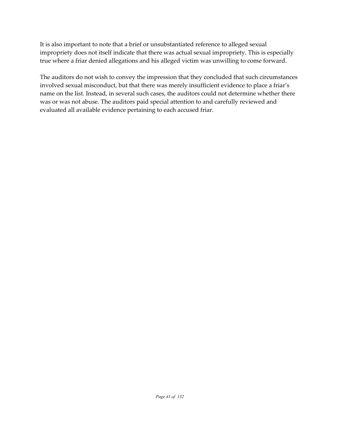It is also important to note that a brief or unsubstantiated reference to alleged sexual impropriety does not itself indicate that there was actual sexual impropriety. This is especially true where a friar denied allegations and his alleged victim was unwilling to come forward.

The auditors do not wish to convey the impression that they concluded that such circumstances involved sexual misconduct, but that there was merely insufficient evidence to place a friar's name on the list. Instead, in several such cases, the auditors could not determine whether there was or was not abuse. The auditors paid special attention to and carefully reviewed and evaluated all available evidence pertaining to each accused friar.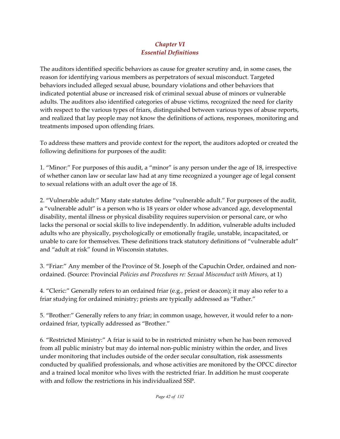## *Chapter VI Essential Definitions*

The auditors identified specific behaviors as cause for greater scrutiny and, in some cases, the reason for identifying various members as perpetrators of sexual misconduct. Targeted behaviors included alleged sexual abuse, boundary violations and other behaviors that indicated potential abuse or increased risk of criminal sexual abuse of minors or vulnerable adults. The auditors also identified categories of abuse victims, recognized the need for clarity with respect to the various types of friars, distinguished between various types of abuse reports, and realized that lay people may not know the definitions of actions, responses, monitoring and treatments imposed upon offending friars.

To address these matters and provide context for the report, the auditors adopted or created the following definitions for purposes of the audit:

1. "Minor:" For purposes of this audit, a "minor" is any person under the age of 18, irrespective of whether canon law or secular law had at any time recognized a younger age of legal consent to sexual relations with an adult over the age of 18.

2. "Vulnerable adult:" Many state statutes define "vulnerable adult." For purposes of the audit, a "vulnerable adult" is a person who is 18 years or older whose advanced age, developmental disability, mental illness or physical disability requires supervision or personal care, or who lacks the personal or social skills to live independently. In addition, vulnerable adults included adults who are physically, psychologically or emotionally fragile, unstable, incapacitated, or unable to care for themselves. These definitions track statutory definitions of "vulnerable adult" and "adult at risk" found in Wisconsin statutes.

3. "Friar:" Any member of the Province of St. Joseph of the Capuchin Order, ordained and nonordained. (Source: Provincial *Policies and Procedures re: Sexual Misconduct with Minors,* at 1)

4. "Cleric:" Generally refers to an ordained friar (e.g., priest or deacon); it may also refer to a friar studying for ordained ministry; priests are typically addressed as "Father."

5. "Brother:" Generally refers to any friar; in common usage, however, it would refer to a nonordained friar, typically addressed as "Brother."

6. "Restricted Ministry:" A friar is said to be in restricted ministry when he has been removed from all public ministry but may do internal non-public ministry within the order, and lives under monitoring that includes outside of the order secular consultation, risk assessments conducted by qualified professionals, and whose activities are monitored by the OPCC director and a trained local monitor who lives with the restricted friar. In addition he must cooperate with and follow the restrictions in his individualized SSP.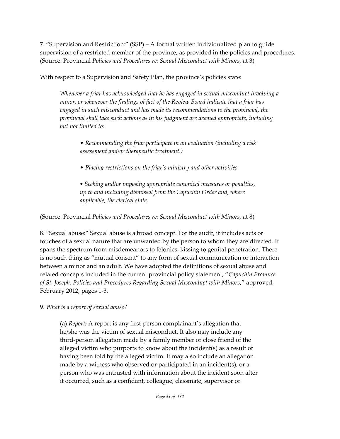7. "Supervision and Restriction:" (SSP) – A formal written individualized plan to guide supervision of a restricted member of the province, as provided in the policies and procedures. (Source: Provincial *Policies and Procedures re: Sexual Misconduct with Minors,* at 3)

With respect to a Supervision and Safety Plan, the province's policies state:

*Whenever a friar has acknowledged that he has engaged in sexual misconduct involving a minor, or whenever the findings of fact of the Review Board indicate that a friar has engaged in such misconduct and has made its recommendations to the provincial, the provincial shall take such actions as in his judgment are deemed appropriate, including but not limited to:*

• *Recommending the friar participate in an evaluation (including a risk assessment and/or therapeutic treatment.)*

• *Placing restrictions on the friar's ministry and other activities.*

*• Seeking and/or imposing appropriate canonical measures or penalties, up to and including dismissal from the Capuchin Order and, where applicable, the clerical state.*

(Source: Provincial *Policies and Procedures re: Sexual Misconduct with Minors,* at 8)

8. "Sexual abuse:" Sexual abuse is a broad concept. For the audit, it includes acts or touches of a sexual nature that are unwanted by the person to whom they are directed. It spans the spectrum from misdemeanors to felonies, kissing to genital penetration. There is no such thing as "mutual consent" to any form of sexual communication or interaction between a minor and an adult. We have adopted the definitions of sexual abuse and related concepts included in the current provincial policy statement, "*Capuchin Province of St. Joseph: Policies and Procedures Regarding Sexual Misconduct with Minors*," approved, February 2012, pages 1-3.

9. *What is a report of sexual abuse?*

(a) *Report:* A report is any first-person complainant's allegation that he/she was the victim of sexual misconduct. It also may include any third-person allegation made by a family member or close friend of the alleged victim who purports to know about the incident(s) as a result of having been told by the alleged victim. It may also include an allegation made by a witness who observed or participated in an incident(s), or a person who was entrusted with information about the incident soon after it occurred, such as a confidant, colleague, classmate, supervisor or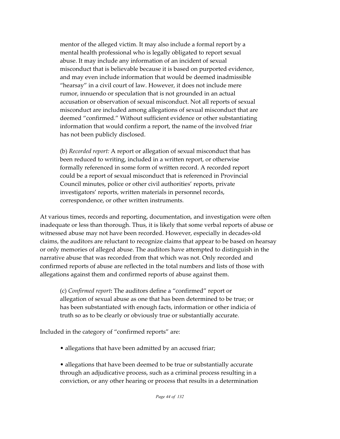mentor of the alleged victim. It may also include a formal report by a mental health professional who is legally obligated to report sexual abuse. It may include any information of an incident of sexual misconduct that is believable because it is based on purported evidence, and may even include information that would be deemed inadmissible "hearsay" in a civil court of law. However, it does not include mere rumor, innuendo or speculation that is not grounded in an actual accusation or observation of sexual misconduct. Not all reports of sexual misconduct are included among allegations of sexual misconduct that are deemed "confirmed." Without sufficient evidence or other substantiating information that would confirm a report, the name of the involved friar has not been publicly disclosed.

(b) *Recorded report:* A report or allegation of sexual misconduct that has been reduced to writing, included in a written report, or otherwise formally referenced in some form of written record. A recorded report could be a report of sexual misconduct that is referenced in Provincial Council minutes, police or other civil authorities' reports, private investigators' reports, written materials in personnel records, correspondence, or other written instruments.

At various times, records and reporting, documentation, and investigation were often inadequate or less than thorough. Thus, it is likely that some verbal reports of abuse or witnessed abuse may not have been recorded. However, especially in decades-old claims, the auditors are reluctant to recognize claims that appear to be based on hearsay or only memories of alleged abuse. The auditors have attempted to distinguish in the narrative abuse that was recorded from that which was not. Only recorded and confirmed reports of abuse are reflected in the total numbers and lists of those with allegations against them and confirmed reports of abuse against them.

(c) *Confirmed report***:** The auditors define a "confirmed" report or allegation of sexual abuse as one that has been determined to be true; or has been substantiated with enough facts, information or other indicia of truth so as to be clearly or obviously true or substantially accurate.

Included in the category of "confirmed reports" are:

• allegations that have been admitted by an accused friar;

• allegations that have been deemed to be true or substantially accurate through an adjudicative process, such as a criminal process resulting in a conviction, or any other hearing or process that results in a determination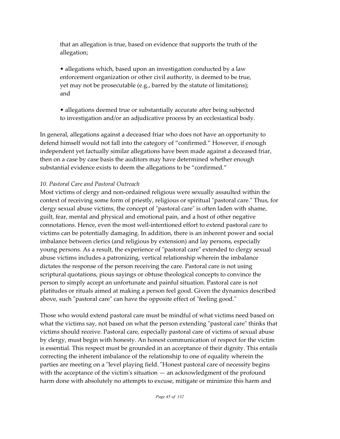that an allegation is true, based on evidence that supports the truth of the allegation;

• allegations which, based upon an investigation conducted by a law enforcement organization or other civil authority, is deemed to be true, yet may not be prosecutable (e.g., barred by the statute of limitations); and

• allegations deemed true or substantially accurate after being subjected to investigation and/or an adjudicative process by an ecclesiastical body.

In general, allegations against a deceased friar who does not have an opportunity to defend himself would not fall into the category of "confirmed." However, if enough independent yet factually similar allegations have been made against a deceased friar, then on a case by case basis the auditors may have determined whether enough substantial evidence exists to deem the allegations to be "confirmed."

#### *10. Pastoral Care and Pastoral Outreach*

Most victims of clergy and non-ordained religious were sexually assaulted within the context of receiving some form of priestly, religious or spiritual "pastoral care." Thus, for clergy sexual abuse victims, the concept of "pastoral care" is often laden with shame, guilt, fear, mental and physical and emotional pain, and a host of other negative connotations. Hence, even the most well-intentioned effort to extend pastoral care to victims can be potentially damaging. In addition, there is an inherent power and social imbalance between clerics (and religious by extension) and lay persons, especially young persons. As a result, the experience of "pastoral care" extended to clergy sexual abuse victims includes a patronizing, vertical relationship wherein the imbalance dictates the response of the person receiving the care. Pastoral care is not using scriptural quotations, pious sayings or obtuse theological concepts to convince the person to simply accept an unfortunate and painful situation. Pastoral care is not platitudes or rituals aimed at making a person feel good. Given the dynamics described above, such "pastoral care" can have the opposite effect of "feeling good."

Those who would extend pastoral care must be mindful of what victims need based on what the victims say, not based on what the person extending "pastoral care" thinks that victims should receive. Pastoral care, especially pastoral care of victims of sexual abuse by clergy, must begin with honesty. An honest communication of respect for the victim is essential. This respect must be grounded in an acceptance of their dignity. This entails correcting the inherent imbalance of the relationship to one of equality wherein the parties are meeting on a "level playing field. "Honest pastoral care of necessity begins with the acceptance of the victim's situation — an acknowledgment of the profound harm done with absolutely no attempts to excuse, mitigate or minimize this harm and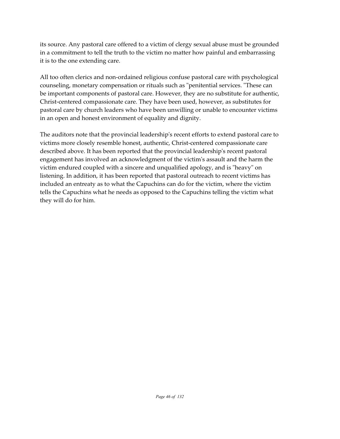its source. Any pastoral care offered to a victim of clergy sexual abuse must be grounded in a commitment to tell the truth to the victim no matter how painful and embarrassing it is to the one extending care.

All too often clerics and non-ordained religious confuse pastoral care with psychological counseling, monetary compensation or rituals such as "penitential services. "These can be important components of pastoral care. However, they are no substitute for authentic, Christ-centered compassionate care. They have been used, however, as substitutes for pastoral care by church leaders who have been unwilling or unable to encounter victims in an open and honest environment of equality and dignity.

The auditors note that the provincial leadership's recent efforts to extend pastoral care to victims more closely resemble honest, authentic, Christ-centered compassionate care described above. It has been reported that the provincial leadership's recent pastoral engagement has involved an acknowledgment of the victim's assault and the harm the victim endured coupled with a sincere and unqualified apology, and is "heavy" on listening. In addition, it has been reported that pastoral outreach to recent victims has included an entreaty as to what the Capuchins can do for the victim, where the victim tells the Capuchins what he needs as opposed to the Capuchins telling the victim what they will do for him.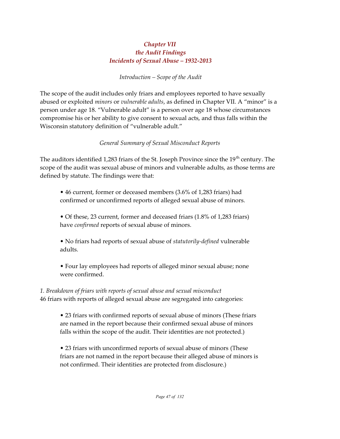#### *Chapter VII the Audit Findings Incidents of Sexual Abuse – 1932-2013*

*Introduction – Scope of the Audit*

The scope of the audit includes only friars and employees reported to have sexually abused or exploited *minors* or *vulnerable adults*, as defined in Chapter VII. A "minor" is a person under age 18. "Vulnerable adult" is a person over age 18 whose circumstances compromise his or her ability to give consent to sexual acts, and thus falls within the Wisconsin statutory definition of "vulnerable adult."

## *General Summary of Sexual Misconduct Reports*

The auditors identified 1,283 friars of the St. Joseph Province since the 19 $^{\rm th}$  century. The scope of the audit was sexual abuse of minors and vulnerable adults, as those terms are defined by statute. The findings were that:

• 46 current, former or deceased members (3.6% of 1,283 friars) had confirmed or unconfirmed reports of alleged sexual abuse of minors.

• Of these, 23 current, former and deceased friars (1.8% of 1,283 friars) have *confirmed* reports of sexual abuse of minors.

• No friars had reports of sexual abuse of *statutorily-defined* vulnerable adults.

• Four lay employees had reports of alleged minor sexual abuse; none were confirmed.

*1. Breakdown of friars with reports of sexual abuse and sexual misconduct* 46 friars with reports of alleged sexual abuse are segregated into categories:

• 23 friars with confirmed reports of sexual abuse of minors (These friars are named in the report because their confirmed sexual abuse of minors falls within the scope of the audit. Their identities are not protected.)

• 23 friars with unconfirmed reports of sexual abuse of minors (These friars are not named in the report because their alleged abuse of minors is not confirmed. Their identities are protected from disclosure.)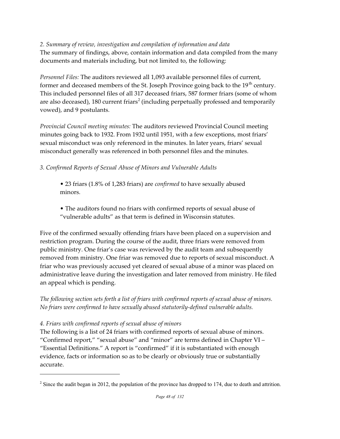*2. Summary of review, investigation and compilation of information and data*

The summary of findings, above, contain information and data compiled from the many documents and materials including, but not limited to, the following:

*Personnel Files:* The auditors reviewed all 1,093 available personnel files of current, former and deceased members of the St. Joseph Province going back to the 19<sup>th</sup> century. This included personnel files of all 317 deceased friars, 587 former friars (some of whom are also deceased), 180 current friars $^2$  (including perpetually professed and temporarily vowed), and 9 postulants.

*Provincial Council meeting minutes:* The auditors reviewed Provincial Council meeting minutes going back to 1932. From 1932 until 1951, with a few exceptions, most friars' sexual misconduct was only referenced in the minutes. In later years, friars' sexual misconduct generally was referenced in both personnel files and the minutes.

*3. Confirmed Reports of Sexual Abuse of Minors and Vulnerable Adults*

• 23 friars (1.8% of 1,283 friars) are *confirmed* to have sexually abused minors.

• The auditors found no friars with confirmed reports of sexual abuse of "vulnerable adults" as that term is defined in Wisconsin statutes.

Five of the confirmed sexually offending friars have been placed on a supervision and restriction program. During the course of the audit, three friars were removed from public ministry. One friar's case was reviewed by the audit team and subsequently removed from ministry. One friar was removed due to reports of sexual misconduct. A friar who was previously accused yet cleared of sexual abuse of a minor was placed on administrative leave during the investigation and later removed from ministry. He filed an appeal which is pending.

*The following section sets forth a list of friars with confirmed reports of sexual abuse of minors. No friars were confirmed to have sexually abused statutorily-defined vulnerable adults.*

## *4. Friars with confirmed reports of sexual abuse of minors*

The following is a list of 24 friars with confirmed reports of sexual abuse of minors. "Confirmed report," "sexual abuse" and "minor" are terms defined in Chapter VI – "Essential Definitions." A report is "confirmed" if it is substantiated with enough evidence, facts or information so as to be clearly or obviously true or substantially accurate.

<sup>&</sup>lt;sup>2</sup> Since the audit began in 2012, the population of the province has dropped to 174, due to death and attrition.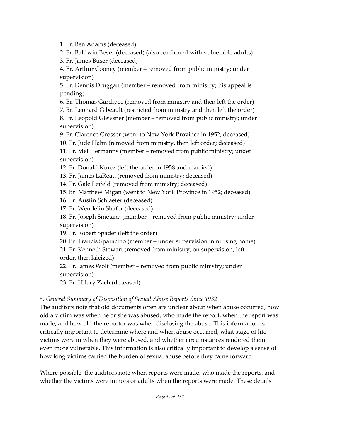1. Fr. Ben Adams (deceased)

2. Fr. Baldwin Beyer (deceased) (also confirmed with vulnerable adults)

3. Fr. James Buser (deceased)

4. Fr. Arthur Cooney (member – removed from public ministry; under supervision)

5. Fr. Dennis Druggan (member – removed from ministry; his appeal is pending)

6. Br. Thomas Gardipee (removed from ministry and then left the order)

7. Br. Leonard Gibeault (restricted from ministry and then left the order)

8. Fr. Leopold Gleissner (member – removed from public ministry; under supervision)

9. Fr. Clarence Grosser (went to New York Province in 1952; deceased) 10. Fr. Jude Hahn (removed from ministry, then left order; deceased)

11. Fr. Mel Hermanns (member – removed from public ministry; under supervision)

12. Fr. Donald Kurcz (left the order in 1958 and married)

13. Fr. James LaReau (removed from ministry; deceased)

14. Fr. Gale Leifeld (removed from ministry; deceased)

15. Br. Matthew Migan (went to New York Province in 1952; deceased)

16. Fr. Austin Schlaefer (deceased)

17. Fr. Wendelin Shafer (deceased)

18. Fr. Joseph Smetana (member – removed from public ministry; under supervision)

19. Fr. Robert Spader (left the order)

20. Br. Francis Sparacino (member – under supervision in nursing home)

21. Fr. Kenneth Stewart (removed from ministry, on supervision, left order, then laicized)

22. Fr. James Wolf (member – removed from public ministry; under supervision)

23. Fr. Hilary Zach (deceased)

#### *5. General Summary of Disposition of Sexual Abuse Reports Since 1932*

The auditors note that old documents often are unclear about when abuse occurred, how old a victim was when he or she was abused, who made the report, when the report was made, and how old the reporter was when disclosing the abuse. This information is critically important to determine where and when abuse occurred, what stage of life victims were in when they were abused, and whether circumstances rendered them even more vulnerable. This information is also critically important to develop a sense of how long victims carried the burden of sexual abuse before they came forward.

Where possible, the auditors note when reports were made, who made the reports, and whether the victims were minors or adults when the reports were made. These details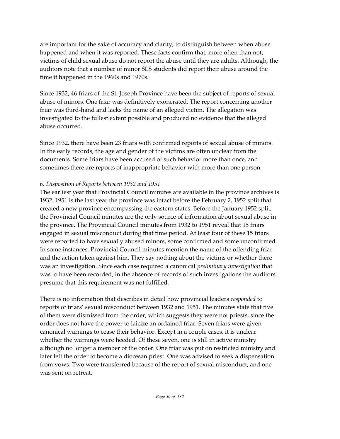are important for the sake of accuracy and clarity, to distinguish between when abuse happened and when it was reported. These facts confirm that, more often than not, victims of child sexual abuse do not report the abuse until they are adults. Although, the auditors note that a number of minor SLS students did report their abuse around the time it happened in the 1960s and 1970s.

Since 1932, 46 friars of the St. Joseph Province have been the subject of reports of sexual abuse of minors. One friar was definitively exonerated. The report concerning another friar was third-hand and lacks the name of an alleged victim. The allegation was investigated to the fullest extent possible and produced no evidence that the alleged abuse occurred.

Since 1932, there have been 23 friars with confirmed reports of sexual abuse of minors. In the early records, the age and gender of the victims are often unclear from the documents. Some friars have been accused of such behavior more than once, and sometimes there are reports of inappropriate behavior with more than one person.

#### *6. Disposition of Reports between 1932 and 1951*

The earliest year that Provincial Council minutes are available in the province archives is 1932. 1951 is the last year the province was intact before the February 2, 1952 split that created a new province encompassing the eastern states. Before the January 1952 split, the Provincial Council minutes are the only source of information about sexual abuse in the province. The Provincial Council minutes from 1932 to 1951 reveal that 15 friars engaged in sexual misconduct during that time period. At least four of these 15 friars were reported to have sexually abused minors, some confirmed and some unconfirmed. In some instances, Provincial Council minutes mention the name of the offending friar and the action taken against him. They say nothing about the victims or whether there was an investigation. Since each case required a canonical *preliminary investigation* that was to have been recorded, in the absence of records of such investigations the auditors presume that this requirement was not fulfilled.

There is no information that describes in detail how provincial leaders *responded* to reports of friars' sexual misconduct between 1932 and 1951. The minutes state that five of them were dismissed from the order, which suggests they were not priests, since the order does not have the power to laicize an ordained friar. Seven friars were given canonical warnings to cease their behavior. Except in a couple cases, it is unclear whether the warnings were heeded. Of these seven, one is still in active ministry although no longer a member of the order. One friar was put on restricted ministry and later left the order to become a diocesan priest. One was advised to seek a dispensation from vows. Two were transferred because of the report of sexual misconduct, and one was sent on retreat.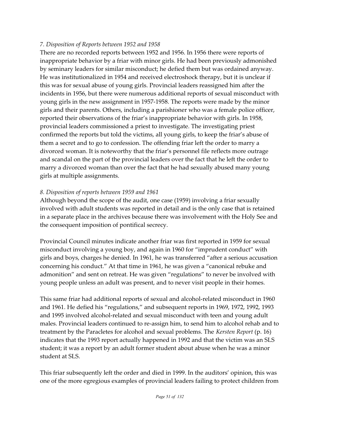#### *7. Disposition of Reports between 1952 and 1958*

There are no recorded reports between 1952 and 1956. In 1956 there were reports of inappropriate behavior by a friar with minor girls. He had been previously admonished by seminary leaders for similar misconduct; he defied them but was ordained anyway. He was institutionalized in 1954 and received electroshock therapy, but it is unclear if this was for sexual abuse of young girls. Provincial leaders reassigned him after the incidents in 1956, but there were numerous additional reports of sexual misconduct with young girls in the new assignment in 1957-1958. The reports were made by the minor girls and their parents. Others, including a parishioner who was a female police officer, reported their observations of the friar's inappropriate behavior with girls. In 1958, provincial leaders commissioned a priest to investigate. The investigating priest confirmed the reports but told the victims, all young girls, to keep the friar's abuse of them a secret and to go to confession. The offending friar left the order to marry a divorced woman. It is noteworthy that the friar's personnel file reflects more outrage and scandal on the part of the provincial leaders over the fact that he left the order to marry a divorced woman than over the fact that he had sexually abused many young girls at multiple assignments.

#### *8. Disposition of reports between 1959 and 1961*

Although beyond the scope of the audit, one case (1959) involving a friar sexually involved with adult students was reported in detail and is the only case that is retained in a separate place in the archives because there was involvement with the Holy See and the consequent imposition of pontifical secrecy.

Provincial Council minutes indicate another friar was first reported in 1959 for sexual misconduct involving a young boy, and again in 1960 for "imprudent conduct" with girls and boys, charges he denied. In 1961, he was transferred "after a serious accusation concerning his conduct." At that time in 1961, he was given a "canonical rebuke and admonition" and sent on retreat. He was given "regulations" to never be involved with young people unless an adult was present, and to never visit people in their homes.

This same friar had additional reports of sexual and alcohol-related misconduct in 1960 and 1961. He defied his "regulations," and subsequent reports in 1969, 1972, 1992, 1993 and 1995 involved alcohol-related and sexual misconduct with teen and young adult males. Provincial leaders continued to re-assign him, to send him to alcohol rehab and to treatment by the Paracletes for alcohol and sexual problems. The *Kersten Report* (p. 16) indicates that the 1993 report actually happened in 1992 and that the victim was an SLS student; it was a report by an adult former student about abuse when he was a minor student at SLS.

This friar subsequently left the order and died in 1999. In the auditors' opinion, this was one of the more egregious examples of provincial leaders failing to protect children from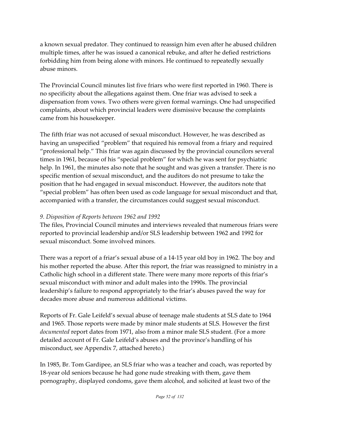a known sexual predator. They continued to reassign him even after he abused children multiple times, after he was issued a canonical rebuke, and after he defied restrictions forbidding him from being alone with minors. He continued to repeatedly sexually abuse minors.

The Provincial Council minutes list five friars who were first reported in 1960. There is no specificity about the allegations against them. One friar was advised to seek a dispensation from vows. Two others were given formal warnings. One had unspecified complaints, about which provincial leaders were dismissive because the complaints came from his housekeeper.

The fifth friar was not accused of sexual misconduct. However, he was described as having an unspecified "problem" that required his removal from a friary and required "professional help." This friar was again discussed by the provincial councilors several times in 1961, because of his "special problem" for which he was sent for psychiatric help. In 1961, the minutes also note that he sought and was given a transfer. There is no specific mention of sexual misconduct, and the auditors do not presume to take the position that he had engaged in sexual misconduct. However, the auditors note that "special problem" has often been used as code language for sexual misconduct and that, accompanied with a transfer, the circumstances could suggest sexual misconduct.

#### *9. Disposition of Reports between 1962 and 1992*

The files, Provincial Council minutes and interviews revealed that numerous friars were reported to provincial leadership and/or SLS leadership between 1962 and 1992 for sexual misconduct. Some involved minors.

There was a report of a friar's sexual abuse of a 14-15 year old boy in 1962. The boy and his mother reported the abuse. After this report, the friar was reassigned to ministry in a Catholic high school in a different state. There were many more reports of this friar's sexual misconduct with minor and adult males into the 1990s. The provincial leadership's failure to respond appropriately to the friar's abuses paved the way for decades more abuse and numerous additional victims.

Reports of Fr. Gale Leifeld's sexual abuse of teenage male students at SLS date to 1964 and 1965. Those reports were made by minor male students at SLS. However the first *documented* report dates from 1971, also from a minor male SLS student. (For a more detailed account of Fr. Gale Leifeld's abuses and the province's handling of his misconduct, see Appendix 7, attached hereto.)

In 1985, Br. Tom Gardipee, an SLS friar who was a teacher and coach, was reported by 18-year old seniors because he had gone nude streaking with them, gave them pornography, displayed condoms, gave them alcohol, and solicited at least two of the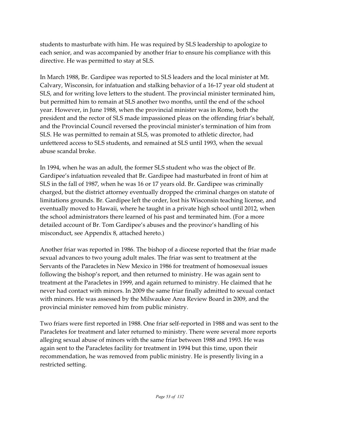students to masturbate with him. He was required by SLS leadership to apologize to each senior, and was accompanied by another friar to ensure his compliance with this directive. He was permitted to stay at SLS.

In March 1988, Br. Gardipee was reported to SLS leaders and the local minister at Mt. Calvary, Wisconsin, for infatuation and stalking behavior of a 16-17 year old student at SLS, and for writing love letters to the student. The provincial minister terminated him, but permitted him to remain at SLS another two months, until the end of the school year. However, in June 1988, when the provincial minister was in Rome, both the president and the rector of SLS made impassioned pleas on the offending friar's behalf, and the Provincial Council reversed the provincial minister's termination of him from SLS. He was permitted to remain at SLS, was promoted to athletic director, had unfettered access to SLS students, and remained at SLS until 1993, when the sexual abuse scandal broke.

In 1994, when he was an adult, the former SLS student who was the object of Br. Gardipee's infatuation revealed that Br. Gardipee had masturbated in front of him at SLS in the fall of 1987, when he was 16 or 17 years old. Br. Gardipee was criminally charged, but the district attorney eventually dropped the criminal charges on statute of limitations grounds. Br. Gardipee left the order, lost his Wisconsin teaching license, and eventually moved to Hawaii, where he taught in a private high school until 2012, when the school administrators there learned of his past and terminated him. (For a more detailed account of Br. Tom Gardipee's abuses and the province's handling of his misconduct, see Appendix 8, attached hereto.)

Another friar was reported in 1986. The bishop of a diocese reported that the friar made sexual advances to two young adult males. The friar was sent to treatment at the Servants of the Paracletes in New Mexico in 1986 for treatment of homosexual issues following the bishop's report, and then returned to ministry. He was again sent to treatment at the Paracletes in 1999, and again returned to ministry. He claimed that he never had contact with minors. In 2009 the same friar finally admitted to sexual contact with minors. He was assessed by the Milwaukee Area Review Board in 2009, and the provincial minister removed him from public ministry.

Two friars were first reported in 1988. One friar self-reported in 1988 and was sent to the Paracletes for treatment and later returned to ministry. There were several more reports alleging sexual abuse of minors with the same friar between 1988 and 1993. He was again sent to the Paracletes facility for treatment in 1994 but this time, upon their recommendation, he was removed from public ministry. He is presently living in a restricted setting.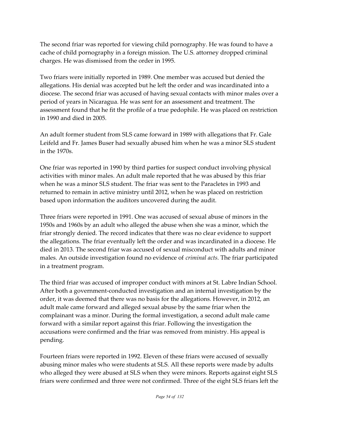The second friar was reported for viewing child pornography. He was found to have a cache of child pornography in a foreign mission. The U.S. attorney dropped criminal charges. He was dismissed from the order in 1995.

Two friars were initially reported in 1989. One member was accused but denied the allegations. His denial was accepted but he left the order and was incardinated into a diocese. The second friar was accused of having sexual contacts with minor males over a period of years in Nicaragua. He was sent for an assessment and treatment. The assessment found that he fit the profile of a true pedophile. He was placed on restriction in 1990 and died in 2005.

An adult former student from SLS came forward in 1989 with allegations that Fr. Gale Leifeld and Fr. James Buser had sexually abused him when he was a minor SLS student in the 1970s.

One friar was reported in 1990 by third parties for suspect conduct involving physical activities with minor males. An adult male reported that he was abused by this friar when he was a minor SLS student. The friar was sent to the Paracletes in 1993 and returned to remain in active ministry until 2012, when he was placed on restriction based upon information the auditors uncovered during the audit.

Three friars were reported in 1991. One was accused of sexual abuse of minors in the 1950s and 1960s by an adult who alleged the abuse when she was a minor, which the friar strongly denied. The record indicates that there was no clear evidence to support the allegations. The friar eventually left the order and was incardinated in a diocese. He died in 2013. The second friar was accused of sexual misconduct with adults and minor males. An outside investigation found no evidence of *criminal acts*. The friar participated in a treatment program.

The third friar was accused of improper conduct with minors at St. Labre Indian School. After both a government-conducted investigation and an internal investigation by the order, it was deemed that there was no basis for the allegations. However, in 2012, an adult male came forward and alleged sexual abuse by the same friar when the complainant was a minor. During the formal investigation, a second adult male came forward with a similar report against this friar. Following the investigation the accusations were confirmed and the friar was removed from ministry. His appeal is pending.

Fourteen friars were reported in 1992. Eleven of these friars were accused of sexually abusing minor males who were students at SLS. All these reports were made by adults who alleged they were abused at SLS when they were minors. Reports against eight SLS friars were confirmed and three were not confirmed. Three of the eight SLS friars left the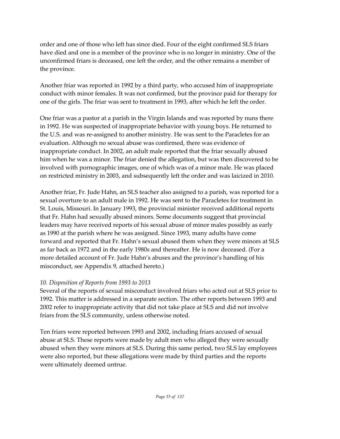order and one of those who left has since died. Four of the eight confirmed SLS friars have died and one is a member of the province who is no longer in ministry. One of the unconfirmed friars is deceased, one left the order, and the other remains a member of the province.

Another friar was reported in 1992 by a third party, who accused him of inappropriate conduct with minor females. It was not confirmed, but the province paid for therapy for one of the girls. The friar was sent to treatment in 1993, after which he left the order.

One friar was a pastor at a parish in the Virgin Islands and was reported by nuns there in 1992. He was suspected of inappropriate behavior with young boys. He returned to the U.S. and was re-assigned to another ministry. He was sent to the Paracletes for an evaluation. Although no sexual abuse was confirmed, there was evidence of inappropriate conduct. In 2002, an adult male reported that the friar sexually abused him when he was a minor. The friar denied the allegation, but was then discovered to be involved with pornographic images, one of which was of a minor male. He was placed on restricted ministry in 2003, and subsequently left the order and was laicized in 2010.

Another friar, Fr. Jude Hahn, an SLS teacher also assigned to a parish, was reported for a sexual overture to an adult male in 1992. He was sent to the Paracletes for treatment in St. Louis, Missouri. In January 1993, the provincial minister received additional reports that Fr. Hahn had sexually abused minors. Some documents suggest that provincial leaders may have received reports of his sexual abuse of minor males possibly as early as 1990 at the parish where he was assigned. Since 1993, many adults have come forward and reported that Fr. Hahn's sexual abused them when they were minors at SLS as far back as 1972 and in the early 1980s and thereafter. He is now deceased. (For a more detailed account of Fr. Jude Hahn's abuses and the province's handling of his misconduct, see Appendix 9, attached hereto.)

#### *10. Disposition of Reports from 1993 to 2013*

Several of the reports of sexual misconduct involved friars who acted out at SLS prior to 1992. This matter is addressed in a separate section. The other reports between 1993 and 2002 refer to inappropriate activity that did not take place at SLS and did not involve friars from the SLS community, unless otherwise noted.

Ten friars were reported between 1993 and 2002, including friars accused of sexual abuse at SLS. These reports were made by adult men who alleged they were sexually abused when they were minors at SLS. During this same period, two SLS lay employees were also reported, but these allegations were made by third parties and the reports were ultimately deemed untrue.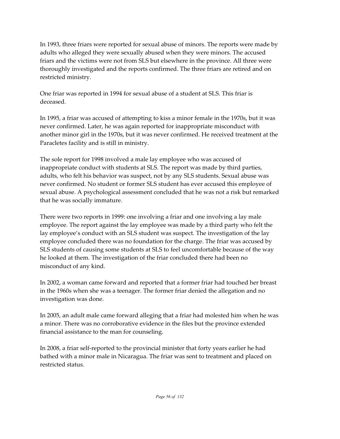In 1993, three friars were reported for sexual abuse of minors. The reports were made by adults who alleged they were sexually abused when they were minors. The accused friars and the victims were not from SLS but elsewhere in the province. All three were thoroughly investigated and the reports confirmed. The three friars are retired and on restricted ministry.

One friar was reported in 1994 for sexual abuse of a student at SLS. This friar is deceased.

In 1995, a friar was accused of attempting to kiss a minor female in the 1970s, but it was never confirmed. Later, he was again reported for inappropriate misconduct with another minor girl in the 1970s, but it was never confirmed. He received treatment at the Paracletes facility and is still in ministry.

The sole report for 1998 involved a male lay employee who was accused of inappropriate conduct with students at SLS. The report was made by third parties, adults, who felt his behavior was suspect, not by any SLS students. Sexual abuse was never confirmed. No student or former SLS student has ever accused this employee of sexual abuse. A psychological assessment concluded that he was not a risk but remarked that he was socially immature.

There were two reports in 1999: one involving a friar and one involving a lay male employee. The report against the lay employee was made by a third party who felt the lay employee's conduct with an SLS student was suspect. The investigation of the lay employee concluded there was no foundation for the charge. The friar was accused by SLS students of causing some students at SLS to feel uncomfortable because of the way he looked at them. The investigation of the friar concluded there had been no misconduct of any kind.

In 2002, a woman came forward and reported that a former friar had touched her breast in the 1960s when she was a teenager. The former friar denied the allegation and no investigation was done.

In 2005, an adult male came forward alleging that a friar had molested him when he was a minor. There was no corroborative evidence in the files but the province extended financial assistance to the man for counseling.

In 2008, a friar self-reported to the provincial minister that forty years earlier he had bathed with a minor male in Nicaragua. The friar was sent to treatment and placed on restricted status.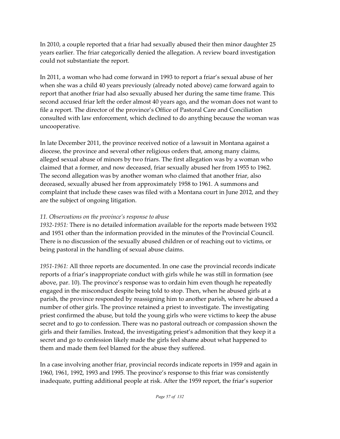In 2010, a couple reported that a friar had sexually abused their then minor daughter 25 years earlier. The friar categorically denied the allegation. A review board investigation could not substantiate the report.

In 2011, a woman who had come forward in 1993 to report a friar's sexual abuse of her when she was a child 40 years previously (already noted above) came forward again to report that another friar had also sexually abused her during the same time frame. This second accused friar left the order almost 40 years ago, and the woman does not want to file a report. The director of the province's Office of Pastoral Care and Conciliation consulted with law enforcement, which declined to do anything because the woman was uncooperative.

In late December 2011, the province received notice of a lawsuit in Montana against a diocese, the province and several other religious orders that, among many claims, alleged sexual abuse of minors by two friars. The first allegation was by a woman who claimed that a former, and now deceased, friar sexually abused her from 1955 to 1962. The second allegation was by another woman who claimed that another friar, also deceased, sexually abused her from approximately 1958 to 1961. A summons and complaint that include these cases was filed with a Montana court in June 2012, and they are the subject of ongoing litigation.

#### *11. Observations on the province's response to abuse*

*1932-1951:* There is no detailed information available for the reports made between 1932 and 1951 other than the information provided in the minutes of the Provincial Council. There is no discussion of the sexually abused children or of reaching out to victims, or being pastoral in the handling of sexual abuse claims.

*1951-1961:* All three reports are documented. In one case the provincial records indicate reports of a friar's inappropriate conduct with girls while he was still in formation (see above, par. 10). The province's response was to ordain him even though he repeatedly engaged in the misconduct despite being told to stop. Then, when he abused girls at a parish, the province responded by reassigning him to another parish, where he abused a number of other girls. The province retained a priest to investigate. The investigating priest confirmed the abuse, but told the young girls who were victims to keep the abuse secret and to go to confession. There was no pastoral outreach or compassion shown the girls and their families. Instead, the investigating priest's admonition that they keep it a secret and go to confession likely made the girls feel shame about what happened to them and made them feel blamed for the abuse they suffered.

In a case involving another friar, provincial records indicate reports in 1959 and again in 1960, 1961, 1992, 1993 and 1995. The province's response to this friar was consistently inadequate, putting additional people at risk. After the 1959 report, the friar's superior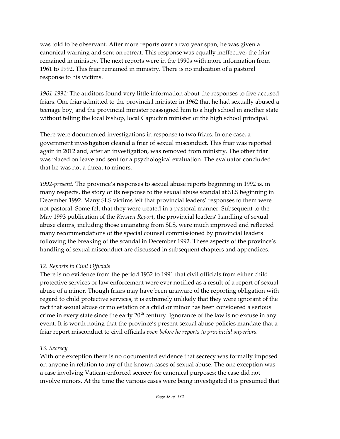was told to be observant. After more reports over a two year span, he was given a canonical warning and sent on retreat. This response was equally ineffective; the friar remained in ministry. The next reports were in the 1990s with more information from 1961 to 1992. This friar remained in ministry. There is no indication of a pastoral response to his victims.

*1961-1991:* The auditors found very little information about the responses to five accused friars. One friar admitted to the provincial minister in 1962 that he had sexually abused a teenage boy, and the provincial minister reassigned him to a high school in another state without telling the local bishop, local Capuchin minister or the high school principal.

There were documented investigations in response to two friars. In one case, a government investigation cleared a friar of sexual misconduct. This friar was reported again in 2012 and, after an investigation, was removed from ministry. The other friar was placed on leave and sent for a psychological evaluation. The evaluator concluded that he was not a threat to minors.

*1992-present:* The province's responses to sexual abuse reports beginning in 1992 is, in many respects, the story of its response to the sexual abuse scandal at SLS beginning in December 1992. Many SLS victims felt that provincial leaders' responses to them were not pastoral. Some felt that they were treated in a pastoral manner. Subsequent to the May 1993 publication of the *Kersten Report*, the provincial leaders' handling of sexual abuse claims, including those emanating from SLS, were much improved and reflected many recommendations of the special counsel commissioned by provincial leaders following the breaking of the scandal in December 1992. These aspects of the province's handling of sexual misconduct are discussed in subsequent chapters and appendices.

#### *12. Reports to Civil Officials*

There is no evidence from the period 1932 to 1991 that civil officials from either child protective services or law enforcement were ever notified as a result of a report of sexual abuse of a minor. Though friars may have been unaware of the reporting obligation with regard to child protective services, it is extremely unlikely that they were ignorant of the fact that sexual abuse or molestation of a child or minor has been considered a serious crime in every state since the early 20 $^{\rm th}$  century. Ignorance of the law is no excuse in any event. It is worth noting that the province's present sexual abuse policies mandate that a friar report misconduct to civil officials *even before he reports to provincial superiors.*

#### *13. Secrecy*

With one exception there is no documented evidence that secrecy was formally imposed on anyone in relation to any of the known cases of sexual abuse. The one exception was a case involving Vatican-enforced secrecy for canonical purposes; the case did not involve minors. At the time the various cases were being investigated it is presumed that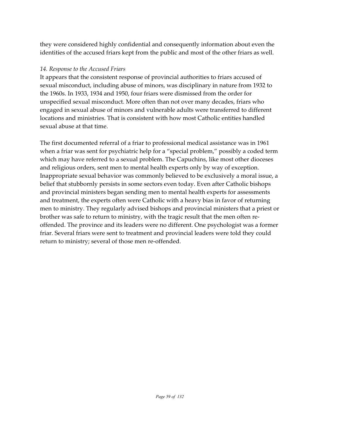they were considered highly confidential and consequently information about even the identities of the accused friars kept from the public and most of the other friars as well.

#### *14. Response to the Accused Friars*

It appears that the consistent response of provincial authorities to friars accused of sexual misconduct, including abuse of minors, was disciplinary in nature from 1932 to the 1960s. In 1933, 1934 and 1950, four friars were dismissed from the order for unspecified sexual misconduct. More often than not over many decades, friars who engaged in sexual abuse of minors and vulnerable adults were transferred to different locations and ministries. That is consistent with how most Catholic entities handled sexual abuse at that time.

The first documented referral of a friar to professional medical assistance was in 1961 when a friar was sent for psychiatric help for a "special problem," possibly a coded term which may have referred to a sexual problem. The Capuchins, like most other dioceses and religious orders, sent men to mental health experts only by way of exception. Inappropriate sexual behavior was commonly believed to be exclusively a moral issue, a belief that stubbornly persists in some sectors even today. Even after Catholic bishops and provincial ministers began sending men to mental health experts for assessments and treatment, the experts often were Catholic with a heavy bias in favor of returning men to ministry. They regularly advised bishops and provincial ministers that a priest or brother was safe to return to ministry, with the tragic result that the men often reoffended. The province and its leaders were no different. One psychologist was a former friar. Several friars were sent to treatment and provincial leaders were told they could return to ministry; several of those men re-offended.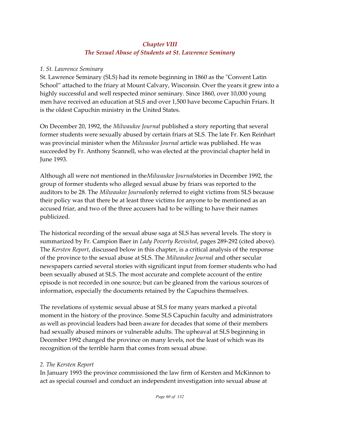#### *Chapter VIII The Sexual Abuse of Students at St. Lawrence Seminary*

#### *1. St. Lawrence Seminary*

St. Lawrence Seminary (SLS) had its remote beginning in 1860 as the "Convent Latin School" attached to the friary at Mount Calvary, Wisconsin. Over the years it grew into a highly successful and well respected minor seminary. Since 1860, over 10,000 young men have received an education at SLS and over 1,500 have become Capuchin Friars. It is the oldest Capuchin ministry in the United States.

On December 20, 1992, the *Milwaukee Journal* published a story reporting that several former students were sexually abused by certain friars at SLS. The late Fr. Ken Reinhart was provincial minister when the *Milwaukee Journal* article was published. He was succeeded by Fr. Anthony Scannell, who was elected at the provincial chapter held in June 1993.

Although all were not mentioned in the*Milwaukee Journal*stories in December 1992, the group of former students who alleged sexual abuse by friars was reported to the auditors to be 28. The *Milwaukee Journal*only referred to eight victims from SLS because their policy was that there be at least three victims for anyone to be mentioned as an accused friar, and two of the three accusers had to be willing to have their names publicized.

The historical recording of the sexual abuse saga at SLS has several levels. The story is summarized by Fr. Campion Baer in *Lady Poverty Revisited*, pages 289-292 (cited above). The *Kersten Report*, discussed below in this chapter, is a critical analysis of the response of the province to the sexual abuse at SLS. The *Milwaukee Journal* and other secular newspapers carried several stories with significant input from former students who had been sexually abused at SLS. The most accurate and complete account of the entire episode is not recorded in one source; but can be gleaned from the various sources of information, especially the documents retained by the Capuchins themselves.

The revelations of systemic sexual abuse at SLS for many years marked a pivotal moment in the history of the province. Some SLS Capuchin faculty and administrators as well as provincial leaders had been aware for decades that some of their members had sexually abused minors or vulnerable adults. The upheaval at SLS beginning in December 1992 changed the province on many levels, not the least of which was its recognition of the terrible harm that comes from sexual abuse.

#### *2. The Kersten Report*

In January 1993 the province commissioned the law firm of Kersten and McKinnon to act as special counsel and conduct an independent investigation into sexual abuse at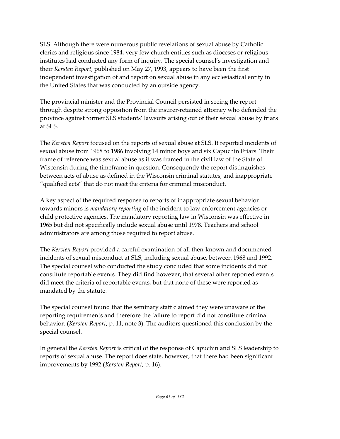SLS. Although there were numerous public revelations of sexual abuse by Catholic clerics and religious since 1984, very few church entities such as dioceses or religious institutes had conducted any form of inquiry. The special counsel's investigation and their *Kersten Report*, published on May 27, 1993, appears to have been the first independent investigation of and report on sexual abuse in any ecclesiastical entity in the United States that was conducted by an outside agency.

The provincial minister and the Provincial Council persisted in seeing the report through despite strong opposition from the insurer-retained attorney who defended the province against former SLS students' lawsuits arising out of their sexual abuse by friars at SLS.

The *Kersten Report* focused on the reports of sexual abuse at SLS. It reported incidents of sexual abuse from 1968 to 1986 involving 14 minor boys and six Capuchin Friars. Their frame of reference was sexual abuse as it was framed in the civil law of the State of Wisconsin during the timeframe in question. Consequently the report distinguishes between acts of abuse as defined in the Wisconsin criminal statutes, and inappropriate "qualified acts" that do not meet the criteria for criminal misconduct.

A key aspect of the required response to reports of inappropriate sexual behavior towards minors is *mandatory reporting* of the incident to law enforcement agencies or child protective agencies. The mandatory reporting law in Wisconsin was effective in 1965 but did not specifically include sexual abuse until 1978. Teachers and school administrators are among those required to report abuse.

The *Kersten Report* provided a careful examination of all then-known and documented incidents of sexual misconduct at SLS, including sexual abuse, between 1968 and 1992. The special counsel who conducted the study concluded that some incidents did not constitute reportable events. They did find however, that several other reported events did meet the criteria of reportable events, but that none of these were reported as mandated by the statute.

The special counsel found that the seminary staff claimed they were unaware of the reporting requirements and therefore the failure to report did not constitute criminal behavior. (*Kersten Report*, p. 11, note 3). The auditors questioned this conclusion by the special counsel.

In general the *Kersten Report* is critical of the response of Capuchin and SLS leadership to reports of sexual abuse. The report does state, however, that there had been significant improvements by 1992 (*Kersten Report*, p. 16).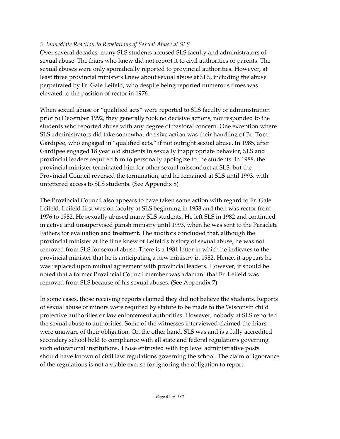#### *3. Immediate Reaction to Revelations of Sexual Abuse at SLS*

Over several decades, many SLS students accused SLS faculty and administrators of sexual abuse. The friars who knew did not report it to civil authorities or parents. The sexual abuses were only sporadically reported to provincial authorities. However, at least three provincial ministers knew about sexual abuse at SLS, including the abuse perpetrated by Fr. Gale Leifeld, who despite being reported numerous times was elevated to the position of rector in 1976.

When sexual abuse or "qualified acts" were reported to SLS faculty or administration prior to December 1992, they generally took no decisive actions, nor responded to the students who reported abuse with any degree of pastoral concern. One exception where SLS administrators did take somewhat decisive action was their handling of Br. Tom Gardipee, who engaged in "qualified acts," if not outright sexual abuse. In 1985, after Gardipee engaged 18 year old students in sexually inappropriate behavior, SLS and provincial leaders required him to personally apologize to the students. In 1988, the provincial minister terminated him for other sexual misconduct at SLS, but the Provincial Council reversed the termination, and he remained at SLS until 1993, with unfettered access to SLS students. (See Appendix 8)

The Provincial Council also appears to have taken some action with regard to Fr. Gale Leifeld. Leifeld first was on faculty at SLS beginning in 1958 and then was rector from 1976 to 1982. He sexually abused many SLS students. He left SLS in 1982 and continued in active and unsupervised parish ministry until 1993, when he was sent to the Paraclete Fathers for evaluation and treatment. The auditors concluded that, although the provincial minister at the time knew of Leifeld's history of sexual abuse, he was not removed from SLS for sexual abuse. There is a 1981 letter in which he indicates to the provincial minister that he is anticipating a new ministry in 1982. Hence, it appears he was replaced upon mutual agreement with provincial leaders. However, it should be noted that a former Provincial Council member was adamant that Fr. Leifeld was removed from SLS because of his sexual abuses. (See Appendix 7)

In some cases, those receiving reports claimed they did not believe the students. Reports of sexual abuse of minors were required by statute to be made to the Wisconsin child protective authorities or law enforcement authorities. However, nobody at SLS reported the sexual abuse to authorities. Some of the witnesses interviewed claimed the friars were unaware of their obligation. On the other hand, SLS was and is a fully accredited secondary school held to compliance with all state and federal regulations governing such educational institutions. Those entrusted with top level administrative posts should have known of civil law regulations governing the school. The claim of ignorance of the regulations is not a viable excuse for ignoring the obligation to report.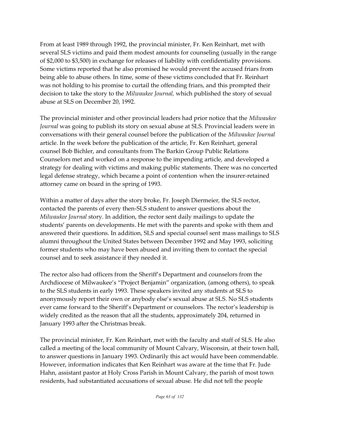From at least 1989 through 1992, the provincial minister, Fr. Ken Reinhart, met with several SLS victims and paid them modest amounts for counseling (usually in the range of \$2,000 to \$3,500) in exchange for releases of liability with confidentiality provisions. Some victims reported that he also promised he would prevent the accused friars from being able to abuse others. In time, some of these victims concluded that Fr. Reinhart was not holding to his promise to curtail the offending friars, and this prompted their decision to take the story to the *Milwaukee Journal,* which published the story of sexual abuse at SLS on December 20, 1992.

The provincial minister and other provincial leaders had prior notice that the *Milwaukee Journal* was going to publish its story on sexual abuse at SLS. Provincial leaders were in conversations with their general counsel before the publication of the *Milwaukee Journal* article. In the week before the publication of the article, Fr. Ken Reinhart, general counsel Bob Bichler, and consultants from The Barkin Group Public Relations Counselors met and worked on a response to the impending article, and developed a strategy for dealing with victims and making public statements. There was no concerted legal defense strategy, which became a point of contention when the insurer-retained attorney came on board in the spring of 1993.

Within a matter of days after the story broke, Fr. Joseph Diermeier, the SLS rector, contacted the parents of every then-SLS student to answer questions about the *Milwaukee Journal* story. In addition, the rector sent daily mailings to update the students' parents on developments. He met with the parents and spoke with them and answered their questions. In addition, SLS and special counsel sent mass mailings to SLS alumni throughout the United States between December 1992 and May 1993, soliciting former students who may have been abused and inviting them to contact the special counsel and to seek assistance if they needed it.

The rector also had officers from the Sheriff's Department and counselors from the Archdiocese of Milwaukee's "Project Benjamin" organization, (among others), to speak to the SLS students in early 1993. These speakers invited any students at SLS to anonymously report their own or anybody else's sexual abuse at SLS. No SLS students ever came forward to the Sheriff's Department or counselors. The rector's leadership is widely credited as the reason that all the students, approximately 204, returned in January 1993 after the Christmas break.

The provincial minister, Fr. Ken Reinhart, met with the faculty and staff of SLS. He also called a meeting of the local community of Mount Calvary, Wisconsin, at their town hall, to answer questions in January 1993. Ordinarily this act would have been commendable. However, information indicates that Ken Reinhart was aware at the time that Fr. Jude Hahn, assistant pastor at Holy Cross Parish in Mount Calvary, the parish of most town residents, had substantiated accusations of sexual abuse. He did not tell the people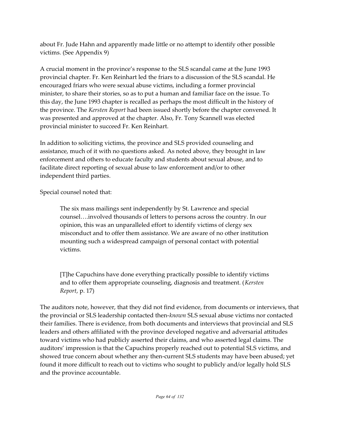about Fr. Jude Hahn and apparently made little or no attempt to identify other possible victims. (See Appendix 9)

A crucial moment in the province's response to the SLS scandal came at the June 1993 provincial chapter. Fr. Ken Reinhart led the friars to a discussion of the SLS scandal. He encouraged friars who were sexual abuse victims, including a former provincial minister, to share their stories, so as to put a human and familiar face on the issue. To this day, the June 1993 chapter is recalled as perhaps the most difficult in the history of the province. The *Kersten Report* had been issued shortly before the chapter convened. It was presented and approved at the chapter. Also, Fr. Tony Scannell was elected provincial minister to succeed Fr. Ken Reinhart.

In addition to soliciting victims, the province and SLS provided counseling and assistance, much of it with no questions asked. As noted above, they brought in law enforcement and others to educate faculty and students about sexual abuse, and to facilitate direct reporting of sexual abuse to law enforcement and/or to other independent third parties.

Special counsel noted that:

The six mass mailings sent independently by St. Lawrence and special counsel….involved thousands of letters to persons across the country. In our opinion, this was an unparalleled effort to identify victims of clergy sex misconduct and to offer them assistance. We are aware of no other institution mounting such a widespread campaign of personal contact with potential victims.

[T]he Capuchins have done everything practically possible to identify victims and to offer them appropriate counseling, diagnosis and treatment. (*Kersten Report*, p. 17)

The auditors note, however, that they did not find evidence, from documents or interviews, that the provincial or SLS leadership contacted then-*known* SLS sexual abuse victims nor contacted their families. There is evidence, from both documents and interviews that provincial and SLS leaders and others affiliated with the province developed negative and adversarial attitudes toward victims who had publicly asserted their claims, and who asserted legal claims. The auditors' impression is that the Capuchins properly reached out to potential SLS victims, and showed true concern about whether any then-current SLS students may have been abused; yet found it more difficult to reach out to victims who sought to publicly and/or legally hold SLS and the province accountable.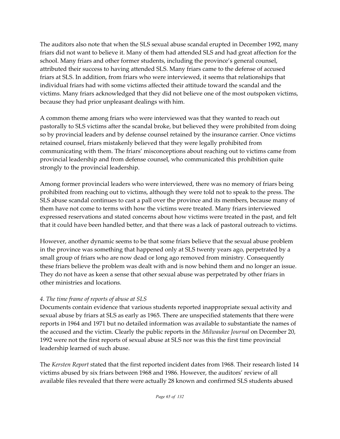The auditors also note that when the SLS sexual abuse scandal erupted in December 1992, many friars did not want to believe it. Many of them had attended SLS and had great affection for the school. Many friars and other former students, including the province's general counsel, attributed their success to having attended SLS. Many friars came to the defense of accused friars at SLS. In addition, from friars who were interviewed, it seems that relationships that individual friars had with some victims affected their attitude toward the scandal and the victims. Many friars acknowledged that they did not believe one of the most outspoken victims, because they had prior unpleasant dealings with him.

A common theme among friars who were interviewed was that they wanted to reach out pastorally to SLS victims after the scandal broke, but believed they were prohibited from doing so by provincial leaders and by defense counsel retained by the insurance carrier. Once victims retained counsel, friars mistakenly believed that they were legally prohibited from communicating with them. The friars' misconceptions about reaching out to victims came from provincial leadership and from defense counsel, who communicated this prohibition quite strongly to the provincial leadership.

Among former provincial leaders who were interviewed, there was no memory of friars being prohibited from reaching out to victims, although they were told not to speak to the press. The SLS abuse scandal continues to cast a pall over the province and its members, because many of them have not come to terms with how the victims were treated. Many friars interviewed expressed reservations and stated concerns about how victims were treated in the past, and felt that it could have been handled better, and that there was a lack of pastoral outreach to victims.

However, another dynamic seems to be that some friars believe that the sexual abuse problem in the province was something that happened only at SLS twenty years ago, perpetrated by a small group of friars who are now dead or long ago removed from ministry. Consequently these friars believe the problem was dealt with and is now behind them and no longer an issue. They do not have as keen a sense that other sexual abuse was perpetrated by other friars in other ministries and locations.

## *4. The time frame of reports of abuse at SLS*

Documents contain evidence that various students reported inappropriate sexual activity and sexual abuse by friars at SLS as early as 1965. There are unspecified statements that there were reports in 1964 and 1971 but no detailed information was available to substantiate the names of the accused and the victim. Clearly the public reports in the *Milwaukee Journal* on December 20, 1992 were not the first reports of sexual abuse at SLS nor was this the first time provincial leadership learned of such abuse.

The *Kersten Report* stated that the first reported incident dates from 1968. Their research listed 14 victims abused by six friars between 1968 and 1986. However, the auditors' review of all available files revealed that there were actually 28 known and confirmed SLS students abused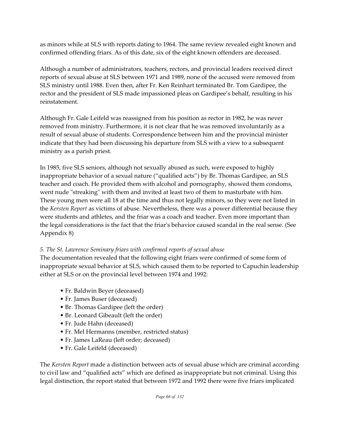as minors while at SLS with reports dating to 1964. The same review revealed eight known and confirmed offending friars. As of this date, six of the eight known offenders are deceased.

Although a number of administrators, teachers, rectors, and provincial leaders received direct reports of sexual abuse at SLS between 1971 and 1989, none of the accused were removed from SLS ministry until 1988. Even then, after Fr. Ken Reinhart terminated Br. Tom Gardipee, the rector and the president of SLS made impassioned pleas on Gardipee's behalf, resulting in his reinstatement.

Although Fr. Gale Leifeld was reassigned from his position as rector in 1982, he was never removed from ministry. Furthermore, it is not clear that he was removed involuntarily as a result of sexual abuse of students. Correspondence between him and the provincial minister indicate that they had been discussing his departure from SLS with a view to a subsequent ministry as a parish priest.

In 1985, five SLS seniors, although not sexually abused as such, were exposed to highly inappropriate behavior of a sexual nature ("qualified acts") by Br. Thomas Gardipee, an SLS teacher and coach. He provided them with alcohol and pornography, showed them condoms, went nude "streaking" with them and invited at least two of them to masturbate with him. These young men were all 18 at the time and thus not legally minors, so they were not listed in the *Kersten Report* as victims of abuse. Nevertheless, there was a power differential because they were students and athletes, and the friar was a coach and teacher. Even more important than the legal considerations is the fact that the friar's behavior caused scandal in the real sense. (See Appendix 8)

#### *5. The St. Lawrence Seminary friars with confirmed reports of sexual abuse*

The documentation revealed that the following eight friars were confirmed of some form of inappropriate sexual behavior at SLS, which caused them to be reported to Capuchin leadership either at SLS or on the provincial level between 1974 and 1992:

- Fr. Baldwin Beyer (deceased)
- Fr. James Buser (deceased)
- Br. Thomas Gardipee (left the order)
- Br. Leonard Gibeault (left the order)
- Fr. Jude Hahn (deceased)
- Fr. Mel Hermanns (member, restricted status)
- Fr. James LaReau (left order; deceased)
- Fr. Gale Leifeld (deceased)

The *Kersten Report* made a distinction between acts of sexual abuse which are criminal according to civil law and "qualified acts" which are defined as inappropriate but not criminal. Using this legal distinction, the report stated that between 1972 and 1992 there were five friars implicated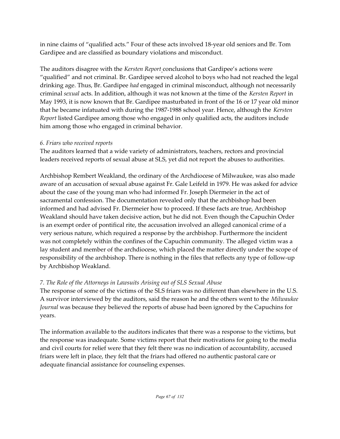in nine claims of "qualified acts." Four of these acts involved 18-year old seniors and Br. Tom Gardipee and are classified as boundary violations and misconduct.

The auditors disagree with the *Kersten Report* conclusions that Gardipee's actions were "qualified" and not criminal. Br. Gardipee served alcohol to boys who had not reached the legal drinking age. Thus, Br. Gardipee *had* engaged in criminal misconduct, although not necessarily criminal *sexual* acts. In addition, although it was not known at the time of the *Kersten Report* in May 1993, it is now known that Br. Gardipee masturbated in front of the 16 or 17 year old minor that he became infatuated with during the 1987-1988 school year. Hence, although the *Kersten Report* listed Gardipee among those who engaged in only qualified acts, the auditors include him among those who engaged in criminal behavior.

#### *6. Friars who received reports*

The auditors learned that a wide variety of administrators, teachers, rectors and provincial leaders received reports of sexual abuse at SLS, yet did not report the abuses to authorities.

Archbishop Rembert Weakland, the ordinary of the Archdiocese of Milwaukee, was also made aware of an accusation of sexual abuse against Fr. Gale Leifeld in 1979. He was asked for advice about the case of the young man who had informed Fr. Joseph Diermeier in the act of sacramental confession. The documentation revealed only that the archbishop had been informed and had advised Fr. Diermeier how to proceed. If these facts are true, Archbishop Weakland should have taken decisive action, but he did not. Even though the Capuchin Order is an exempt order of pontifical rite, the accusation involved an alleged canonical crime of a very serious nature, which required a response by the archbishop. Furthermore the incident was not completely within the confines of the Capuchin community. The alleged victim was a lay student and member of the archdiocese, which placed the matter directly under the scope of responsibility of the archbishop. There is nothing in the files that reflects any type of follow-up by Archbishop Weakland.

# *7. The Role of the Attorneys in Lawsuits Arising out of SLS Sexual Abuse*

The response of some of the victims of the SLS friars was no different than elsewhere in the U.S. A survivor interviewed by the auditors, said the reason he and the others went to the *Milwaukee Journal* was because they believed the reports of abuse had been ignored by the Capuchins for years.

The information available to the auditors indicates that there was a response to the victims, but the response was inadequate. Some victims report that their motivations for going to the media and civil courts for relief were that they felt there was no indication of accountability, accused friars were left in place, they felt that the friars had offered no authentic pastoral care or adequate financial assistance for counseling expenses.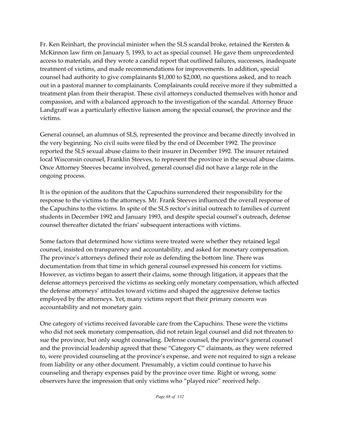Fr. Ken Reinhart, the provincial minister when the SLS scandal broke, retained the Kersten & McKinnon law firm on January 5, 1993, to act as special counsel. He gave them unprecedented access to materials, and they wrote a candid report that outlined failures, successes, inadequate treatment of victims, and made recommendations for improvements. In addition, special counsel had authority to give complainants \$1,000 to \$2,000, no questions asked, and to reach out in a pastoral manner to complainants. Complainants could receive more if they submitted a treatment plan from their therapist. These civil attorneys conducted themselves with honor and compassion, and with a balanced approach to the investigation of the scandal. Attorney Bruce Landgraff was a particularly effective liaison among the special counsel, the province and the victims.

General counsel, an alumnus of SLS, represented the province and became directly involved in the very beginning. No civil suits were filed by the end of December 1992. The province reported the SLS sexual abuse claims to their insurer in December 1992. The insurer retained local Wisconsin counsel, Franklin Steeves, to represent the province in the sexual abuse claims. Once Attorney Steeves became involved, general counsel did not have a large role in the ongoing process.

It is the opinion of the auditors that the Capuchins surrendered their responsibility for the response to the victims to the attorneys. Mr. Frank Steeves influenced the overall response of the Capuchins to the victims. In spite of the SLS rector's initial outreach to families of current students in December 1992 and January 1993, and despite special counsel's outreach, defense counsel thereafter dictated the friars' subsequent interactions with victims.

Some factors that determined how victims were treated were whether they retained legal counsel, insisted on transparency and accountability, and asked for monetary compensation. The province's attorneys defined their role as defending the bottom line. There was documentation from that time in which general counsel expressed his concern for victims. However, as victims began to assert their claims, some through litigation, it appears that the defense attorneys perceived the victims as seeking only monetary compensation, which affected the defense attorneys' attitudes toward victims and shaped the aggressive defense tactics employed by the attorneys. Yet, many victims report that their primary concern was accountability and not monetary gain.

One category of victims received favorable care from the Capuchins. These were the victims who did not seek monetary compensation, did not retain legal counsel and did not threaten to sue the province, but only sought counseling. Defense counsel, the province's general counsel and the provincial leadership agreed that these "Category C" claimants, as they were referred to, were provided counseling at the province's expense, and were not required to sign a release from liability or any other document. Presumably, a victim could continue to have his counseling and therapy expenses paid by the province over time. Right or wrong, some observers have the impression that only victims who "played nice" received help.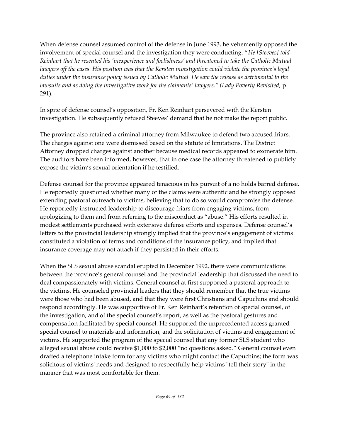When defense counsel assumed control of the defense in June 1993, he vehemently opposed the involvement of special counsel and the investigation they were conducting. "*He [Steeves] told Reinhart that he resented his 'inexperience and foolishness' and threatened to take the Catholic Mutual lawyers off the cases. His position was that the Kersten investigation could violate the province's legal duties under the insurance policy issued by Catholic Mutual. He saw the release as detrimental to the lawsuits and as doing the investigative work for the claimants' lawyers." (Lady Poverty Revisited,* p. 291).

In spite of defense counsel's opposition, Fr. Ken Reinhart persevered with the Kersten investigation. He subsequently refused Steeves' demand that he not make the report public.

The province also retained a criminal attorney from Milwaukee to defend two accused friars. The charges against one were dismissed based on the statute of limitations. The District Attorney dropped charges against another because medical records appeared to exonerate him. The auditors have been informed, however, that in one case the attorney threatened to publicly expose the victim's sexual orientation if he testified.

Defense counsel for the province appeared tenacious in his pursuit of a no holds barred defense. He reportedly questioned whether many of the claims were authentic and he strongly opposed extending pastoral outreach to victims, believing that to do so would compromise the defense. He reportedly instructed leadership to discourage friars from engaging victims, from apologizing to them and from referring to the misconduct as "abuse." His efforts resulted in modest settlements purchased with extensive defense efforts and expenses. Defense counsel's letters to the provincial leadership strongly implied that the province's engagement of victims constituted a violation of terms and conditions of the insurance policy, and implied that insurance coverage may not attach if they persisted in their efforts.

When the SLS sexual abuse scandal erupted in December 1992, there were communications between the province's general counsel and the provincial leadership that discussed the need to deal compassionately with victims. General counsel at first supported a pastoral approach to the victims. He counseled provincial leaders that they should remember that the true victims were those who had been abused, and that they were first Christians and Capuchins and should respond accordingly. He was supportive of Fr. Ken Reinhart's retention of special counsel, of the investigation, and of the special counsel's report, as well as the pastoral gestures and compensation facilitated by special counsel. He supported the unprecedented access granted special counsel to materials and information, and the solicitation of victims and engagement of victims. He supported the program of the special counsel that any former SLS student who alleged sexual abuse could receive \$1,000 to \$2,000 "no questions asked." General counsel even drafted a telephone intake form for any victims who might contact the Capuchins; the form was solicitous of victims' needs and designed to respectfully help victims "tell their story" in the manner that was most comfortable for them.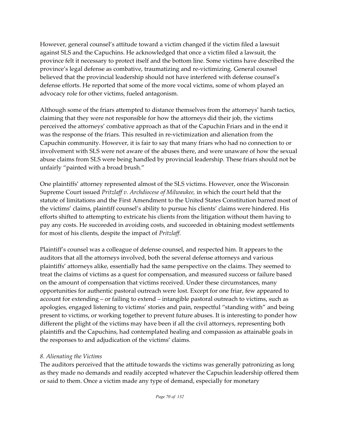However, general counsel's attitude toward a victim changed if the victim filed a lawsuit against SLS and the Capuchins. He acknowledged that once a victim filed a lawsuit, the province felt it necessary to protect itself and the bottom line. Some victims have described the province's legal defense as combative, traumatizing and re-victimizing. General counsel believed that the provincial leadership should not have interfered with defense counsel's defense efforts. He reported that some of the more vocal victims, some of whom played an advocacy role for other victims, fueled antagonism.

Although some of the friars attempted to distance themselves from the attorneys' harsh tactics, claiming that they were not responsible for how the attorneys did their job, the victims perceived the attorneys' combative approach as that of the Capuchin Friars and in the end it was the response of the friars. This resulted in re-victimization and alienation from the Capuchin community. However, it is fair to say that many friars who had no connection to or involvement with SLS were not aware of the abuses there, and were unaware of how the sexual abuse claims from SLS were being handled by provincial leadership. These friars should not be unfairly "painted with a broad brush."

One plaintiffs' attorney represented almost of the SLS victims. However, once the Wisconsin Supreme Court issued *Pritzlaff v. Archdiocese of Milwaukee,* in which the court held that the statute of limitations and the First Amendment to the United States Constitution barred most of the victims' claims, plaintiff counsel's ability to pursue his clients' claims were hindered. His efforts shifted to attempting to extricate his clients from the litigation without them having to pay any costs. He succeeded in avoiding costs, and succeeded in obtaining modest settlements for most of his clients, despite the impact of *Pritzlaff*.

Plaintiff's counsel was a colleague of defense counsel, and respected him. It appears to the auditors that all the attorneys involved, both the several defense attorneys and various plaintiffs' attorneys alike, essentially had the same perspective on the claims. They seemed to treat the claims of victims as a quest for compensation, and measured success or failure based on the amount of compensation that victims received. Under these circumstances, many opportunities for authentic pastoral outreach were lost. Except for one friar, few appeared to account for extending – or failing to extend – intangible pastoral outreach to victims, such as apologies, engaged listening to victims' stories and pain, respectful "standing with" and being present to victims, or working together to prevent future abuses. It is interesting to ponder how different the plight of the victims may have been if all the civil attorneys, representing both plaintiffs and the Capuchins, had contemplated healing and compassion as attainable goals in the responses to and adjudication of the victims' claims.

#### *8. Alienating the Victims*

The auditors perceived that the attitude towards the victims was generally patronizing as long as they made no demands and readily accepted whatever the Capuchin leadership offered them or said to them. Once a victim made any type of demand, especially for monetary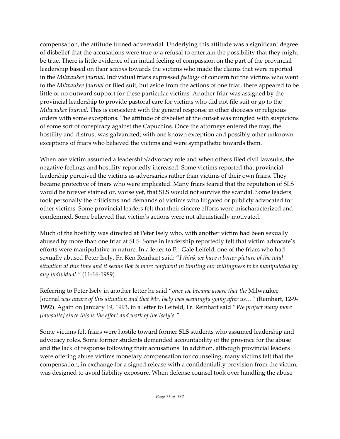compensation, the attitude turned adversarial. Underlying this attitude was a significant degree of disbelief that the accusations were true *or* a refusal to entertain the possibility that they might be true. There is little evidence of an initial feeling of compassion on the part of the provincial leadership based on their *actions* towards the victims who made the claims that were reported in the *Milwaukee Journal*. Individual friars expressed *feelings* of concern for the victims who went to the *Milwaukee Journal* or filed suit, but aside from the actions of one friar, there appeared to be little or no outward support for these particular victims. Another friar was assigned by the provincial leadership to provide pastoral care for victims who did not file suit or go to the *Milwaukee Journal*. This is consistent with the general response in other dioceses or religious orders with some exceptions. The attitude of disbelief at the outset was mingled with suspicions of some sort of conspiracy against the Capuchins. Once the attorneys entered the fray, the hostility and distrust was galvanized; with one known exception and possibly other unknown exceptions of friars who believed the victims and were sympathetic towards them.

When one victim assumed a leadership/advocacy role and when others filed civil lawsuits, the negative feelings and hostility reportedly increased. Some victims reported that provincial leadership perceived the victims as adversaries rather than victims of their own friars. They became protective of friars who were implicated. Many friars feared that the reputation of SLS would be forever stained or, worse yet, that SLS would not survive the scandal. Some leaders took personally the criticisms and demands of victims who litigated or publicly advocated for other victims. Some provincial leaders felt that their sincere efforts were mischaracterized and condemned. Some believed that victim's actions were not altruistically motivated.

Much of the hostility was directed at Peter Isely who, with another victim had been sexually abused by more than one friar at SLS. Some in leadership reportedly felt that victim advocate's efforts were manipulative in nature. In a letter to Fr. Gale Leifeld, one of the friars who had sexually abused Peter Isely, Fr. Ken Reinhart said: "*I think we have a better picture of the total situation at this time and it seems Bob is more confident in limiting our willingness to be manipulated by any individual."* (11-16-1989).

Referring to Peter Isely in another letter he said "*once we became aware that the* Milwaukee Journal *was aware of this situation and that Mr. Isely was seemingly going after us…"* (Reinhart, 12-9- 1992). Again on January 19, 1993, in a letter to Leifeld, Fr. Reinhart said "*We project many more [lawsuits] since this is the effort and work of the Isely's."*

Some victims felt friars were hostile toward former SLS students who assumed leadership and advocacy roles. Some former students demanded accountability of the province for the abuse and the lack of response following their accusations. In addition, although provincial leaders were offering abuse victims monetary compensation for counseling, many victims felt that the compensation, in exchange for a signed release with a confidentiality provision from the victim, was designed to avoid liability exposure. When defense counsel took over handling the abuse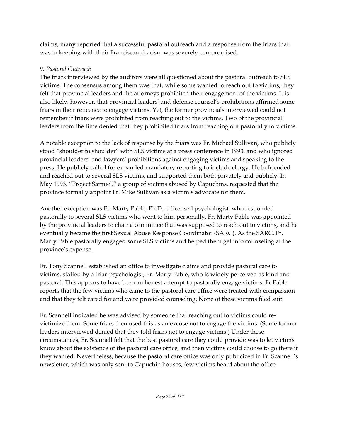claims, many reported that a successful pastoral outreach and a response from the friars that was in keeping with their Franciscan charism was severely compromised.

## *9. Pastoral Outreach*

The friars interviewed by the auditors were all questioned about the pastoral outreach to SLS victims. The consensus among them was that, while some wanted to reach out to victims, they felt that provincial leaders and the attorneys prohibited their engagement of the victims. It is also likely, however, that provincial leaders' and defense counsel's prohibitions affirmed some friars in their reticence to engage victims. Yet, the former provincials interviewed could not remember if friars were prohibited from reaching out to the victims. Two of the provincial leaders from the time denied that they prohibited friars from reaching out pastorally to victims.

A notable exception to the lack of response by the friars was Fr. Michael Sullivan, who publicly stood "shoulder to shoulder" with SLS victims at a press conference in 1993, and who ignored provincial leaders' and lawyers' prohibitions against engaging victims and speaking to the press. He publicly called for expanded mandatory reporting to include clergy. He befriended and reached out to several SLS victims, and supported them both privately and publicly. In May 1993, "Project Samuel," a group of victims abused by Capuchins, requested that the province formally appoint Fr. Mike Sullivan as a victim's advocate for them.

Another exception was Fr. Marty Pable, Ph.D., a licensed psychologist, who responded pastorally to several SLS victims who went to him personally. Fr. Marty Pable was appointed by the provincial leaders to chair a committee that was supposed to reach out to victims, and he eventually became the first Sexual Abuse Response Coordinator (SARC). As the SARC, Fr. Marty Pable pastorally engaged some SLS victims and helped them get into counseling at the province's expense.

Fr. Tony Scannell established an office to investigate claims and provide pastoral care to victims, staffed by a friar-psychologist, Fr. Marty Pable, who is widely perceived as kind and pastoral. This appears to have been an honest attempt to pastorally engage victims. Fr.Pable reports that the few victims who came to the pastoral care office were treated with compassion and that they felt cared for and were provided counseling. None of these victims filed suit.

Fr. Scannell indicated he was advised by someone that reaching out to victims could revictimize them. Some friars then used this as an excuse not to engage the victims. (Some former leaders interviewed denied that they told friars not to engage victims.) Under these circumstances, Fr. Scannell felt that the best pastoral care they could provide was to let victims know about the existence of the pastoral care office, and then victims could choose to go there if they wanted. Nevertheless, because the pastoral care office was only publicized in Fr. Scannell's newsletter, which was only sent to Capuchin houses, few victims heard about the office.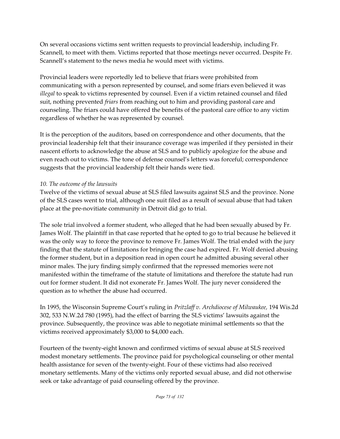On several occasions victims sent written requests to provincial leadership, including Fr. Scannell, to meet with them. Victims reported that those meetings never occurred. Despite Fr. Scannell's statement to the news media he would meet with victims.

Provincial leaders were reportedly led to believe that friars were prohibited from communicating with a person represented by counsel, and some friars even believed it was *illegal* to speak to victims represented by counsel. Even if a victim retained counsel and filed suit, nothing prevented *friars* from reaching out to him and providing pastoral care and counseling. The friars could have offered the benefits of the pastoral care office to any victim regardless of whether he was represented by counsel.

It is the perception of the auditors, based on correspondence and other documents, that the provincial leadership felt that their insurance coverage was imperiled if they persisted in their nascent efforts to acknowledge the abuse at SLS and to publicly apologize for the abuse and even reach out to victims. The tone of defense counsel's letters was forceful; correspondence suggests that the provincial leadership felt their hands were tied.

# *10. The outcome of the lawsuits*

Twelve of the victims of sexual abuse at SLS filed lawsuits against SLS and the province. None of the SLS cases went to trial, although one suit filed as a result of sexual abuse that had taken place at the pre-novitiate community in Detroit did go to trial.

The sole trial involved a former student, who alleged that he had been sexually abused by Fr. James Wolf. The plaintiff in that case reported that he opted to go to trial because he believed it was the only way to force the province to remove Fr. James Wolf. The trial ended with the jury finding that the statute of limitations for bringing the case had expired. Fr. Wolf denied abusing the former student, but in a deposition read in open court he admitted abusing several other minor males. The jury finding simply confirmed that the repressed memories were not manifested within the timeframe of the statute of limitations and therefore the statute had run out for former student. It did not exonerate Fr. James Wolf. The jury never considered the question as to whether the abuse had occurred.

In 1995, the Wisconsin Supreme Court's ruling in *Pritzlaff v. Archdiocese of Milwaukee,* 194 Wis.2d 302, 533 N.W.2d 780 (1995), had the effect of barring the SLS victims' lawsuits against the province. Subsequently, the province was able to negotiate minimal settlements so that the victims received approximately \$3,000 to \$4,000 each.

Fourteen of the twenty-eight known and confirmed victims of sexual abuse at SLS received modest monetary settlements. The province paid for psychological counseling or other mental health assistance for seven of the twenty-eight. Four of these victims had also received monetary settlements. Many of the victims only reported sexual abuse, and did not otherwise seek or take advantage of paid counseling offered by the province.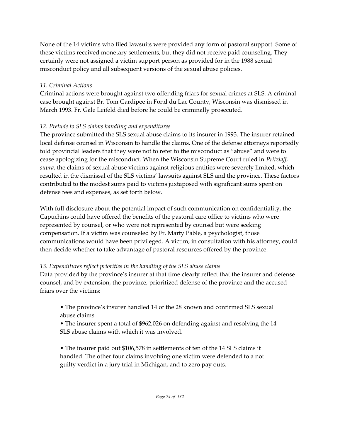None of the 14 victims who filed lawsuits were provided any form of pastoral support. Some of these victims received monetary settlements, but they did not receive paid counseling. They certainly were not assigned a victim support person as provided for in the 1988 sexual misconduct policy and all subsequent versions of the sexual abuse policies.

# *11. Criminal Actions*

Criminal actions were brought against two offending friars for sexual crimes at SLS. A criminal case brought against Br. Tom Gardipee in Fond du Lac County, Wisconsin was dismissed in March 1993. Fr. Gale Leifeld died before he could be criminally prosecuted.

# *12. Prelude to SLS claims handling and expenditures*

The province submitted the SLS sexual abuse claims to its insurer in 1993. The insurer retained local defense counsel in Wisconsin to handle the claims. One of the defense attorneys reportedly told provincial leaders that they were not to refer to the misconduct as "abuse" and were to cease apologizing for the misconduct. When the Wisconsin Supreme Court ruled in *Pritzlaff, supra,* the claims of sexual abuse victims against religious entities were severely limited, which resulted in the dismissal of the SLS victims' lawsuits against SLS and the province. These factors contributed to the modest sums paid to victims juxtaposed with significant sums spent on defense fees and expenses, as set forth below.

With full disclosure about the potential impact of such communication on confidentiality, the Capuchins could have offered the benefits of the pastoral care office to victims who were represented by counsel, or who were not represented by counsel but were seeking compensation. If a victim was counseled by Fr. Marty Pable, a psychologist, those communications would have been privileged. A victim, in consultation with his attorney, could then decide whether to take advantage of pastoral resources offered by the province.

# *13. Expenditures reflect priorities in the handling of the SLS abuse claims*

Data provided by the province's insurer at that time clearly reflect that the insurer and defense counsel, and by extension, the province, prioritized defense of the province and the accused friars over the victims:

- The province's insurer handled 14 of the 28 known and confirmed SLS sexual abuse claims.
- The insurer spent a total of \$962,026 on defending against and resolving the 14 SLS abuse claims with which it was involved.
- The insurer paid out \$106,578 in settlements of ten of the 14 SLS claims it handled. The other four claims involving one victim were defended to a not guilty verdict in a jury trial in Michigan, and to zero pay outs.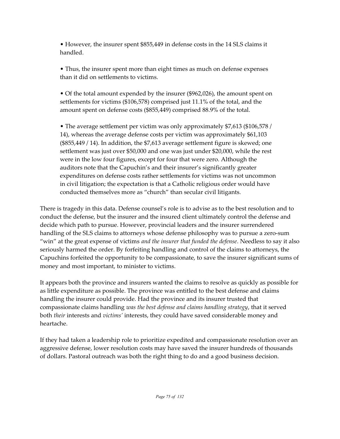• However, the insurer spent \$855,449 in defense costs in the 14 SLS claims it handled.

• Thus, the insurer spent more than eight times as much on defense expenses than it did on settlements to victims.

• Of the total amount expended by the insurer (\$962,026), the amount spent on settlements for victims (\$106,578) comprised just 11.1% of the total, and the amount spent on defense costs (\$855,449) comprised 88.9% of the total.

• The average settlement per victim was only approximately \$7,613 (\$106,578 / 14), whereas the average defense costs per victim was approximately \$61,103 (\$855,449 / 14). In addition, the \$7,613 average settlement figure is skewed; one settlement was just over \$50,000 and one was just under \$20,000, while the rest were in the low four figures, except for four that were zero. Although the auditors note that the Capuchin's and their insurer's significantly greater expenditures on defense costs rather settlements for victims was not uncommon in civil litigation; the expectation is that a Catholic religious order would have conducted themselves more as "church" than secular civil litigants.

There is tragedy in this data. Defense counsel's role is to advise as to the best resolution and to conduct the defense, but the insurer and the insured client ultimately control the defense and decide which path to pursue. However, provincial leaders and the insurer surrendered handling of the SLS claims to attorneys whose defense philosophy was to pursue a zero-sum "win" at the great expense of victims *and the insurer that funded the defense*. Needless to say it also seriously harmed the order. By forfeiting handling and control of the claims to attorneys, the Capuchins forfeited the opportunity to be compassionate, to save the insurer significant sums of money and most important, to minister to victims.

It appears both the province and insurers wanted the claims to resolve as quickly as possible for as little expenditure as possible. The province was entitled to the best defense and claims handling the insurer could provide. Had the province and its insurer trusted that compassionate claims handling *was the best defense and claims handling strategy*, that it served both *their* interests and *victims'* interests, they could have saved considerable money and heartache.

If they had taken a leadership role to prioritize expedited and compassionate resolution over an aggressive defense, lower resolution costs may have saved the insurer hundreds of thousands of dollars. Pastoral outreach was both the right thing to do and a good business decision.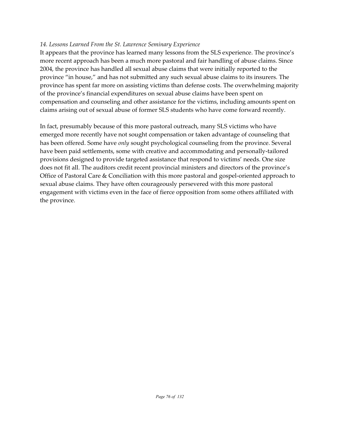#### *14. Lessons Learned From the St. Lawrence Seminary Experience*

It appears that the province has learned many lessons from the SLS experience. The province's more recent approach has been a much more pastoral and fair handling of abuse claims. Since 2004, the province has handled all sexual abuse claims that were initially reported to the province "in house," and has not submitted any such sexual abuse claims to its insurers. The province has spent far more on assisting victims than defense costs. The overwhelming majority of the province's financial expenditures on sexual abuse claims have been spent on compensation and counseling and other assistance for the victims, including amounts spent on claims arising out of sexual abuse of former SLS students who have come forward recently.

In fact, presumably because of this more pastoral outreach, many SLS victims who have emerged more recently have not sought compensation or taken advantage of counseling that has been offered. Some have *only* sought psychological counseling from the province. Several have been paid settlements, some with creative and accommodating and personally-tailored provisions designed to provide targeted assistance that respond to victims' needs. One size does not fit all. The auditors credit recent provincial ministers and directors of the province's Office of Pastoral Care & Conciliation with this more pastoral and gospel-oriented approach to sexual abuse claims. They have often courageously persevered with this more pastoral engagement with victims even in the face of fierce opposition from some others affiliated with the province.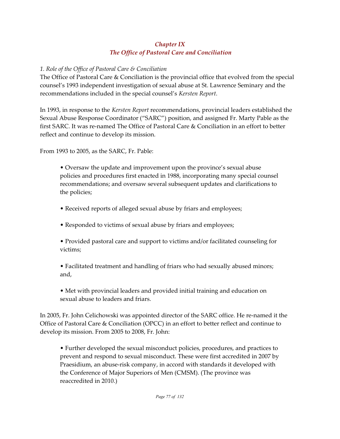# *Chapter IX The Office of Pastoral Care and Conciliation*

## *1. Role of the Office of Pastoral Care & Conciliation*

The Office of Pastoral Care & Conciliation is the provincial office that evolved from the special counsel's 1993 independent investigation of sexual abuse at St. Lawrence Seminary and the recommendations included in the special counsel's *Kersten Report*.

In 1993, in response to the *Kersten Report* recommendations, provincial leaders established the Sexual Abuse Response Coordinator ("SARC") position, and assigned Fr. Marty Pable as the first SARC. It was re-named The Office of Pastoral Care & Conciliation in an effort to better reflect and continue to develop its mission.

From 1993 to 2005, as the SARC, Fr. Pable:

• Oversaw the update and improvement upon the province's sexual abuse policies and procedures first enacted in 1988, incorporating many special counsel recommendations; and oversaw several subsequent updates and clarifications to the policies;

- Received reports of alleged sexual abuse by friars and employees;
- Responded to victims of sexual abuse by friars and employees;
- Provided pastoral care and support to victims and/or facilitated counseling for victims;

• Facilitated treatment and handling of friars who had sexually abused minors; and,

• Met with provincial leaders and provided initial training and education on sexual abuse to leaders and friars.

In 2005, Fr. John Celichowski was appointed director of the SARC office. He re-named it the Office of Pastoral Care & Conciliation (OPCC) in an effort to better reflect and continue to develop its mission. From 2005 to 2008, Fr. John:

• Further developed the sexual misconduct policies, procedures, and practices to prevent and respond to sexual misconduct. These were first accredited in 2007 by Praesidium, an abuse-risk company, in accord with standards it developed with the Conference of Major Superiors of Men (CMSM). (The province was reaccredited in 2010.)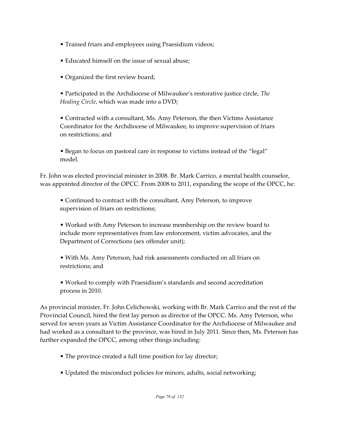- Trained friars and employees using Praesidium videos;
- Educated himself on the issue of sexual abuse;
- Organized the first review board;

• Participated in the Archdiocese of Milwaukee's restorative justice circle, *The Healing Circle*, which was made into a DVD;

• Contracted with a consultant, Ms. Amy Peterson, the then Victims Assistance Coordinator for the Archdiocese of Milwaukee, to improve supervision of friars on restrictions; and

• Began to focus on pastoral care in response to victims instead of the "legal" model.

Fr. John was elected provincial minister in 2008. Br. Mark Carrico, a mental health counselor, was appointed director of the OPCC. From 2008 to 2011, expanding the scope of the OPCC, he:

• Continued to contract with the consultant, Amy Peterson, to improve supervision of friars on restrictions;

• Worked with Amy Peterson to increase membership on the review board to include more representatives from law enforcement, victim advocates, and the Department of Corrections (sex offender unit);

• With Ms. Amy Peterson, had risk assessments conducted on all friars on restrictions; and

• Worked to comply with Praesidium's standards and second accreditation process in 2010.

As provincial minister, Fr. John Celichowski, working with Br. Mark Carrico and the rest of the Provincial Council, hired the first lay person as director of the OPCC. Ms. Amy Peterson, who served for seven years as Victim Assistance Coordinator for the Archdiocese of Milwaukee and had worked as a consultant to the province, was hired in July 2011. Since then, Ms. Peterson has further expanded the OPCC, among other things including:

- The province created a full time position for lay director;
- Updated the misconduct policies for minors, adults, social networking;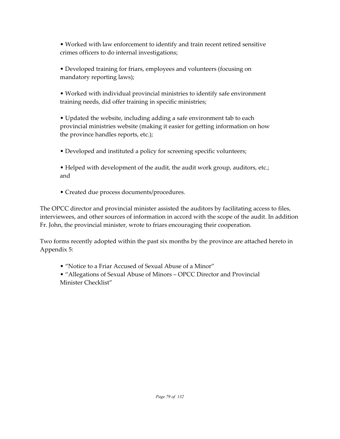• Worked with law enforcement to identify and train recent retired sensitive crimes officers to do internal investigations;

• Developed training for friars, employees and volunteers (focusing on mandatory reporting laws);

• Worked with individual provincial ministries to identify safe environment training needs, did offer training in specific ministries;

• Updated the website, including adding a safe environment tab to each provincial ministries website (making it easier for getting information on how the province handles reports, etc.);

• Developed and instituted a policy for screening specific volunteers;

• Helped with development of the audit, the audit work group, auditors, etc.; and

• Created due process documents/procedures.

The OPCC director and provincial minister assisted the auditors by facilitating access to files, interviewees, and other sources of information in accord with the scope of the audit. In addition Fr. John, the provincial minister, wrote to friars encouraging their cooperation.

Two forms recently adopted within the past six months by the province are attached hereto in Appendix 5:

• "Notice to a Friar Accused of Sexual Abuse of a Minor"

• "Allegations of Sexual Abuse of Minors – OPCC Director and Provincial Minister Checklist"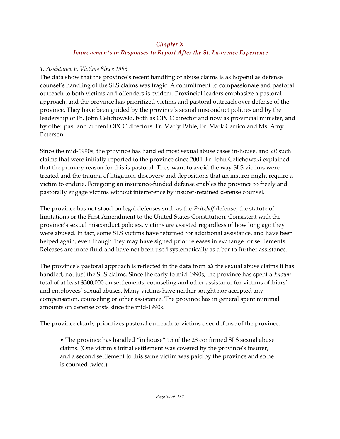# *Chapter X Improvements in Responses to Report After the St. Lawrence Experience*

## *1. Assistance to Victims Since 1993*

The data show that the province's recent handling of abuse claims is as hopeful as defense counsel's handling of the SLS claims was tragic. A commitment to compassionate and pastoral outreach to both victims and offenders is evident. Provincial leaders emphasize a pastoral approach, and the province has prioritized victims and pastoral outreach over defense of the province. They have been guided by the province's sexual misconduct policies and by the leadership of Fr. John Celichowski, both as OPCC director and now as provincial minister, and by other past and current OPCC directors: Fr. Marty Pable, Br. Mark Carrico and Ms. Amy Peterson.

Since the mid-1990s, the province has handled most sexual abuse cases in-house, and *all* such claims that were initially reported to the province since 2004. Fr. John Celichowski explained that the primary reason for this is pastoral. They want to avoid the way SLS victims were treated and the trauma of litigation, discovery and depositions that an insurer might require a victim to endure. Foregoing an insurance-funded defense enables the province to freely and pastorally engage victims without interference by insurer-retained defense counsel.

The province has not stood on legal defenses such as the *Pritzlaff* defense, the statute of limitations or the First Amendment to the United States Constitution. Consistent with the province's sexual misconduct policies, victims are assisted regardless of how long ago they were abused. In fact, some SLS victims have returned for additional assistance, and have been helped again, even though they may have signed prior releases in exchange for settlements. Releases are more fluid and have not been used systematically as a bar to further assistance.

The province's pastoral approach is reflected in the data from *all* the sexual abuse claims it has handled, not just the SLS claims. Since the early to mid-1990s, the province has spent a *known* total of at least \$300,000 on settlements, counseling and other assistance for victims of friars' and employees' sexual abuses. Many victims have neither sought nor accepted any compensation, counseling or other assistance. The province has in general spent minimal amounts on defense costs since the mid-1990s.

The province clearly prioritizes pastoral outreach to victims over defense of the province:

• The province has handled "in house" 15 of the 28 confirmed SLS sexual abuse claims. (One victim's initial settlement was covered by the province's insurer, and a second settlement to this same victim was paid by the province and so he is counted twice.)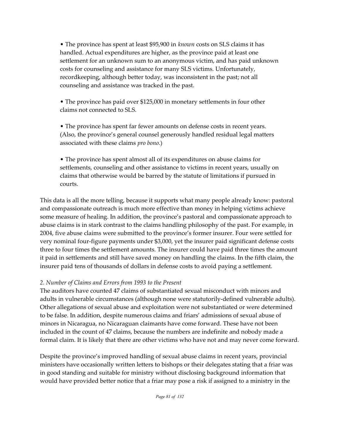• The province has spent at least \$95,900 in *known* costs on SLS claims it has handled. Actual expenditures are higher, as the province paid at least one settlement for an unknown sum to an anonymous victim, and has paid unknown costs for counseling and assistance for many SLS victims. Unfortunately, recordkeeping, although better today, was inconsistent in the past; not all counseling and assistance was tracked in the past.

• The province has paid over \$125,000 in monetary settlements in four other claims not connected to SLS.

• The province has spent far fewer amounts on defense costs in recent years. (Also, the province's general counsel generously handled residual legal matters associated with these claims *pro bono*.)

• The province has spent almost all of its expenditures on abuse claims for settlements, counseling and other assistance to victims in recent years, usually on claims that otherwise would be barred by the statute of limitations if pursued in courts.

This data is all the more telling, because it supports what many people already know: pastoral and compassionate outreach is much more effective than money in helping victims achieve some measure of healing. In addition, the province's pastoral and compassionate approach to abuse claims is in stark contrast to the claims handling philosophy of the past. For example, in 2004, five abuse claims were submitted to the province's former insurer. Four were settled for very nominal four-figure payments under \$3,000, yet the insurer paid significant defense costs three to four times the settlement amounts. The insurer could have paid three times the amount it paid in settlements and still have saved money on handling the claims. In the fifth claim, the insurer paid tens of thousands of dollars in defense costs to avoid paying a settlement.

# *2. Number of Claims and Errors from 1993 to the Present*

The auditors have counted 47 claims of substantiated sexual misconduct with minors and adults in vulnerable circumstances (although none were statutorily-defined vulnerable adults). Other allegations of sexual abuse and exploitation were not substantiated or were determined to be false. In addition, despite numerous claims and friars' admissions of sexual abuse of minors in Nicaragua, no Nicaraguan claimants have come forward. These have not been included in the count of 47 claims, because the numbers are indefinite and nobody made a formal claim. It is likely that there are other victims who have not and may never come forward.

Despite the province's improved handling of sexual abuse claims in recent years, provincial ministers have occasionally written letters to bishops or their delegates stating that a friar was in good standing and suitable for ministry without disclosing background information that would have provided better notice that a friar may pose a risk if assigned to a ministry in the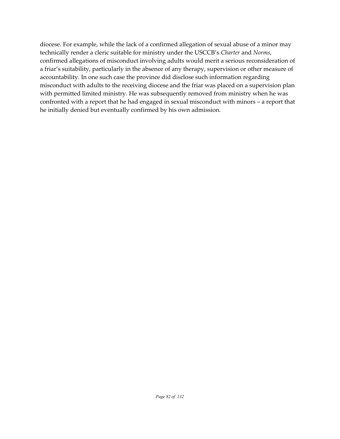diocese. For example, while the lack of a confirmed allegation of sexual abuse of a minor may technically render a cleric suitable for ministry under the USCCB's *Charter* and *Norms*, confirmed allegations of misconduct involving adults would merit a serious reconsideration of a friar's suitability, particularly in the absence of any therapy, supervision or other measure of accountability. In one such case the province did disclose such information regarding misconduct with adults to the receiving diocese and the friar was placed on a supervision plan with permitted limited ministry. He was subsequently removed from ministry when he was confronted with a report that he had engaged in sexual misconduct with minors – a report that he initially denied but eventually confirmed by his own admission.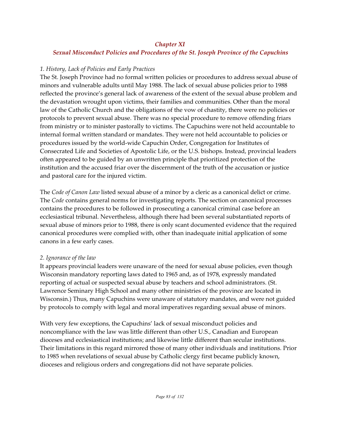# *Chapter XI Sexual Misconduct Policies and Procedures of the St. Joseph Province of the Capuchins*

## *1. History, Lack of Policies and Early Practices*

The St. Joseph Province had no formal written policies or procedures to address sexual abuse of minors and vulnerable adults until May 1988. The lack of sexual abuse policies prior to 1988 reflected the province's general lack of awareness of the extent of the sexual abuse problem and the devastation wrought upon victims, their families and communities. Other than the moral law of the Catholic Church and the obligations of the vow of chastity, there were no policies or protocols to prevent sexual abuse. There was no special procedure to remove offending friars from ministry or to minister pastorally to victims. The Capuchins were not held accountable to internal formal written standard or mandates. They were not held accountable to policies or procedures issued by the world-wide Capuchin Order, Congregation for Institutes of Consecrated Life and Societies of Apostolic Life, or the U.S. bishops. Instead, provincial leaders often appeared to be guided by an unwritten principle that prioritized protection of the institution and the accused friar over the discernment of the truth of the accusation or justice and pastoral care for the injured victim.

The *Code of Canon Law* listed sexual abuse of a minor by a cleric as a canonical delict or crime. The *Code* contains general norms for investigating reports. The section on canonical processes contains the procedures to be followed in prosecuting a canonical criminal case before an ecclesiastical tribunal. Nevertheless, although there had been several substantiated reports of sexual abuse of minors prior to 1988, there is only scant documented evidence that the required canonical procedures were complied with, other than inadequate initial application of some canons in a few early cases.

#### *2. Ignorance of the law*

It appears provincial leaders were unaware of the need for sexual abuse policies, even though Wisconsin mandatory reporting laws dated to 1965 and, as of 1978, expressly mandated reporting of actual or suspected sexual abuse by teachers and school administrators. (St. Lawrence Seminary High School and many other ministries of the province are located in Wisconsin.) Thus, many Capuchins were unaware of statutory mandates, and were not guided by protocols to comply with legal and moral imperatives regarding sexual abuse of minors.

With very few exceptions, the Capuchins' lack of sexual misconduct policies and noncompliance with the law was little different than other U.S., Canadian and European dioceses and ecclesiastical institutions; and likewise little different than secular institutions. Their limitations in this regard mirrored those of many other individuals and institutions. Prior to 1985 when revelations of sexual abuse by Catholic clergy first became publicly known, dioceses and religious orders and congregations did not have separate policies.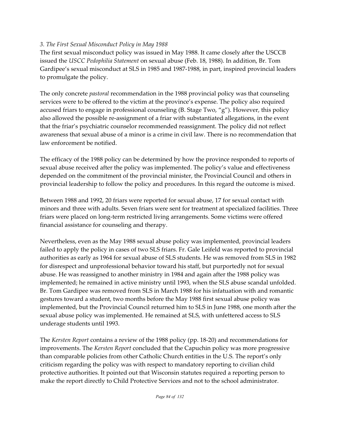## *3. The First Sexual Misconduct Policy in May 1988*

The first sexual misconduct policy was issued in May 1988. It came closely after the USCCB issued the *USCC Pedophilia Statement* on sexual abuse (Feb. 18, 1988). In addition, Br. Tom Gardipee's sexual misconduct at SLS in 1985 and 1987-1988, in part, inspired provincial leaders to promulgate the policy.

The only concrete *pastoral* recommendation in the 1988 provincial policy was that counseling services were to be offered to the victim at the province's expense. The policy also required accused friars to engage in professional counseling (B. Stage Two, "g"). However, this policy also allowed the possible re-assignment of a friar with substantiated allegations, in the event that the friar's psychiatric counselor recommended reassignment. The policy did not reflect awareness that sexual abuse of a minor is a crime in civil law. There is no recommendation that law enforcement be notified.

The efficacy of the 1988 policy can be determined by how the province responded to reports of sexual abuse received after the policy was implemented. The policy's value and effectiveness depended on the commitment of the provincial minister, the Provincial Council and others in provincial leadership to follow the policy and procedures. In this regard the outcome is mixed.

Between 1988 and 1992, 20 friars were reported for sexual abuse, 17 for sexual contact with minors and three with adults. Seven friars were sent for treatment at specialized facilities. Three friars were placed on long-term restricted living arrangements. Some victims were offered financial assistance for counseling and therapy.

Nevertheless, even as the May 1988 sexual abuse policy was implemented, provincial leaders failed to apply the policy in cases of two SLS friars. Fr. Gale Leifeld was reported to provincial authorities as early as 1964 for sexual abuse of SLS students. He was removed from SLS in 1982 for disrespect and unprofessional behavior toward his staff, but purportedly not for sexual abuse. He was reassigned to another ministry in 1984 and again after the 1988 policy was implemented; he remained in active ministry until 1993, when the SLS abuse scandal unfolded. Br. Tom Gardipee was removed from SLS in March 1988 for his infatuation with and romantic gestures toward a student, two months before the May 1988 first sexual abuse policy was implemented, but the Provincial Council returned him to SLS in June 1988, one month after the sexual abuse policy was implemented. He remained at SLS, with unfettered access to SLS underage students until 1993.

The *Kersten Report* contains a review of the 1988 policy (pp. 18-20) and recommendations for improvements. The *Kersten Report* concluded that the Capuchin policy was more progressive than comparable policies from other Catholic Church entities in the U.S. The report's only criticism regarding the policy was with respect to mandatory reporting to civilian child protective authorities. It pointed out that Wisconsin statutes required a reporting person to make the report directly to Child Protective Services and not to the school administrator.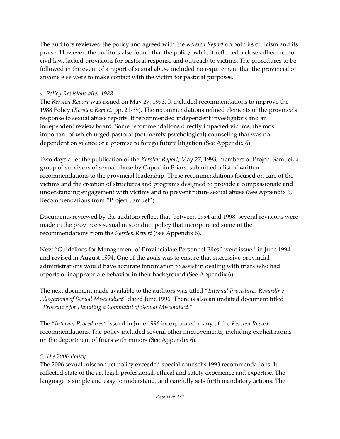The auditors reviewed the policy and agreed with the *Kersten Report* on both its criticism and its praise. However, the auditors also found that the policy, while it reflected a close adherence to civil law, lacked provisions for pastoral response and outreach to victims. The procedures to be followed in the event of a report of sexual abuse included no requirement that the provincial or anyone else were to make contact with the victim for pastoral purposes.

## *4. Policy Revisions after 1988*

The *Kersten Report* was issued on May 27, 1993. It included recommendations to improve the 1988 Policy (*Kersten Report*, pp. 21-39). The recommendations refined elements of the province's response to sexual abuse reports. It recommended independent investigators and an independent review board. Some recommendations directly impacted victims, the most important of which urged pastoral (not merely psychological) counseling that was not dependent on silence or a promise to forego future litigation (See Appendix 6).

Two days after the publication of the *Kersten Report*, May 27, 1993, members of Project Samuel, a group of survivors of sexual abuse by Capuchin Friars, submitted a list of written recommendations to the provincial leadership. These recommendations focused on care of the victims and the creation of structures and programs designed to provide a compassionate and understanding engagement with victims and to prevent future sexual abuse (See Appendix 6, Recommendations from "Project Samuel").

Documents reviewed by the auditors reflect that, between 1994 and 1998, several revisions were made in the province's sexual misconduct policy that incorporated some of the recommendations from the *Kersten Report* (See Appendix 6).

New "Guidelines for Management of Provincialate Personnel Files" were issued in June 1994 and revised in August 1994. One of the goals was to ensure that successive provincial administrations would have accurate information to assist in dealing with friars who had reports of inappropriate behavior in their background (See Appendix 6).

The next document made available to the auditors was titled "*Internal Procedures Regarding Allegations of Sexual Misconduct*" dated June 1996. There is also an undated document titled "*Procedure for Handling a Complaint of Sexual Misconduct*."

The "*Internal Procedures"* issued in June 1996 incorporated many of the *Kersten Report* recommendations. The policy included several other improvements, including explicit norms on the deportment of friars with minors (See Appendix 6).

#### *5. The 2006 Policy*

The 2006 sexual misconduct policy exceeded special counsel's 1993 recommendations. It reflected state of the art legal, professional, ethical and safety experience and expertise. The language is simple and easy to understand, and carefully sets forth mandatory actions. The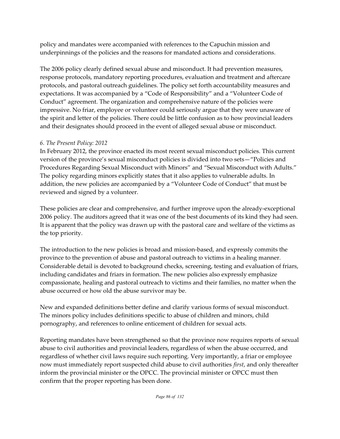policy and mandates were accompanied with references to the Capuchin mission and underpinnings of the policies and the reasons for mandated actions and considerations.

The 2006 policy clearly defined sexual abuse and misconduct. It had prevention measures, response protocols, mandatory reporting procedures, evaluation and treatment and aftercare protocols, and pastoral outreach guidelines. The policy set forth accountability measures and expectations. It was accompanied by a "Code of Responsibility" and a "Volunteer Code of Conduct" agreement. The organization and comprehensive nature of the policies were impressive. No friar, employee or volunteer could seriously argue that they were unaware of the spirit and letter of the policies. There could be little confusion as to how provincial leaders and their designates should proceed in the event of alleged sexual abuse or misconduct.

## *6. The Present Policy: 2012*

In February 2012, the province enacted its most recent sexual misconduct policies. This current version of the province's sexual misconduct policies is divided into two sets—"Policies and Procedures Regarding Sexual Misconduct with Minors" and "Sexual Misconduct with Adults." The policy regarding minors explicitly states that it also applies to vulnerable adults. In addition, the new policies are accompanied by a "Volunteer Code of Conduct" that must be reviewed and signed by a volunteer.

These policies are clear and comprehensive, and further improve upon the already-exceptional 2006 policy. The auditors agreed that it was one of the best documents of its kind they had seen. It is apparent that the policy was drawn up with the pastoral care and welfare of the victims as the top priority.

The introduction to the new policies is broad and mission-based, and expressly commits the province to the prevention of abuse and pastoral outreach to victims in a healing manner. Considerable detail is devoted to background checks, screening, testing and evaluation of friars, including candidates and friars in formation. The new policies also expressly emphasize compassionate, healing and pastoral outreach to victims and their families, no matter when the abuse occurred or how old the abuse survivor may be.

New and expanded definitions better define and clarify various forms of sexual misconduct. The minors policy includes definitions specific to abuse of children and minors, child pornography, and references to online enticement of children for sexual acts.

Reporting mandates have been strengthened so that the province now requires reports of sexual abuse to civil authorities and provincial leaders, regardless of when the abuse occurred, and regardless of whether civil laws require such reporting. Very importantly, a friar or employee now must immediately report suspected child abuse to civil authorities *first*, and only thereafter inform the provincial minister or the OPCC. The provincial minister or OPCC must then confirm that the proper reporting has been done.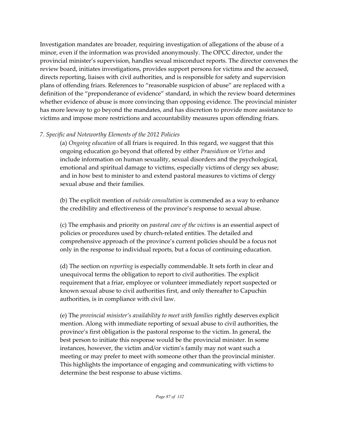Investigation mandates are broader, requiring investigation of allegations of the abuse of a minor, even if the information was provided anonymously. The OPCC director, under the provincial minister's supervision, handles sexual misconduct reports. The director convenes the review board, initiates investigations, provides support persons for victims and the accused, directs reporting, liaises with civil authorities, and is responsible for safety and supervision plans of offending friars. References to "reasonable suspicion of abuse" are replaced with a definition of the "preponderance of evidence" standard, in which the review board determines whether evidence of abuse is more convincing than opposing evidence. The provincial minister has more leeway to go beyond the mandates, and has discretion to provide more assistance to victims and impose more restrictions and accountability measures upon offending friars.

## *7. Specific and Noteworthy Elements of the 2012 Policies*

(a) *Ongoing education* of all friars is required. In this regard, we suggest that this ongoing education go beyond that offered by either *Praesidium* or *Virtus* and include information on human sexuality, sexual disorders and the psychological, emotional and spiritual damage to victims, especially victims of clergy sex abuse; and in how best to minister to and extend pastoral measures to victims of clergy sexual abuse and their families.

(b) The explicit mention of *outside consultation* is commended as a way to enhance the credibility and effectiveness of the province's response to sexual abuse.

(c) The emphasis and priority on *pastoral care of the victims* is an essential aspect of policies or procedures used by church-related entities. The detailed and comprehensive approach of the province's current policies should be a focus not only in the response to individual reports, but a focus of continuing education.

(d) The section on *reporting* is especially commendable. It sets forth in clear and unequivocal terms the obligation to report to civil authorities. The explicit requirement that a friar, employee or volunteer immediately report suspected or known sexual abuse to civil authorities first, and only thereafter to Capuchin authorities, is in compliance with civil law.

(e) The *provincial minister's availability to meet with families* rightly deserves explicit mention. Along with immediate reporting of sexual abuse to civil authorities, the province's first obligation is the pastoral response to the victim. In general, the best person to initiate this response would be the provincial minister. In some instances, however, the victim and/or victim's family may not want such a meeting or may prefer to meet with someone other than the provincial minister. This highlights the importance of engaging and communicating with victims to determine the best response to abuse victims.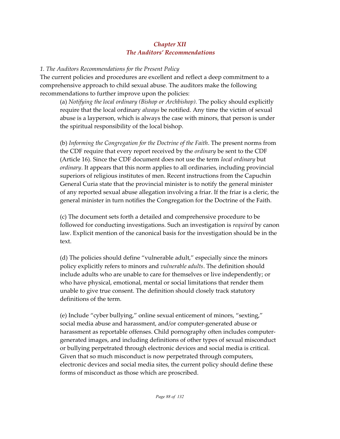# *Chapter XII The Auditors' Recommendations*

#### *1. The Auditors Recommendations for the Present Policy*

The current policies and procedures are excellent and reflect a deep commitment to a comprehensive approach to child sexual abuse. The auditors make the following recommendations to further improve upon the policies:

(a) *Notifying the local ordinary (Bishop or Archbishop).* The policy should explicitly require that the local ordinary *always* be notified. Any time the victim of sexual abuse is a layperson, which is always the case with minors, that person is under the spiritual responsibility of the local bishop.

(b) *Informing the Congregation for the Doctrine of the Faith*. The present norms from the CDF require that every report received by the *ordinary* be sent to the CDF (Article 16). Since the CDF document does not use the term *local ordinary* but *ordinary*. It appears that this norm applies to all ordinaries, including provincial superiors of religious institutes of men. Recent instructions from the Capuchin General Curia state that the provincial minister is to notify the general minister of any reported sexual abuse allegation involving a friar. If the friar is a cleric, the general minister in turn notifies the Congregation for the Doctrine of the Faith.

(c) The document sets forth a detailed and comprehensive procedure to be followed for conducting investigations. Such an investigation is *required* by canon law. Explicit mention of the canonical basis for the investigation should be in the text.

(d) The policies should define "vulnerable adult," especially since the minors policy explicitly refers to minors and *vulnerable adults*. The definition should include adults who are unable to care for themselves or live independently; or who have physical, emotional, mental or social limitations that render them unable to give true consent. The definition should closely track statutory definitions of the term.

(e) Include "cyber bullying," online sexual enticement of minors, "sexting," social media abuse and harassment, and/or computer-generated abuse or harassment as reportable offenses. Child pornography often includes computergenerated images, and including definitions of other types of sexual misconduct or bullying perpetrated through electronic devices and social media is critical. Given that so much misconduct is now perpetrated through computers, electronic devices and social media sites, the current policy should define these forms of misconduct as those which are proscribed.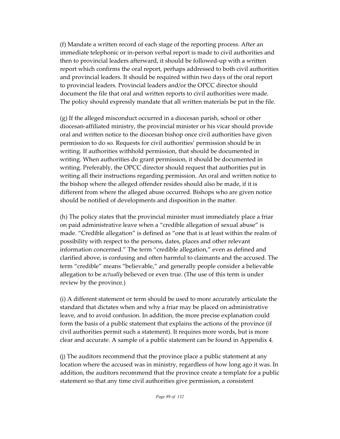(f) Mandate a written record of each stage of the reporting process. After an immediate telephonic or in-person verbal report is made to civil authorities and then to provincial leaders afterward, it should be followed-up with a written report which confirms the oral report, perhaps addressed to both civil authorities and provincial leaders. It should be required within two days of the oral report to provincial leaders. Provincial leaders and/or the OPCC director should document the file that oral and written reports to civil authorities were made. The policy should expressly mandate that all written materials be put in the file.

(g) If the alleged misconduct occurred in a diocesan parish, school or other diocesan-affiliated ministry, the provincial minister or his vicar should provide oral and written notice to the diocesan bishop once civil authorities have given permission to do so. Requests for civil authorities' permission should be in writing. If authorities withhold permission, that should be documented in writing. When authorities do grant permission, it should be documented in writing. Preferably, the OPCC director should request that authorities put in writing all their instructions regarding permission. An oral and written notice to the bishop where the alleged offender resides should also be made, if it is different from where the alleged abuse occurred. Bishops who are given notice should be notified of developments and disposition in the matter.

(h) The policy states that the provincial minister must immediately place a friar on paid administrative leave when a "credible allegation of sexual abuse" is made. "Credible allegation" is defined as "one that is at least within the realm of possibility with respect to the persons, dates, places and other relevant information concerned." The term "credible allegation," even as defined and clarified above, is confusing and often harmful to claimants and the accused. The term "credible" means "believable," and generally people consider a believable allegation to be *actually* believed or even true. (The use of this term is under review by the province.)

(i) A different statement or term should be used to more accurately articulate the standard that dictates when and why a friar may be placed on administrative leave, and to avoid confusion. In addition, the more precise explanation could form the basis of a public statement that explains the actions of the province (if civil authorities permit such a statement). It requires more words, but is more clear and accurate. A sample of a public statement can be found in Appendix 4.

(j) The auditors recommend that the province place a public statement at any location where the accused was in ministry, regardless of how long ago it was. In addition, the auditors recommend that the province create a template for a public statement so that any time civil authorities give permission, a consistent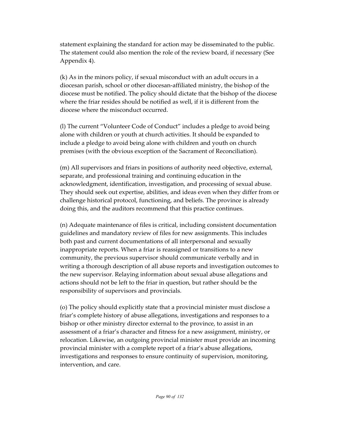statement explaining the standard for action may be disseminated to the public. The statement could also mention the role of the review board, if necessary (See Appendix 4).

(k) As in the minors policy, if sexual misconduct with an adult occurs in a diocesan parish, school or other diocesan-affiliated ministry, the bishop of the diocese must be notified. The policy should dictate that the bishop of the diocese where the friar resides should be notified as well, if it is different from the diocese where the misconduct occurred.

(l) The current "Volunteer Code of Conduct" includes a pledge to avoid being alone with children or youth at church activities. It should be expanded to include a pledge to avoid being alone with children and youth on church premises (with the obvious exception of the Sacrament of Reconciliation).

(m) All supervisors and friars in positions of authority need objective, external, separate, and professional training and continuing education in the acknowledgment, identification, investigation, and processing of sexual abuse. They should seek out expertise, abilities, and ideas even when they differ from or challenge historical protocol, functioning, and beliefs. The province is already doing this, and the auditors recommend that this practice continues.

(n) Adequate maintenance of files is critical, including consistent documentation guidelines and mandatory review of files for new assignments. This includes both past and current documentations of all interpersonal and sexually inappropriate reports. When a friar is reassigned or transitions to a new community, the previous supervisor should communicate verbally and in writing a thorough description of all abuse reports and investigation outcomes to the new supervisor. Relaying information about sexual abuse allegations and actions should not be left to the friar in question, but rather should be the responsibility of supervisors and provincials.

(o) The policy should explicitly state that a provincial minister must disclose a friar's complete history of abuse allegations, investigations and responses to a bishop or other ministry director external to the province, to assist in an assessment of a friar's character and fitness for a new assignment, ministry, or relocation. Likewise, an outgoing provincial minister must provide an incoming provincial minister with a complete report of a friar's abuse allegations, investigations and responses to ensure continuity of supervision, monitoring, intervention, and care.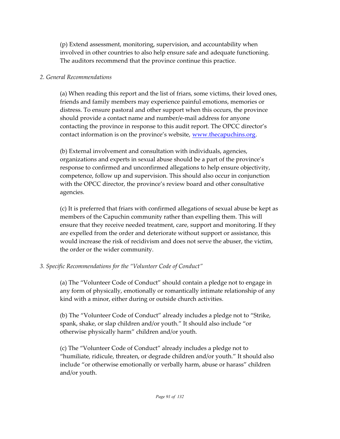(p) Extend assessment, monitoring, supervision, and accountability when involved in other countries to also help ensure safe and adequate functioning. The auditors recommend that the province continue this practice.

#### *2. General Recommendations*

(a) When reading this report and the list of friars, some victims, their loved ones, friends and family members may experience painful emotions, memories or distress. To ensure pastoral and other support when this occurs, the province should provide a contact name and number/e-mail address for anyone contacting the province in response to this audit report. The OPCC director's contact information is on the province's website, [www.thecapuchins.org](http://www.thecapuchins.org).

(b) External involvement and consultation with individuals, agencies, organizations and experts in sexual abuse should be a part of the province's response to confirmed and unconfirmed allegations to help ensure objectivity, competence, follow up and supervision. This should also occur in conjunction with the OPCC director, the province's review board and other consultative agencies.

(c) It is preferred that friars with confirmed allegations of sexual abuse be kept as members of the Capuchin community rather than expelling them. This will ensure that they receive needed treatment, care, support and monitoring. If they are expelled from the order and deteriorate without support or assistance, this would increase the risk of recidivism and does not serve the abuser, the victim, the order or the wider community.

# *3. Specific Recommendations for the "Volunteer Code of Conduct"*

(a) The "Volunteer Code of Conduct" should contain a pledge not to engage in any form of physically, emotionally or romantically intimate relationship of any kind with a minor, either during or outside church activities.

(b) The "Volunteer Code of Conduct" already includes a pledge not to "Strike, spank, shake, or slap children and/or youth." It should also include "or otherwise physically harm" children and/or youth.

(c) The "Volunteer Code of Conduct" already includes a pledge not to "humiliate, ridicule, threaten, or degrade children and/or youth." It should also include "or otherwise emotionally or verbally harm, abuse or harass" children and/or youth.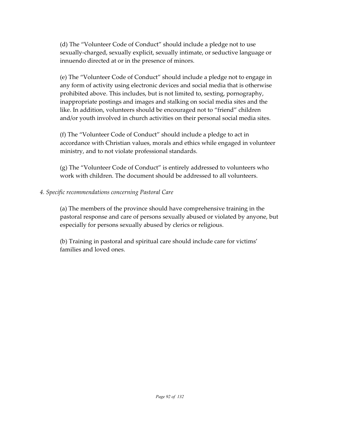(d) The "Volunteer Code of Conduct" should include a pledge not to use sexually-charged, sexually explicit, sexually intimate, or seductive language or innuendo directed at or in the presence of minors.

(e) The "Volunteer Code of Conduct" should include a pledge not to engage in any form of activity using electronic devices and social media that is otherwise prohibited above. This includes, but is not limited to, sexting, pornography, inappropriate postings and images and stalking on social media sites and the like. In addition, volunteers should be encouraged not to "friend" children and/or youth involved in church activities on their personal social media sites.

(f) The "Volunteer Code of Conduct" should include a pledge to act in accordance with Christian values, morals and ethics while engaged in volunteer ministry, and to not violate professional standards.

(g) The "Volunteer Code of Conduct" is entirely addressed to volunteers who work with children. The document should be addressed to all volunteers.

## *4. Specific recommendations concerning Pastoral Care*

(a) The members of the province should have comprehensive training in the pastoral response and care of persons sexually abused or violated by anyone, but especially for persons sexually abused by clerics or religious.

(b) Training in pastoral and spiritual care should include care for victims' families and loved ones.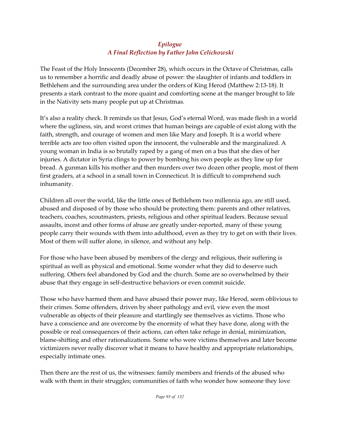# *Epilogue A Final Reflection by Father John Celichowski*

The Feast of the Holy Innocents (December 28), which occurs in the Octave of Christmas, calls us to remember a horrific and deadly abuse of power: the slaughter of infants and toddlers in Bethlehem and the surrounding area under the orders of King Herod (Matthew 2:13-18). It presents a stark contrast to the more quaint and comforting scene at the manger brought to life in the Nativity sets many people put up at Christmas.

It's also a reality check. It reminds us that Jesus, God's eternal Word, was made flesh in a world where the ugliness, sin, and worst crimes that human beings are capable of exist along with the faith, strength, and courage of women and men like Mary and Joseph. It is a world where terrible acts are too often visited upon the innocent, the vulnerable and the marginalized. A young woman in India is so brutally raped by a gang of men on a bus that she dies of her injuries. A dictator in Syria clings to power by bombing his own people as they line up for bread. A gunman kills his mother and then murders over two dozen other people, most of them first graders, at a school in a small town in Connecticut. It is difficult to comprehend such inhumanity.

Children all over the world, like the little ones of Bethlehem two millennia ago, are still used, abused and disposed of by those who should be protecting them: parents and other relatives, teachers, coaches, scoutmasters, priests, religious and other spiritual leaders. Because sexual assaults, incest and other forms of abuse are greatly under-reported, many of these young people carry their wounds with them into adulthood, even as they try to get on with their lives. Most of them will suffer alone, in silence, and without any help.

For those who have been abused by members of the clergy and religious, their suffering is spiritual as well as physical and emotional. Some wonder what they did to deserve such suffering. Others feel abandoned by God and the church. Some are so overwhelmed by their abuse that they engage in self-destructive behaviors or even commit suicide.

Those who have harmed them and have abused their power may, like Herod, seem oblivious to their crimes. Some offenders, driven by sheer pathology and evil, view even the most vulnerable as objects of their pleasure and startlingly see themselves as victims. Those who have a conscience and are overcome by the enormity of what they have done, along with the possible or real consequences of their actions, can often take refuge in denial, minimization, blame-shifting and other rationalizations. Some who were victims themselves and later become victimizers never really discover what it means to have healthy and appropriate relationships, especially intimate ones.

Then there are the rest of us, the witnesses: family members and friends of the abused who walk with them in their struggles; communities of faith who wonder how someone they love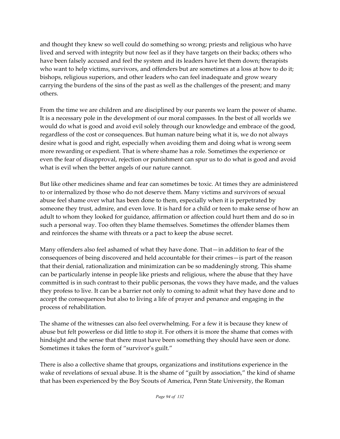and thought they knew so well could do something so wrong; priests and religious who have lived and served with integrity but now feel as if they have targets on their backs; others who have been falsely accused and feel the system and its leaders have let them down; therapists who want to help victims, survivors, and offenders but are sometimes at a loss at how to do it; bishops, religious superiors, and other leaders who can feel inadequate and grow weary carrying the burdens of the sins of the past as well as the challenges of the present; and many others.

From the time we are children and are disciplined by our parents we learn the power of shame. It is a necessary pole in the development of our moral compasses. In the best of all worlds we would do what is good and avoid evil solely through our knowledge and embrace of the good, regardless of the cost or consequences. But human nature being what it is, we do not always desire what is good and right, especially when avoiding them and doing what is wrong seem more rewarding or expedient. That is where shame has a role. Sometimes the experience or even the fear of disapproval, rejection or punishment can spur us to do what is good and avoid what is evil when the better angels of our nature cannot.

But like other medicines shame and fear can sometimes be toxic. At times they are administered to or internalized by those who do not deserve them. Many victims and survivors of sexual abuse feel shame over what has been done to them, especially when it is perpetrated by someone they trust, admire, and even love. It is hard for a child or teen to make sense of how an adult to whom they looked for guidance, affirmation or affection could hurt them and do so in such a personal way. Too often they blame themselves. Sometimes the offender blames them and reinforces the shame with threats or a pact to keep the abuse secret.

Many offenders also feel ashamed of what they have done. That—in addition to fear of the consequences of being discovered and held accountable for their crimes—is part of the reason that their denial, rationalization and minimization can be so maddeningly strong. This shame can be particularly intense in people like priests and religious, where the abuse that they have committed is in such contrast to their public personas, the vows they have made, and the values they profess to live. It can be a barrier not only to coming to admit what they have done and to accept the consequences but also to living a life of prayer and penance and engaging in the process of rehabilitation.

The shame of the witnesses can also feel overwhelming. For a few it is because they knew of abuse but felt powerless or did little to stop it. For others it is more the shame that comes with hindsight and the sense that there must have been something they should have seen or done. Sometimes it takes the form of "survivor's guilt."

There is also a collective shame that groups, organizations and institutions experience in the wake of revelations of sexual abuse. It is the shame of "guilt by association," the kind of shame that has been experienced by the Boy Scouts of America, Penn State University, the Roman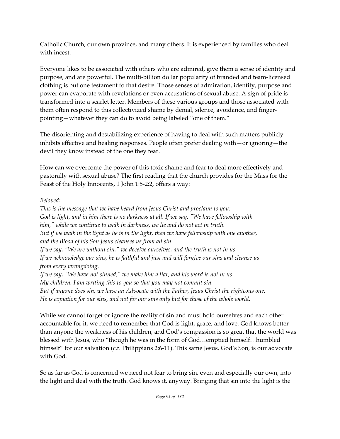Catholic Church, our own province, and many others. It is experienced by families who deal with incest.

Everyone likes to be associated with others who are admired, give them a sense of identity and purpose, and are powerful. The multi-billion dollar popularity of branded and team-licensed clothing is but one testament to that desire. Those senses of admiration, identity, purpose and power can evaporate with revelations or even accusations of sexual abuse. A sign of pride is transformed into a scarlet letter. Members of these various groups and those associated with them often respond to this collectivized shame by denial, silence, avoidance, and fingerpointing—whatever they can do to avoid being labeled "one of them."

The disorienting and destabilizing experience of having to deal with such matters publicly inhibits effective and healing responses. People often prefer dealing with—or ignoring—the devil they know instead of the one they fear.

How can we overcome the power of this toxic shame and fear to deal more effectively and pastorally with sexual abuse? The first reading that the church provides for the Mass for the Feast of the Holy Innocents, 1 John 1:5-2:2, offers a way:

## *Beloved:*

*This is the message that we have heard from Jesus Christ and proclaim to you: God is light, and in him there is no darkness at all. If we say, "We have fellowship with him," while we continue to walk in darkness, we lie and do not act in truth. But if we walk in the light as he is in the light, then we have fellowship with one another, and the Blood of his Son Jesus cleanses us from all sin. If we say, "We are without sin," we deceive ourselves, and the truth is not in us. If we acknowledge our sins, he is faithful and just and will forgive our sins and cleanse us from every wrongdoing. If we say, "We have not sinned," we make him a liar, and his word is not in us. My children, I am writing this to you so that you may not commit sin. But if anyone does sin, we have an Advocate with the Father, Jesus Christ the righteous one. He is expiation for our sins, and not for our sins only but for those of the whole world.*

While we cannot forget or ignore the reality of sin and must hold ourselves and each other accountable for it, we need to remember that God is light, grace, and love. God knows better than anyone the weakness of his children, and God's compassion is so great that the world was blessed with Jesus, who "though he was in the form of God…emptied himself…humbled himself" for our salvation (c.f. Philippians 2:6-11). This same Jesus, God's Son, is our advocate with God.

So as far as God is concerned we need not fear to bring sin, even and especially our own, into the light and deal with the truth. God knows it, anyway. Bringing that sin into the light is the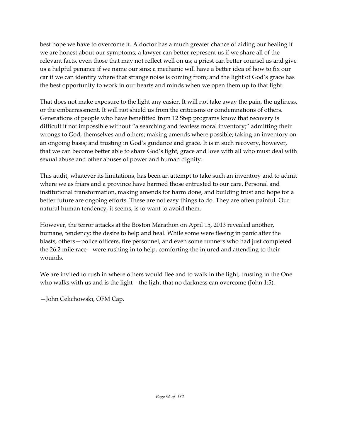best hope we have to overcome it. A doctor has a much greater chance of aiding our healing if we are honest about our symptoms; a lawyer can better represent us if we share all of the relevant facts, even those that may not reflect well on us; a priest can better counsel us and give us a helpful penance if we name our sins; a mechanic will have a better idea of how to fix our car if we can identify where that strange noise is coming from; and the light of God's grace has the best opportunity to work in our hearts and minds when we open them up to that light.

That does not make exposure to the light any easier. It will not take away the pain, the ugliness, or the embarrassment. It will not shield us from the criticisms or condemnations of others. Generations of people who have benefitted from 12 Step programs know that recovery is difficult if not impossible without "a searching and fearless moral inventory;" admitting their wrongs to God, themselves and others; making amends where possible; taking an inventory on an ongoing basis; and trusting in God's guidance and grace. It is in such recovery, however, that we can become better able to share God's light, grace and love with all who must deal with sexual abuse and other abuses of power and human dignity.

This audit, whatever its limitations, has been an attempt to take such an inventory and to admit where we as friars and a province have harmed those entrusted to our care. Personal and institutional transformation, making amends for harm done, and building trust and hope for a better future are ongoing efforts. These are not easy things to do. They are often painful. Our natural human tendency, it seems, is to want to avoid them.

However, the terror attacks at the Boston Marathon on April 15, 2013 revealed another, humane, tendency: the desire to help and heal. While some were fleeing in panic after the blasts, others—police officers, fire personnel, and even some runners who had just completed the 26.2 mile race—were rushing in to help, comforting the injured and attending to their wounds.

We are invited to rush in where others would flee and to walk in the light, trusting in the One who walks with us and is the light—the light that no darkness can overcome (John 1:5).

—John Celichowski, OFM Cap.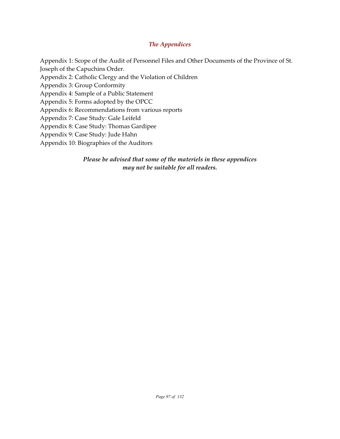#### *The Appendices*

Appendix 1: Scope of the Audit of Personnel Files and Other Documents of the Province of St. Joseph of the Capuchins Order. Appendix 2: Catholic Clergy and the Violation of Children Appendix 3: Group Conformity Appendix 4: Sample of a Public Statement Appendix 5: Forms adopted by the OPCC Appendix 6: Recommendations from various reports Appendix 7: Case Study: Gale Leifeld Appendix 8: Case Study: Thomas Gardipee Appendix 9: Case Study: Jude Hahn Appendix 10: Biographies of the Auditors

> *Please be advised that some of the materiels in these appendices may not be suitable for all readers.*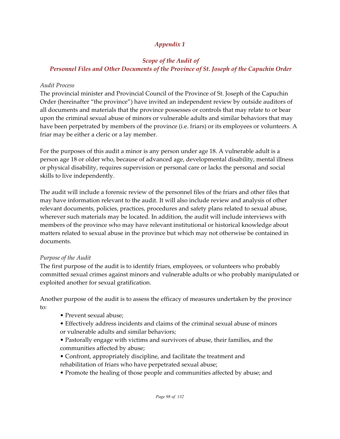# *Appendix 1*

## *Scope of the Audit of Personnel Files and Other Documents of the Province of St. Joseph of the Capuchin Order*

#### *Audit Process*

The provincial minister and Provincial Council of the Province of St. Joseph of the Capuchin Order (hereinafter "the province") have invited an independent review by outside auditors of all documents and materials that the province possesses or controls that may relate to or bear upon the criminal sexual abuse of minors or vulnerable adults and similar behaviors that may have been perpetrated by members of the province (i.e. friars) or its employees or volunteers. A friar may be either a cleric or a lay member.

For the purposes of this audit a minor is any person under age 18. A vulnerable adult is a person age 18 or older who, because of advanced age, developmental disability, mental illness or physical disability, requires supervision or personal care or lacks the personal and social skills to live independently.

The audit will include a forensic review of the personnel files of the friars and other files that may have information relevant to the audit. It will also include review and analysis of other relevant documents, policies, practices, procedures and safety plans related to sexual abuse, wherever such materials may be located. In addition, the audit will include interviews with members of the province who may have relevant institutional or historical knowledge about matters related to sexual abuse in the province but which may not otherwise be contained in documents.

# *Purpose of the Audit*

The first purpose of the audit is to identify friars, employees, or volunteers who probably committed sexual crimes against minors and vulnerable adults or who probably manipulated or exploited another for sexual gratification.

Another purpose of the audit is to assess the efficacy of measures undertaken by the province to:

- Prevent sexual abuse;
- Effectively address incidents and claims of the criminal sexual abuse of minors or vulnerable adults and similar behaviors;
- Pastorally engage with victims and survivors of abuse, their families, and the communities affected by abuse;
- Confront, appropriately discipline, and facilitate the treatment and rehabilitation of friars who have perpetrated sexual abuse;
- Promote the healing of those people and communities affected by abuse; and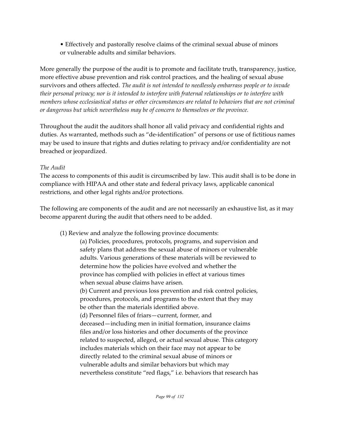• Effectively and pastorally resolve claims of the criminal sexual abuse of minors or vulnerable adults and similar behaviors.

More generally the purpose of the audit is to promote and facilitate truth, transparency, justice, more effective abuse prevention and risk control practices, and the healing of sexual abuse survivors and others affected. *The audit is not intended to needlessly embarrass people or to invade their personal privacy; nor is it intended to interfere with fraternal relationships or to interfere with members whose ecclesiastical status or other circumstances are related to behaviors that are not criminal or dangerous but which nevertheless may be of concern to themselves or the province.*

Throughout the audit the auditors shall honor all valid privacy and confidential rights and duties. As warranted, methods such as "de-identification" of persons or use of fictitious names may be used to insure that rights and duties relating to privacy and/or confidentiality are not breached or jeopardized.

## *The Audit*

The access to components of this audit is circumscribed by law. This audit shall is to be done in compliance with HIPAA and other state and federal privacy laws, applicable canonical restrictions, and other legal rights and/or protections.

The following are components of the audit and are not necessarily an exhaustive list, as it may become apparent during the audit that others need to be added.

(1) Review and analyze the following province documents:

(a) Policies, procedures, protocols, programs, and supervision and safety plans that address the sexual abuse of minors or vulnerable adults. Various generations of these materials will be reviewed to determine how the policies have evolved and whether the province has complied with policies in effect at various times when sexual abuse claims have arisen. (b) Current and previous loss prevention and risk control policies, procedures, protocols, and programs to the extent that they may be other than the materials identified above. (d) Personnel files of friars—current, former, and deceased—including men in initial formation, insurance claims files and/or loss histories and other documents of the province related to suspected, alleged, or actual sexual abuse. This category includes materials which on their face may not appear to be directly related to the criminal sexual abuse of minors or vulnerable adults and similar behaviors but which may

nevertheless constitute "red flags," i.e. behaviors that research has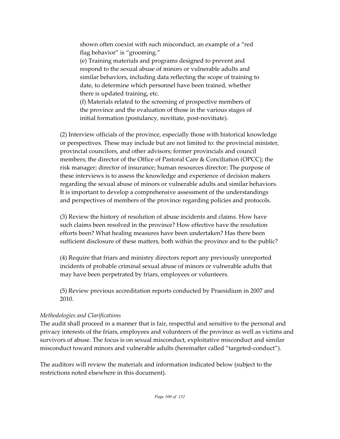shown often coexist with such misconduct, an example of a "red flag behavior" is "grooming."

(e) Training materials and programs designed to prevent and respond to the sexual abuse of minors or vulnerable adults and similar behaviors, including data reflecting the scope of training to date, to determine which personnel have been trained, whether there is updated training, etc.

(f) Materials related to the screening of prospective members of the province and the evaluation of those in the various stages of initial formation (postulancy, novitiate, post-novitiate).

(2) Interview officials of the province, especially those with historical knowledge or perspectives. These may include but are not limited to: the provincial minister, provincial councilors, and other advisors; former provincials and council members; the director of the Office of Pastoral Care & Conciliation (OPCC); the risk manager; director of insurance; human resources director; The purpose of these interviews is to assess the knowledge and experience of decision makers regarding the sexual abuse of minors or vulnerable adults and similar behaviors. It is important to develop a comprehensive assessment of the understandings and perspectives of members of the province regarding policies and protocols.

(3) Review the history of resolution of abuse incidents and claims. How have such claims been resolved in the province? How effective have the resolution efforts been? What healing measures have been undertaken? Has there been sufficient disclosure of these matters, both within the province and to the public?

(4) Require that friars and ministry directors report any previously unreported incidents of probable criminal sexual abuse of minors or vulnerable adults that may have been perpetrated by friars, employees or volunteers.

(5) Review previous accreditation reports conducted by Praesidium in 2007 and 2010.

# *Methodologies and Clarifications*

The audit shall proceed in a manner that is fair, respectful and sensitive to the personal and privacy interests of the friars, employees and volunteers of the province as well as victims and survivors of abuse. The focus is on sexual misconduct, exploitative misconduct and similar misconduct toward minors and vulnerable adults (hereinafter called "targeted-conduct").

The auditors will review the materials and information indicated below (subject to the restrictions noted elsewhere in this document).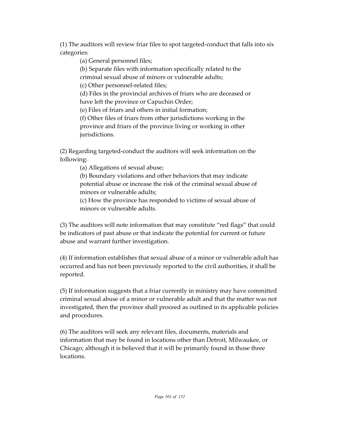(1) The auditors will review friar files to spot targeted-conduct that falls into six categories:

(a) General personnel files;

(b) Separate files with information specifically related to the criminal sexual abuse of minors or vulnerable adults;

(c) Other personnel-related files;

(d) Files in the provincial archives of friars who are deceased or have left the province or Capuchin Order;

(e) Files of friars and others in initial formation;

(f) Other files of friars from other jurisdictions working in the province and friars of the province living or working in other jurisdictions.

(2) Regarding targeted-conduct the auditors will seek information on the following:

(a) Allegations of sexual abuse;

(b) Boundary violations and other behaviors that may indicate potential abuse or increase the risk of the criminal sexual abuse of minors or vulnerable adults;

(c) How the province has responded to victims of sexual abuse of minors or vulnerable adults*.*

(3) The auditors will note information that may constitute "red flags" that could be indicators of past abuse or that indicate the potential for current or future abuse and warrant further investigation.

(4) If information establishes that sexual abuse of a minor or vulnerable adult has occurred and has not been previously reported to the civil authorities, it shall be reported.

(5) If information suggests that a friar currently in ministry may have committed criminal sexual abuse of a minor or vulnerable adult and that the matter was not investigated, then the province shall proceed as outlined in its applicable policies and procedures.

(6) The auditors will seek any relevant files, documents, materials and information that may be found in locations other than Detroit, Milwaukee, or Chicago; although it is believed that it will be primarily found in those three locations.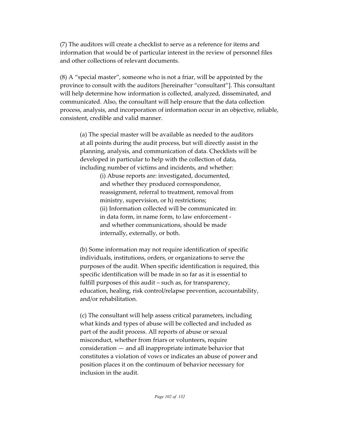(7) The auditors will create a checklist to serve as a reference for items and information that would be of particular interest in the review of personnel files and other collections of relevant documents.

(8) A "special master", someone who is not a friar, will be appointed by the province to consult with the auditors [hereinafter "consultant"]. This consultant will help determine how information is collected, analyzed, disseminated, and communicated. Also, the consultant will help ensure that the data collection process, analysis, and incorporation of information occur in an objective, reliable, consistent, credible and valid manner.

(a) The special master will be available as needed to the auditors at all points during the audit process, but will directly assist in the planning, analysis, and communication of data. Checklists will be developed in particular to help with the collection of data, including number of victims and incidents, and whether:

> (i) Abuse reports are: investigated, documented, and whether they produced correspondence, reassignment, referral to treatment, removal from ministry, supervision, or h) restrictions; (ii) Information collected will be communicated in: in data form, in name form, to law enforcement and whether communications, should be made internally, externally, or both.

(b) Some information may not require identification of specific individuals, institutions, orders, or organizations to serve the purposes of the audit. When specific identification is required, this specific identification will be made in so far as it is essential to fulfill purposes of this audit – such as, for transparency, education, healing, risk control/relapse prevention, accountability, and/or rehabilitation.

(c) The consultant will help assess critical parameters, including what kinds and types of abuse will be collected and included as part of the audit process. All reports of abuse or sexual misconduct, whether from friars or volunteers, require consideration — and all inappropriate intimate behavior that constitutes a violation of vows or indicates an abuse of power and position places it on the continuum of behavior necessary for inclusion in the audit.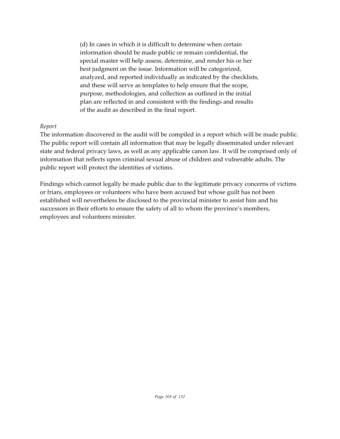(d) In cases in which it is difficult to determine when certain information should be made public or remain confidential, the special master will help assess, determine, and render his or her best judgment on the issue. Information will be categorized, analyzed, and reported individually as indicated by the checklists, and these will serve as templates to help ensure that the scope, purpose, methodologies, and collection as outlined in the initial plan are reflected in and consistent with the findings and results of the audit as described in the final report.

#### *Report*

The information discovered in the audit will be compiled in a report which will be made public. The public report will contain all information that may be legally disseminated under relevant state and federal privacy laws, as well as any applicable canon law. It will be comprised only of information that reflects upon criminal sexual abuse of children and vulnerable adults. The public report will protect the identities of victims.

Findings which cannot legally be made public due to the legitimate privacy concerns of victims or friars, employees or volunteers who have been accused but whose guilt has not been established will nevertheless be disclosed to the provincial minister to assist him and his successors in their efforts to ensure the safety of all to whom the province's members, employees and volunteers minister.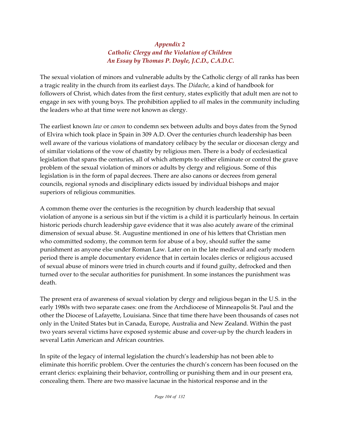# *Appendix 2 Catholic Clergy and the Violation of Children An Essay by Thomas P. Doyle, J.C.D., C.A.D.C.*

The sexual violation of minors and vulnerable adults by the Catholic clergy of all ranks has been a tragic reality in the church from its earliest days. The *Didache*, a kind of handbook for followers of Christ, which dates from the first century, states explicitly that adult men are not to engage in sex with young boys. The prohibition applied to *all* males in the community including the leaders who at that time were not known as clergy.

The earliest known *law* or *canon* to condemn sex between adults and boys dates from the Synod of Elvira which took place in Spain in 309 A.D. Over the centuries church leadership has been well aware of the various violations of mandatory celibacy by the secular or diocesan clergy and of similar violations of the vow of chastity by religious men. There is a body of ecclesiastical legislation that spans the centuries, all of which attempts to either eliminate or control the grave problem of the sexual violation of minors or adults by clergy and religious. Some of this legislation is in the form of papal decrees. There are also canons or decrees from general councils, regional synods and disciplinary edicts issued by individual bishops and major superiors of religious communities.

A common theme over the centuries is the recognition by church leadership that sexual violation of anyone is a serious sin but if the victim is a child it is particularly heinous. In certain historic periods church leadership gave evidence that it was also acutely aware of the criminal dimension of sexual abuse. St. Augustine mentioned in one of his letters that Christian men who committed sodomy, the common term for abuse of a boy, should suffer the same punishment as anyone else under Roman Law. Later on in the late medieval and early modern period there is ample documentary evidence that in certain locales clerics or religious accused of sexual abuse of minors were tried in church courts and if found guilty, defrocked and then turned over to the secular authorities for punishment. In some instances the punishment was death.

The present era of awareness of sexual violation by clergy and religious began in the U.S. in the early 1980s with two separate cases: one from the Archdiocese of Minneapolis St. Paul and the other the Diocese of Lafayette, Louisiana. Since that time there have been thousands of cases not only in the United States but in Canada, Europe, Australia and New Zealand. Within the past two years several victims have exposed systemic abuse and cover-up by the church leaders in several Latin American and African countries.

In spite of the legacy of internal legislation the church's leadership has not been able to eliminate this horrific problem. Over the centuries the church's concern has been focused on the errant clerics: explaining their behavior, controlling or punishing them and in our present era, concealing them. There are two massive lacunae in the historical response and in the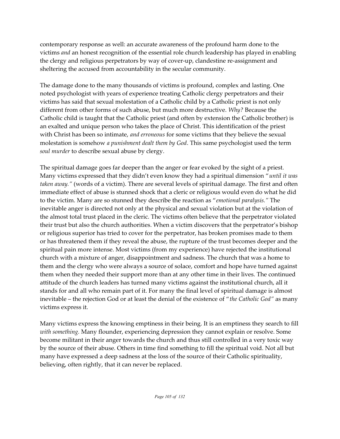contemporary response as well: an accurate awareness of the profound harm done to the victims *and* an honest recognition of the essential role church leadership has played in enabling the clergy and religious perpetrators by way of cover-up, clandestine re-assignment and sheltering the accused from accountability in the secular community.

The damage done to the many thousands of victims is profound, complex and lasting. One noted psychologist with years of experience treating Catholic clergy perpetrators and their victims has said that sexual molestation of a Catholic child by a Catholic priest is not only different from other forms of such abuse, but much more destructive. *Why?* Because the Catholic child is taught that the Catholic priest (and often by extension the Catholic brother) is an exalted and unique person who takes the place of Christ. This identification of the priest with Christ has been so intimate, *and erroneous* for some victims that they believe the sexual molestation is somehow *a punishment dealt them by God*. This same psychologist used the term *soul murder* to describe sexual abuse by clergy.

The spiritual damage goes far deeper than the anger or fear evoked by the sight of a priest. Many victims expressed that they didn't even know they had a spiritual dimension "*until it was taken away."* (words of a victim). There are several levels of spiritual damage. The first and often immediate effect of abuse is stunned shock that a cleric or religious would even do what he did to the victim. Many are so stunned they describe the reaction as "*emotional paralysis."* The inevitable anger is directed not only at the physical and sexual violation but at the violation of the almost total trust placed in the cleric. The victims often believe that the perpetrator violated their trust but also the church authorities. When a victim discovers that the perpetrator's bishop or religious superior has tried to cover for the perpetrator, has broken promises made to them or has threatened them if they reveal the abuse, the rupture of the trust becomes deeper and the spiritual pain more intense. Most victims (from my experience) have rejected the institutional church with a mixture of anger, disappointment and sadness. The church that was a home to them and the clergy who were always a source of solace, comfort and hope have turned against them when they needed their support more than at any other time in their lives. The continued attitude of the church leaders has turned many victims against the institutional church, all it stands for and all who remain part of it. For many the final level of spiritual damage is almost inevitable – the rejection God or at least the denial of the existence of "*the Catholic God"* as many victims express it.

Many victims express the knowing emptiness in their being. It is an emptiness they search to fill *with something.* Many flounder, experiencing depression they cannot explain or resolve. Some become militant in their anger towards the church and thus still controlled in a very toxic way by the source of their abuse. Others in time find something to fill the spiritual void. Not all but many have expressed a deep sadness at the loss of the source of their Catholic spirituality, believing, often rightly, that it can never be replaced.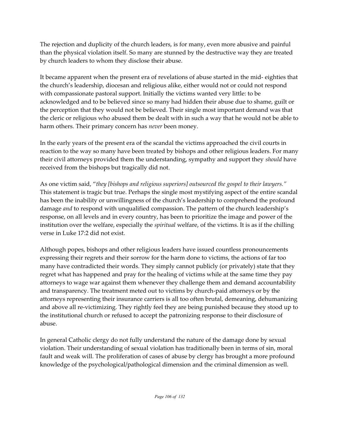The rejection and duplicity of the church leaders, is for many, even more abusive and painful than the physical violation itself. So many are stunned by the destructive way they are treated by church leaders to whom they disclose their abuse.

It became apparent when the present era of revelations of abuse started in the mid- eighties that the church's leadership, diocesan and religious alike, either would not or could not respond with compassionate pastoral support. Initially the victims wanted very little: to be acknowledged and to be believed since so many had hidden their abuse due to shame, guilt or the perception that they would not be believed. Their single most important demand was that the cleric or religious who abused them be dealt with in such a way that he would not be able to harm others. Their primary concern has *never* been money.

In the early years of the present era of the scandal the victims approached the civil courts in reaction to the way so many have been treated by bishops and other religious leaders. For many their civil attorneys provided them the understanding, sympathy and support they *should* have received from the bishops but tragically did not.

As one victim said, "*they [bishops and religious superiors] outsourced the gospel to their lawyers."* This statement is tragic but true. Perhaps the single most mystifying aspect of the entire scandal has been the inability or unwillingness of the church's leadership to comprehend the profound damage *and* to respond with unqualified compassion. The pattern of the church leadership's response, on all levels and in every country, has been to prioritize the image and power of the institution over the welfare, especially the *spiritual* welfare, of the victims. It is as if the chilling verse in Luke 17:2 did not exist.

Although popes, bishops and other religious leaders have issued countless pronouncements expressing their regrets and their sorrow for the harm done to victims, the actions of far too many have contradicted their words. They simply cannot publicly (or privately) state that they regret what has happened and pray for the healing of victims while at the same time they pay attorneys to wage war against them whenever they challenge them and demand accountability and transparency. The treatment meted out to victims by church-paid attorneys or by the attorneys representing their insurance carriers is all too often brutal, demeaning, dehumanizing and above all re-victimizing. They rightly feel they are being punished because they stood up to the institutional church or refused to accept the patronizing response to their disclosure of abuse.

In general Catholic clergy do not fully understand the nature of the damage done by sexual violation. Their understanding of sexual violation has traditionally been in terms of sin, moral fault and weak will. The proliferation of cases of abuse by clergy has brought a more profound knowledge of the psychological/pathological dimension and the criminal dimension as well.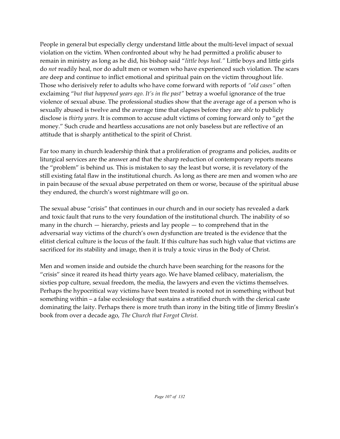People in general but especially clergy understand little about the multi-level impact of sexual violation on the victim. When confronted about why he had permitted a prolific abuser to remain in ministry as long as he did, his bishop said "*little boys heal."* Little boys and little girls do *not* readily heal, nor do adult men or women who have experienced such violation. The scars are deep and continue to inflict emotional and spiritual pain on the victim throughout life. Those who derisively refer to adults who have come forward with reports of *"old cases"* often exclaiming "*but that happened years ago. It's in the past"* betray a woeful ignorance of the true violence of sexual abuse. The professional studies show that the average age of a person who is sexually abused is twelve and the average time that elapses before they are *able* to publicly disclose is *thirty years.* It is common to accuse adult victims of coming forward only to "get the money." Such crude and heartless accusations are not only baseless but are reflective of an attitude that is sharply antithetical to the spirit of Christ.

Far too many in church leadership think that a proliferation of programs and policies, audits or liturgical services are the answer and that the sharp reduction of contemporary reports means the "problem" is behind us. This is mistaken to say the least but worse, it is revelatory of the still existing fatal flaw in the institutional church. As long as there are men and women who are in pain because of the sexual abuse perpetrated on them or worse, because of the spiritual abuse they endured, the church's worst nightmare will go on.

The sexual abuse "crisis" that continues in our church and in our society has revealed a dark and toxic fault that runs to the very foundation of the institutional church. The inability of so many in the church — hierarchy, priests and lay people — to comprehend that in the adversarial way victims of the church's own dysfunction are treated is the evidence that the elitist clerical culture is the locus of the fault. If this culture has such high value that victims are sacrificed for its stability and image, then it is truly a toxic virus in the Body of Christ.

Men and women inside and outside the church have been searching for the reasons for the "crisis" since it reared its head thirty years ago. We have blamed celibacy, materialism, the sixties pop culture, sexual freedom, the media, the lawyers and even the victims themselves. Perhaps the hypocritical way victims have been treated is rooted not in something without but something within – a false ecclesiology that sustains a stratified church with the clerical caste dominating the laity. Perhaps there is more truth than irony in the biting title of Jimmy Breslin's book from over a decade ago, *The Church that Forgot Christ.*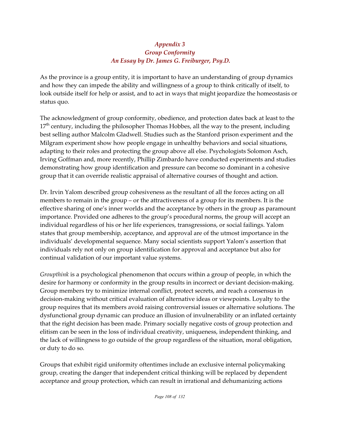## *Appendix 3 Group Conformity An Essay by Dr. James G. Freiburger, Psy.D.*

As the province is a group entity, it is important to have an understanding of group dynamics and how they can impede the ability and willingness of a group to think critically of itself, to look outside itself for help or assist, and to act in ways that might jeopardize the homeostasis or status quo.

The acknowledgment of group conformity, obedience, and protection dates back at least to the  $17^{\text{th}}$  century, including the philosopher Thomas Hobbes, all the way to the present, including best selling author Malcolm Gladwell. Studies such as the Stanford prison experiment and the Milgram experiment show how people engage in unhealthy behaviors and social situations, adapting to their roles and protecting the group above all else. Psychologists Solomon Asch, Irving Goffman and, more recently, Phillip Zimbardo have conducted experiments and studies demonstrating how group identification and pressure can become so dominant in a cohesive group that it can override realistic appraisal of alternative courses of thought and action.

Dr. Irvin Yalom described group cohesiveness as the resultant of all the forces acting on all members to remain in the group – or the attractiveness of a group for its members. It is the effective sharing of one's inner worlds and the acceptance by others in the group as paramount importance. Provided one adheres to the group's procedural norms, the group will accept an individual regardless of his or her life experiences, transgressions, or social failings. Yalom states that group membership, acceptance, and approval are of the utmost importance in the individuals' developmental sequence. Many social scientists support Yalom's assertion that individuals rely not only on group identification for approval and acceptance but also for continual validation of our important value systems.

*Groupthink* is a psychological phenomenon that occurs within a group of people, in which the desire for harmony or conformity in the group results in incorrect or deviant decision-making. Group members try to minimize internal conflict, protect secrets, and reach a consensus in decision-making without critical evaluation of alternative ideas or viewpoints. Loyalty to the group requires that its members avoid raising controversial issues or alternative solutions. The dysfunctional group dynamic can produce an illusion of invulnerability or an inflated certainty that the right decision has been made. Primary socially negative costs of group protection and elitism can be seen in the loss of individual creativity, uniqueness, independent thinking, and the lack of willingness to go outside of the group regardless of the situation, moral obligation, or duty to do so.

Groups that exhibit rigid uniformity oftentimes include an exclusive internal policymaking group, creating the danger that independent critical thinking will be replaced by dependent acceptance and group protection, which can result in irrational and dehumanizing actions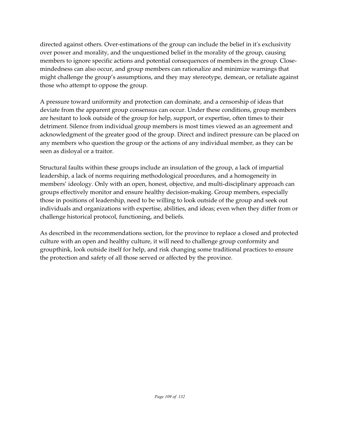directed against others. Over-estimations of the group can include the belief in it's exclusivity over power and morality, and the unquestioned belief in the morality of the group, causing members to ignore specific actions and potential consequences of members in the group. Closemindedness can also occur, and group members can rationalize and minimize warnings that might challenge the group's assumptions, and they may stereotype, demean, or retaliate against those who attempt to oppose the group.

A pressure toward uniformity and protection can dominate, and a censorship of ideas that deviate from the apparent group consensus can occur. Under these conditions, group members are hesitant to look outside of the group for help, support, or expertise, often times to their detriment. Silence from individual group members is most times viewed as an agreement and acknowledgment of the greater good of the group. Direct and indirect pressure can be placed on any members who question the group or the actions of any individual member, as they can be seen as disloyal or a traitor.

Structural faults within these groups include an insulation of the group, a lack of impartial leadership, a lack of norms requiring methodological procedures, and a homogeneity in members' ideology. Only with an open, honest, objective, and multi-disciplinary approach can groups effectively monitor and ensure healthy decision-making. Group members, especially those in positions of leadership, need to be willing to look outside of the group and seek out individuals and organizations with expertise, abilities, and ideas; even when they differ from or challenge historical protocol, functioning, and beliefs.

As described in the recommendations section, for the province to replace a closed and protected culture with an open and healthy culture, it will need to challenge group conformity and groupthink, look outside itself for help, and risk changing some traditional practices to ensure the protection and safety of all those served or affected by the province.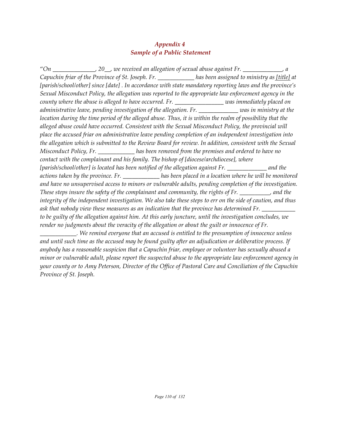### *Appendix 4 Sample of a Public Statement*

"*On \_\_\_\_\_\_\_\_\_\_\_\_\_\_, 20\_\_, we received an allegation of sexual abuse against Fr. \_\_\_\_\_\_\_\_\_\_\_\_\_, a Capuchin friar of the Province of St. Joseph. Fr. \_\_\_\_\_\_\_\_\_\_\_\_ has been assigned to ministry as [title] at [parish/school/other] since [date] . In accordance with state mandatory reporting laws and the province's Sexual Misconduct Policy, the allegation was reported to the appropriate law enforcement agency in the county where the abuse is alleged to have occurred. Fr. \_\_\_\_\_\_\_\_\_\_\_\_\_\_\_\_ was immediately placed on administrative leave, pending investigation of the allegation. Fr. \_\_\_\_\_\_\_\_\_\_\_\_\_ was in ministry at the location during the time period of the alleged abuse. Thus, it is within the realm of possibility that the alleged abuse could have occurred. Consistent with the Sexual Misconduct Policy, the provincial will place the accused friar on administrative leave pending completion of an independent investigation into the allegation which is submitted to the Review Board for review. In addition, consistent with the Sexual Misconduct Policy, Fr. \_\_\_\_\_\_\_\_\_\_\_\_ has been removed from the premises and ordered to have no contact with the complainant and his family. The bishop of [diocese/archdiocese], where [parish/school/other] is located has been notified of the allegation against Fr. \_\_\_\_\_\_\_\_\_\_\_\_\_ and the actions taken by the province. Fr. \_\_\_\_\_\_\_\_\_\_\_\_ has been placed in a location where he will be monitored and have no unsupervised access to minors or vulnerable adults, pending completion of the investigation. These steps insure the safety of the complainant and community, the rights of Fr. \_\_\_\_\_\_\_\_\_\_, and the integrity of the independent investigation. We also take these steps to err on the side of caution, and thus* ask that nobody view these measures as an indication that the province has determined Fr. *to be guilty of the allegation against him. At this early juncture, until the investigation concludes, we render no judgments about the veracity of the allegation or about the guilt or innocence of Fr. \_\_\_\_\_\_\_\_\_\_\_\_. We remind everyone that an accused is entitled to the presumption of innocence unless*

*and until such time as the accused may be found guilty after an adjudication or deliberative process. If anybody has a reasonable suspicion that a Capuchin friar, employee or volunteer has sexually abused a minor or vulnerable adult, please report the suspected abuse to the appropriate law enforcement agency in your county or to Amy Peterson, Director of the Office of Pastoral Care and Conciliation of the Capuchin Province of St. Joseph.*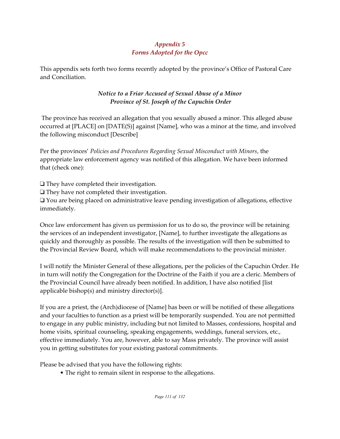# *Appendix 5 Forms Adopted for the Opcc*

This appendix sets forth two forms recently adopted by the province's Office of Pastoral Care and Conciliation.

# *Notice to a Friar Accused of Sexual Abuse of a Minor Province of St. Joseph of the Capuchin Order*

 The province has received an allegation that you sexually abused a minor. This alleged abuse occurred at [PLACE] on [DATE(S)] against [Name], who was a minor at the time, and involved the following misconduct [Describe]

Per the provinces' *Policies and Procedures Regarding Sexual Misconduct with Minors*, the appropriate law enforcement agency was notified of this allegation. We have been informed that (check one):

 $\Box$  They have completed their investigation.

They have not completed their investigation.

 $\Box$  You are being placed on administrative leave pending investigation of allegations, effective immediately.

Once law enforcement has given us permission for us to do so, the province will be retaining the services of an independent investigator, [Name], to further investigate the allegations as quickly and thoroughly as possible. The results of the investigation will then be submitted to the Provincial Review Board, which will make recommendations to the provincial minister.

I will notify the Minister General of these allegations, per the policies of the Capuchin Order. He in turn will notify the Congregation for the Doctrine of the Faith if you are a cleric. Members of the Provincial Council have already been notified. In addition, I have also notified [list applicable bishop(s) and ministry director(s)].

If you are a priest, the (Arch)diocese of [Name] has been or will be notified of these allegations and your faculties to function as a priest will be temporarily suspended. You are not permitted to engage in any public ministry, including but not limited to Masses, confessions, hospital and home visits, spiritual counseling, speaking engagements, weddings, funeral services, etc., effective immediately. You are, however, able to say Mass privately. The province will assist you in getting substitutes for your existing pastoral commitments.

Please be advised that you have the following rights:

• The right to remain silent in response to the allegations.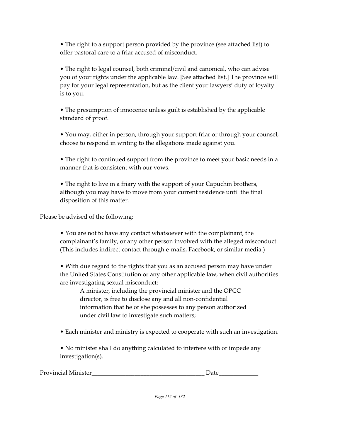• The right to a support person provided by the province (see attached list) to offer pastoral care to a friar accused of misconduct.

• The right to legal counsel, both criminal/civil and canonical, who can advise you of your rights under the applicable law. [See attached list.] The province will pay for your legal representation, but as the client your lawyers' duty of loyalty is to you.

• The presumption of innocence unless guilt is established by the applicable standard of proof.

• You may, either in person, through your support friar or through your counsel, choose to respond in writing to the allegations made against you.

• The right to continued support from the province to meet your basic needs in a manner that is consistent with our vows.

• The right to live in a friary with the support of your Capuchin brothers, although you may have to move from your current residence until the final disposition of this matter.

Please be advised of the following:

• You are not to have any contact whatsoever with the complainant, the complainant's family, or any other person involved with the alleged misconduct. (This includes indirect contact through e-mails, Facebook, or similar media.)

• With due regard to the rights that you as an accused person may have under the United States Constitution or any other applicable law, when civil authorities are investigating sexual misconduct:

A minister, including the provincial minister and the OPCC director, is free to disclose any and all non-confidential information that he or she possesses to any person authorized under civil law to investigate such matters;

• Each minister and ministry is expected to cooperate with such an investigation.

• No minister shall do anything calculated to interfere with or impede any investigation(s).

| <b>Provincial Minister</b> |  |
|----------------------------|--|
|----------------------------|--|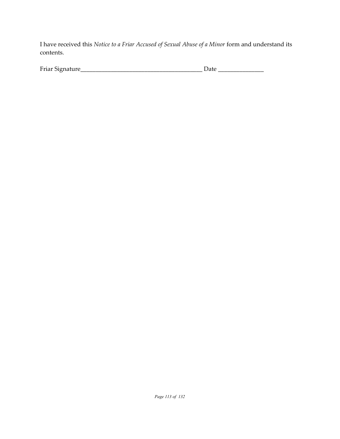I have received this *Notice to a Friar Accused of Sexual Abuse of a Minor* form and understand its contents.

| $\mathbf{r}$ .<br>15 Friar<br>טור<br>____ |  |
|-------------------------------------------|--|
|                                           |  |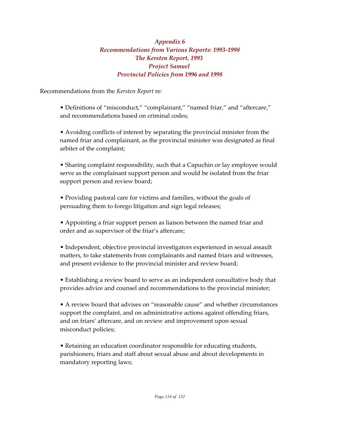## *Appendix 6 Recommendations from Various Reports: 1993-1998 The Kersten Report, 1993 Project Samuel Provincial Policies from 1996 and 1998*

Recommendations from the *Kersten Report* re:

• Definitions of "misconduct," "complainant," "named friar," and "aftercare," and recommendations based on criminal codes;

• Avoiding conflicts of interest by separating the provincial minister from the named friar and complainant, as the provincial minister was designated as final arbiter of the complaint;

• Sharing complaint responsibility, such that a Capuchin or lay employee would serve as the complainant support person and would be isolated from the friar support person and review board;

• Providing pastoral care for victims and families, without the goals of persuading them to forego litigation and sign legal releases;

• Appointing a friar support person as liaison between the named friar and order and as supervisor of the friar's aftercare;

• Independent, objective provincial investigators experienced in sexual assault matters, to take statements from complainants and named friars and witnesses, and present evidence to the provincial minister and review board;

• Establishing a review board to serve as an independent consultative body that provides advice and counsel and recommendations to the provincial minister;

• A review board that advises on "reasonable cause" and whether circumstances support the complaint, and on administrative actions against offending friars, and on friars' aftercare, and on review and improvement upon sexual misconduct policies;

• Retaining an education coordinator responsible for educating students, parishioners, friars and staff about sexual abuse and about developments in mandatory reporting laws;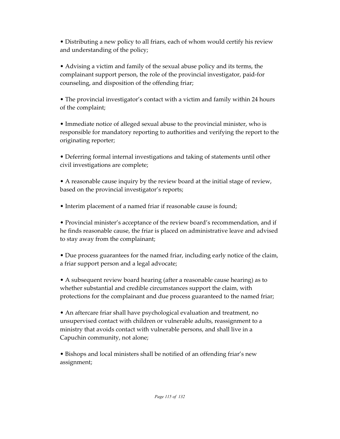• Distributing a new policy to all friars, each of whom would certify his review and understanding of the policy;

• Advising a victim and family of the sexual abuse policy and its terms, the complainant support person, the role of the provincial investigator, paid-for counseling, and disposition of the offending friar;

• The provincial investigator's contact with a victim and family within 24 hours of the complaint;

• Immediate notice of alleged sexual abuse to the provincial minister, who is responsible for mandatory reporting to authorities and verifying the report to the originating reporter;

• Deferring formal internal investigations and taking of statements until other civil investigations are complete;

• A reasonable cause inquiry by the review board at the initial stage of review, based on the provincial investigator's reports;

• Interim placement of a named friar if reasonable cause is found;

• Provincial minister's acceptance of the review board's recommendation, and if he finds reasonable cause, the friar is placed on administrative leave and advised to stay away from the complainant;

• Due process guarantees for the named friar, including early notice of the claim, a friar support person and a legal advocate;

• A subsequent review board hearing (after a reasonable cause hearing) as to whether substantial and credible circumstances support the claim, with protections for the complainant and due process guaranteed to the named friar;

• An aftercare friar shall have psychological evaluation and treatment, no unsupervised contact with children or vulnerable adults, reassignment to a ministry that avoids contact with vulnerable persons, and shall live in a Capuchin community, not alone;

• Bishops and local ministers shall be notified of an offending friar's new assignment;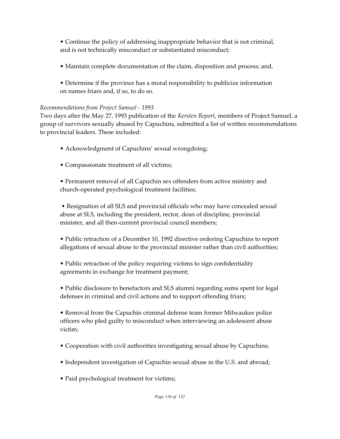• Continue the policy of addressing inappropriate behavior that is not criminal, and is not technically misconduct or substantiated misconduct;

- Maintain complete documentation of the claim, disposition and process; and,
- Determine if the province has a moral responsibility to publicize information on names friars and, if so, to do so.

### *Recommendations from Project Samuel - 1993*

Two days after the May 27, 1993 publication of the *Kersten Report*, members of Project Samuel, a group of survivors sexually abused by Capuchins, submitted a list of written recommendations to provincial leaders. These included:

- Acknowledgment of Capuchins' sexual wrongdoing;
- Compassionate treatment of all victims;

• Permanent removal of all Capuchin sex offenders from active ministry and church-operated psychological treatment facilities;

 • Resignation of all SLS and provincial officials who may have concealed sexual abuse at SLS, including the president, rector, dean of discipline, provincial minister, and all then-current provincial council members;

• Public retraction of a December 10, 1992 directive ordering Capuchins to report allegations of sexual abuse to the provincial minister rather than civil authorities;

• Public retraction of the policy requiring victims to sign confidentiality agreements in exchange for treatment payment;

• Public disclosure to benefactors and SLS alumni regarding sums spent for legal defenses in criminal and civil actions and to support offending friars;

• Removal from the Capuchin criminal defense team former Milwaukee police officers who pled guilty to misconduct when interviewing an adolescent abuse victim;

- Cooperation with civil authorities investigating sexual abuse by Capuchins;
- Independent investigation of Capuchin sexual abuse in the U.S. and abroad;
- Paid psychological treatment for victims;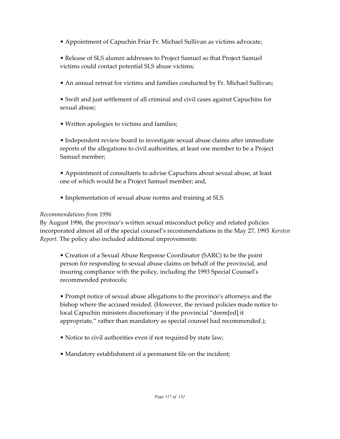- Appointment of Capuchin Friar Fr. Michael Sullivan as victims advocate;
- Release of SLS alumni addresses to Project Samuel so that Project Samuel victims could contact potential SLS abuse victims;
- An annual retreat for victims and families conducted by Fr. Michael Sullivan;
- Swift and just settlement of all criminal and civil cases against Capuchins for sexual abuse;
- Written apologies to victims and families;

• Independent review board to investigate sexual abuse claims after immediate reports of the allegations to civil authorities, at least one member to be a Project Samuel member;

• Appointment of consultants to advise Capuchins about sexual abuse, at least one of which would be a Project Samuel member; and,

• Implementation of sexual abuse norms and training at SLS.

## *Recommendations from 1996*

By August 1996, the province's written sexual misconduct policy and related policies incorporated almost all of the special counsel's recommendations in the May 27, 1993 *Kersten Report*. The policy also included additional improvements:

• Creation of a Sexual Abuse Response Coordinator (SARC) to be the point person for responding to sexual abuse claims on behalf of the provincial, and insuring compliance with the policy, including the 1993 Special Counsel's recommended protocols;

• Prompt notice of sexual abuse allegations to the province's attorneys and the bishop where the accused resided. (However, the revised policies made notice to local Capuchin ministers discretionary if the provincial "deem[ed] it appropriate," rather than mandatory as special counsel had recommended.);

- Notice to civil authorities even if not required by state law;
- Mandatory establishment of a permanent file on the incident;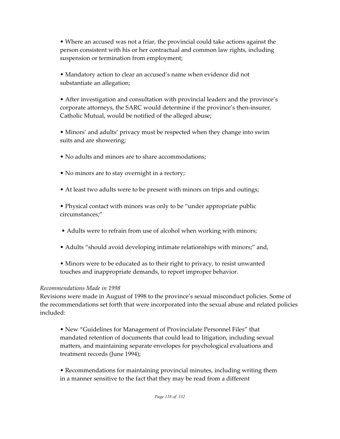• Where an accused was not a friar, the provincial could take actions against the person consistent with his or her contractual and common law rights, including suspension or termination from employment;

• Mandatory action to clear an accused's name when evidence did not substantiate an allegation;

• After investigation and consultation with provincial leaders and the province's corporate attorneys, the SARC would determine if the province's then-insurer, Catholic Mutual, would be notified of the alleged abuse;

• Minors' and adults' privacy must be respected when they change into swim suits and are showering;

- No adults and minors are to share accommodations;
- No minors are to stay overnight in a rectory;
- At least two adults were to be present with minors on trips and outings;

• Physical contact with minors was only to be "under appropriate public circumstances;"

- Adults were to refrain from use of alcohol when working with minors;
- Adults "should avoid developing intimate relationships with minors;" and,
- Minors were to be educated as to their right to privacy, to resist unwanted touches and inappropriate demands, to report improper behavior.

#### *Recommendations Made in 1998*

Revisions were made in August of 1998 to the province's sexual misconduct policies. Some of the recommendations set forth that were incorporated into the sexual abuse and related policies included:

• New "Guidelines for Management of Provincialate Personnel Files" that mandated retention of documents that could lead to litigation, including sexual matters, and maintaining separate envelopes for psychological evaluations and treatment records (June 1994);

• Recommendations for maintaining provincial minutes, including writing them in a manner sensitive to the fact that they may be read from a different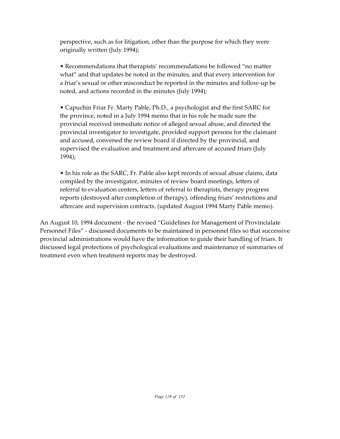perspective, such as for litigation, other than the purpose for which they were originally written (July 1994);

• Recommendations that therapists' recommendations be followed "no matter what" and that updates be noted in the minutes, and that every intervention for a friar's sexual or other misconduct be reported in the minutes and follow-up be noted, and actions recorded in the minutes (July 1994);

• Capuchin Friar Fr. Marty Pable, Ph.D., a psychologist and the first SARC for the province, noted in a July 1994 memo that in his role he made sure the provincial received immediate notice of alleged sexual abuse, and directed the provincial investigator to investigate, provided support persons for the claimant and accused, convened the review board if directed by the provincial, and supervised the evaluation and treatment and aftercare of accused friars (July 1994);

• In his role as the SARC, Fr. Pable also kept records of sexual abuse claims, data compiled by the investigator, minutes of review board meetings, letters of referral to evaluation centers, letters of referral to therapists, therapy progress reports (destroyed after completion of therapy), offending friars' restrictions and aftercare and supervision contracts. (updated August 1994 Marty Pable memo).

An August 10, 1994 document - the revised "Guidelines for Management of Provincialate Personnel Files" - discussed documents to be maintained in personnel files so that successive provincial administrations would have the information to guide their handling of friars. It discussed legal protections of psychological evaluations and maintenance of summaries of treatment even when treatment reports may be destroyed.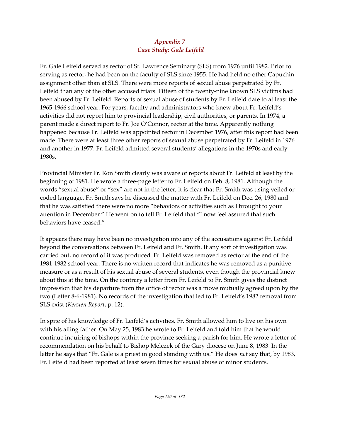## *Appendix 7 Case Study: Gale Leifeld*

Fr. Gale Leifeld served as rector of St. Lawrence Seminary (SLS) from 1976 until 1982. Prior to serving as rector, he had been on the faculty of SLS since 1955. He had held no other Capuchin assignment other than at SLS. There were more reports of sexual abuse perpetrated by Fr. Leifeld than any of the other accused friars. Fifteen of the twenty-nine known SLS victims had been abused by Fr. Leifeld. Reports of sexual abuse of students by Fr. Leifeld date to at least the 1965-1966 school year. For years, faculty and administrators who knew about Fr. Leifeld's activities did not report him to provincial leadership, civil authorities, or parents. In 1974, a parent made a direct report to Fr. Joe O'Connor, rector at the time. Apparently nothing happened because Fr. Leifeld was appointed rector in December 1976, after this report had been made. There were at least three other reports of sexual abuse perpetrated by Fr. Leifeld in 1976 and another in 1977. Fr. Leifeld admitted several students' allegations in the 1970s and early 1980s.

Provincial Minister Fr. Ron Smith clearly was aware of reports about Fr. Leifeld at least by the beginning of 1981. He wrote a three-page letter to Fr. Leifeld on Feb. 8, 1981. Although the words "sexual abuse" or "sex" are not in the letter, it is clear that Fr. Smith was using veiled or coded language. Fr. Smith says he discussed the matter with Fr. Leifeld on Dec. 26, 1980 and that he was satisfied there were no more "behaviors or activities such as I brought to your attention in December." He went on to tell Fr. Leifeld that "I now feel assured that such behaviors have ceased."

It appears there may have been no investigation into any of the accusations against Fr. Leifeld beyond the conversations between Fr. Leifeld and Fr. Smith. If any sort of investigation was carried out, no record of it was produced. Fr. Leifeld was removed as rector at the end of the 1981-1982 school year. There is no written record that indicates he was removed as a punitive measure or as a result of his sexual abuse of several students, even though the provincial knew about this at the time. On the contrary a letter from Fr. Leifeld to Fr. Smith gives the distinct impression that his departure from the office of rector was a move mutually agreed upon by the two (Letter 8-6-1981). No records of the investigation that led to Fr. Leifeld's 1982 removal from SLS exist (*Kersten Report*, p. 12).

In spite of his knowledge of Fr. Leifeld's activities, Fr. Smith allowed him to live on his own with his ailing father. On May 25, 1983 he wrote to Fr. Leifeld and told him that he would continue inquiring of bishops within the province seeking a parish for him. He wrote a letter of recommendation on his behalf to Bishop Melczek of the Gary diocese on June 8, 1983. In the letter he says that "Fr. Gale is a priest in good standing with us." He does *not* say that, by 1983, Fr. Leifeld had been reported at least seven times for sexual abuse of minor students.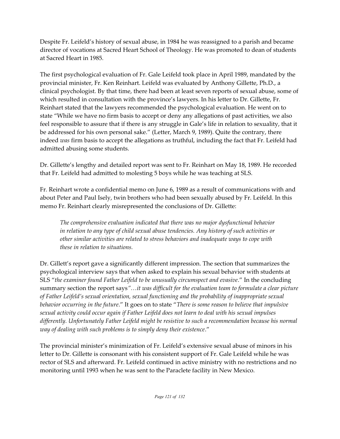Despite Fr. Leifeld's history of sexual abuse, in 1984 he was reassigned to a parish and became director of vocations at Sacred Heart School of Theology. He was promoted to dean of students at Sacred Heart in 1985.

The first psychological evaluation of Fr. Gale Leifeld took place in April 1989, mandated by the provincial minister, Fr. Ken Reinhart. Leifeld was evaluated by Anthony Gillette, Ph.D., a clinical psychologist. By that time, there had been at least seven reports of sexual abuse, some of which resulted in consultation with the province's lawyers. In his letter to Dr. Gillette, Fr. Reinhart stated that the lawyers recommended the psychological evaluation. He went on to state "While we have no firm basis to accept or deny any allegations of past activities, we also feel responsible to assure that if there is any struggle in Gale's life in relation to sexuality, that it be addressed for his own personal sake." (Letter, March 9, 1989). Quite the contrary, there indeed *was* firm basis to accept the allegations as truthful, including the fact that Fr. Leifeld had admitted abusing some students.

Dr. Gillette's lengthy and detailed report was sent to Fr. Reinhart on May 18, 1989. He recorded that Fr. Leifeld had admitted to molesting 5 boys while he was teaching at SLS.

Fr. Reinhart wrote a confidential memo on June 6, 1989 as a result of communications with and about Peter and Paul Isely, twin brothers who had been sexually abused by Fr. Leifeld. In this memo Fr. Reinhart clearly misrepresented the conclusions of Dr. Gillette:

*The comprehensive evaluation indicated that there was no major dysfunctional behavior in relation to any type of child sexual abuse tendencies. Any history of such activities or other similar activities are related to stress behaviors and inadequate ways to cope with these in relation to situations.*

Dr. Gillett's report gave a significantly different impression. The section that summarizes the psychological interview says that when asked to explain his sexual behavior with students at SLS "*the examiner found Father Leifeld to be unusually circumspect and evasive*." In the concluding summary section the report says*"…it was difficult for the evaluation team to formulate a clear picture of Father Leifeld's sexual orientation, sexual functioning and the probability of inappropriate sexual behavior occurring in the future*." It goes on to state "*There is some reason to believe that impulsive sexual activity could occur again if Father Leifeld does not learn to deal with his sexual impulses differently. Unfortunately Father Leifeld might be resistive to such a recommendation because his normal way of dealing with such problems is to simply deny their existence*."

The provincial minister's minimization of Fr. Leifeld's extensive sexual abuse of minors in his letter to Dr. Gillette is consonant with his consistent support of Fr. Gale Leifeld while he was rector of SLS and afterward. Fr. Leifeld continued in active ministry with no restrictions and no monitoring until 1993 when he was sent to the Paraclete facility in New Mexico.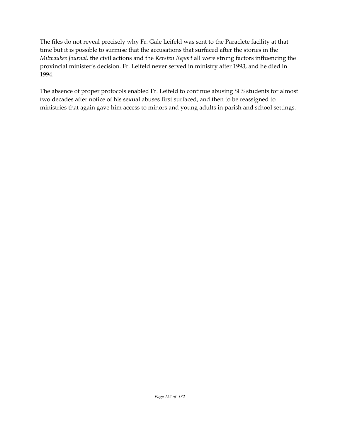The files do not reveal precisely why Fr. Gale Leifeld was sent to the Paraclete facility at that time but it is possible to surmise that the accusations that surfaced after the stories in the *Milwaukee Journal,* the civil actions and the *Kersten Report* all were strong factors influencing the provincial minister's decision. Fr. Leifeld never served in ministry after 1993, and he died in 1994.

The absence of proper protocols enabled Fr. Leifeld to continue abusing SLS students for almost two decades after notice of his sexual abuses first surfaced, and then to be reassigned to ministries that again gave him access to minors and young adults in parish and school settings.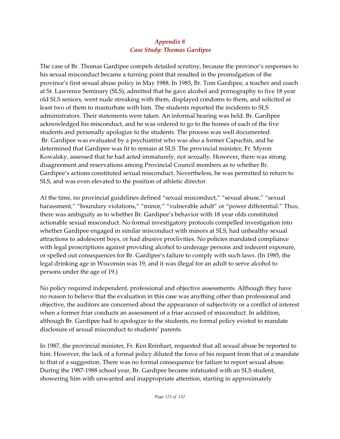## *Appendix 8 Case Study: Thomas Gardipee*

The case of Br. Thomas Gardipee compels detailed scrutiny, because the province's responses to his sexual misconduct became a turning point that resulted in the promulgation of the province's first sexual abuse policy in May 1988. In 1985, Br. Tom Gardipee, a teacher and coach at St. Lawrence Seminary (SLS), admitted that he gave alcohol and pornography to five 18 year old SLS seniors, went nude streaking with them, displayed condoms to them, and solicited at least two of them to masturbate with him. The students reported the incidents to SLS administrators. Their statements were taken. An informal hearing was held. Br. Gardipee acknowledged his misconduct, and he was ordered to go to the homes of each of the five students and personally apologize to the students. The process was well documented. Br. Gardipee was evaluated by a psychiatrist who was also a former Capuchin, and he determined that Gardipee was fit to remain at SLS. The provincial minister, Fr. Myron Kowalsky, assessed that he had acted immaturely, not sexually. However, there was strong disagreement and reservations among Provincial Council members as to whether Br. Gardipee's actions constituted sexual misconduct. Nevertheless, he was permitted to return to SLS, and was even elevated to the position of athletic director.

At the time, no provincial guidelines defined "sexual misconduct," "sexual abuse," "sexual harassment," "boundary violations," "minor," "vulnerable adult" or "power differential." Thus, there was ambiguity as to whether Br. Gardipee's behavior with 18 year olds constituted actionable sexual misconduct. No formal investigatory protocols compelled investigation into whether Gardipee engaged in similar misconduct with minors at SLS, had unhealthy sexual attractions to adolescent boys, or had abusive proclivities. No policies mandated compliance with legal proscriptions against providing alcohol to underage persons and indecent exposure, or spelled out consequences for Br. Gardipee's failure to comply with such laws. (In 1985, the legal drinking age in Wisconsin was 19, and it was illegal for an adult to serve alcohol to persons under the age of 19.)

No policy required independent, professional and objective assessments. Although they have no reason to believe that the evaluation in this case was anything other than professional and objective, the auditors are concerned about the appearance of subjectivity or a conflict of interest when a former friar conducts an assessment of a friar accused of misconduct. In addition, although Br. Gardipee had to apologize to the students, no formal policy existed to mandate disclosure of sexual misconduct to students' parents.

In 1987, the provincial minister, Fr. Ken Reinhart, requested that all sexual abuse be reported to him. However, the lack of a formal policy diluted the force of his request from that of a mandate to that of a suggestion. There was no formal consequence for failure to report sexual abuse. During the 1987-1988 school year, Br. Gardipee became infatuated with an SLS student, showering him with unwanted and inappropriate attention, starting in approximately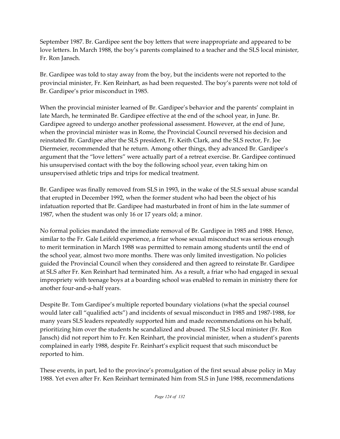September 1987. Br. Gardipee sent the boy letters that were inappropriate and appeared to be love letters. In March 1988, the boy's parents complained to a teacher and the SLS local minister, Fr. Ron Jansch.

Br. Gardipee was told to stay away from the boy, but the incidents were not reported to the provincial minister, Fr. Ken Reinhart, as had been requested. The boy's parents were not told of Br. Gardipee's prior misconduct in 1985.

When the provincial minister learned of Br. Gardipee's behavior and the parents' complaint in late March, he terminated Br. Gardipee effective at the end of the school year, in June. Br. Gardipee agreed to undergo another professional assessment. However, at the end of June, when the provincial minister was in Rome, the Provincial Council reversed his decision and reinstated Br. Gardipee after the SLS president, Fr. Keith Clark, and the SLS rector, Fr. Joe Diermeier, recommended that he return. Among other things, they advanced Br. Gardipee's argument that the "love letters" were actually part of a retreat exercise. Br. Gardipee continued his unsupervised contact with the boy the following school year, even taking him on unsupervised athletic trips and trips for medical treatment.

Br. Gardipee was finally removed from SLS in 1993, in the wake of the SLS sexual abuse scandal that erupted in December 1992, when the former student who had been the object of his infatuation reported that Br. Gardipee had masturbated in front of him in the late summer of 1987, when the student was only 16 or 17 years old; a minor.

No formal policies mandated the immediate removal of Br. Gardipee in 1985 and 1988. Hence, similar to the Fr. Gale Leifeld experience, a friar whose sexual misconduct was serious enough to merit termination in March 1988 was permitted to remain among students until the end of the school year, almost two more months. There was only limited investigation. No policies guided the Provincial Council when they considered and then agreed to reinstate Br. Gardipee at SLS after Fr. Ken Reinhart had terminated him. As a result, a friar who had engaged in sexual impropriety with teenage boys at a boarding school was enabled to remain in ministry there for another four-and-a-half years.

Despite Br. Tom Gardipee's multiple reported boundary violations (what the special counsel would later call "qualified acts") and incidents of sexual misconduct in 1985 and 1987-1988, for many years SLS leaders repeatedly supported him and made recommendations on his behalf, prioritizing him over the students he scandalized and abused. The SLS local minister (Fr. Ron Jansch) did not report him to Fr. Ken Reinhart, the provincial minister, when a student's parents complained in early 1988, despite Fr. Reinhart's explicit request that such misconduct be reported to him.

These events, in part, led to the province's promulgation of the first sexual abuse policy in May 1988. Yet even after Fr. Ken Reinhart terminated him from SLS in June 1988, recommendations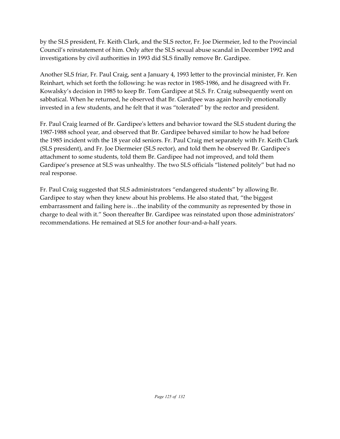by the SLS president, Fr. Keith Clark, and the SLS rector, Fr. Joe Diermeier, led to the Provincial Council's reinstatement of him. Only after the SLS sexual abuse scandal in December 1992 and investigations by civil authorities in 1993 did SLS finally remove Br. Gardipee.

Another SLS friar, Fr. Paul Craig, sent a January 4, 1993 letter to the provincial minister, Fr. Ken Reinhart, which set forth the following: he was rector in 1985-1986, and he disagreed with Fr. Kowalsky's decision in 1985 to keep Br. Tom Gardipee at SLS. Fr. Craig subsequently went on sabbatical. When he returned, he observed that Br. Gardipee was again heavily emotionally invested in a few students, and he felt that it was "tolerated" by the rector and president.

Fr. Paul Craig learned of Br. Gardipee's letters and behavior toward the SLS student during the 1987-1988 school year, and observed that Br. Gardipee behaved similar to how he had before the 1985 incident with the 18 year old seniors. Fr. Paul Craig met separately with Fr. Keith Clark (SLS president), and Fr. Joe Diermeier (SLS rector), and told them he observed Br. Gardipee's attachment to some students, told them Br. Gardipee had not improved, and told them Gardipee's presence at SLS was unhealthy. The two SLS officials "listened politely" but had no real response.

Fr. Paul Craig suggested that SLS administrators "endangered students" by allowing Br. Gardipee to stay when they knew about his problems. He also stated that, "the biggest embarrassment and failing here is…the inability of the community as represented by those in charge to deal with it." Soon thereafter Br. Gardipee was reinstated upon those administrators' recommendations. He remained at SLS for another four-and-a-half years.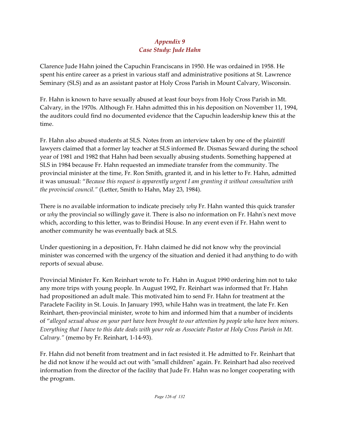## *Appendix 9 Case Study: Jude Hahn*

Clarence Jude Hahn joined the Capuchin Franciscans in 1950. He was ordained in 1958. He spent his entire career as a priest in various staff and administrative positions at St. Lawrence Seminary (SLS) and as an assistant pastor at Holy Cross Parish in Mount Calvary, Wisconsin.

Fr. Hahn is known to have sexually abused at least four boys from Holy Cross Parish in Mt. Calvary, in the 1970s. Although Fr. Hahn admitted this in his deposition on November 11, 1994, the auditors could find no documented evidence that the Capuchin leadership knew this at the time.

Fr. Hahn also abused students at SLS. Notes from an interview taken by one of the plaintiff lawyers claimed that a former lay teacher at SLS informed Br. Dismas Seward during the school year of 1981 and 1982 that Hahn had been sexually abusing students. Something happened at SLS in 1984 because Fr. Hahn requested an immediate transfer from the community. The provincial minister at the time, Fr. Ron Smith, granted it, and in his letter to Fr. Hahn, admitted it was unusual: "*Because this request is apparently urgent I am granting it without consultation with the provincial council."* (Letter, Smith to Hahn, May 23, 1984).

There is no available information to indicate precisely *why* Fr. Hahn wanted this quick transfer or *why* the provincial so willingly gave it. There is also no information on Fr. Hahn's next move which, according to this letter, was to Brindisi House. In any event even if Fr. Hahn went to another community he was eventually back at SLS.

Under questioning in a deposition, Fr. Hahn claimed he did not know why the provincial minister was concerned with the urgency of the situation and denied it had anything to do with reports of sexual abuse.

Provincial Minister Fr. Ken Reinhart wrote to Fr. Hahn in August 1990 ordering him not to take any more trips with young people. In August 1992, Fr. Reinhart was informed that Fr. Hahn had propositioned an adult male. This motivated him to send Fr. Hahn for treatment at the Paraclete Facility in St. Louis. In January 1993, while Hahn was in treatment, the late Fr. Ken Reinhart, then-provincial minister, wrote to him and informed him that a number of incidents of "*alleged sexual abuse on your part have been brought to our attention by people who have been minors. Everything that I have to this date deals with your role as Associate Pastor at Holy Cross Parish in Mt. Calvary."* (memo by Fr. Reinhart, 1-14-93).

Fr. Hahn did not benefit from treatment and in fact resisted it. He admitted to Fr. Reinhart that he did not know if he would act out with "small children" again. Fr. Reinhart had also received information from the director of the facility that Jude Fr. Hahn was no longer cooperating with the program.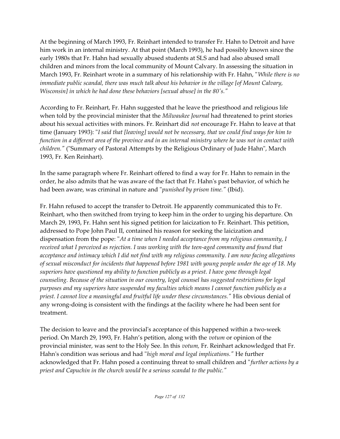At the beginning of March 1993, Fr. Reinhart intended to transfer Fr. Hahn to Detroit and have him work in an internal ministry. At that point (March 1993), he had possibly known since the early 1980s that Fr. Hahn had sexually abused students at SLS and had also abused small children and minors from the local community of Mount Calvary. In assessing the situation in March 1993, Fr. Reinhart wrote in a summary of his relationship with Fr. Hahn, "*While there is no immediate public scandal, there was much talk about his behavior in the village [of Mount Calvary, Wisconsin] in which he had done these behaviors [sexual abuse] in the 80's."*

According to Fr. Reinhart, Fr. Hahn suggested that he leave the priesthood and religious life when told by the provincial minister that the *Milwaukee Journal* had threatened to print stories about his sexual activities with minors. Fr. Reinhart did *not* encourage Fr. Hahn to leave at that time (January 1993): "*I said that [leaving] would not be necessary, that we could find ways for him to function in a different area of the province and in an internal ministry where he was not in contact with children."* ("Summary of Pastoral Attempts by the Religious Ordinary of Jude Hahn", March 1993, Fr. Ken Reinhart).

In the same paragraph where Fr. Reinhart offered to find a way for Fr. Hahn to remain in the order, he also admits that he was aware of the fact that Fr. Hahn's past behavior, of which he had been aware, was criminal in nature and "*punished by prison time."* (Ibid).

Fr. Hahn refused to accept the transfer to Detroit. He apparently communicated this to Fr. Reinhart, who then switched from trying to keep him in the order to urging his departure. On March 29, 1993, Fr. Hahn sent his signed petition for laicization to Fr. Reinhart. This petition, addressed to Pope John Paul II, contained his reason for seeking the laicization and dispensation from the pope: "*At a time when I needed acceptance from my religious community, I received what I perceived as rejection. I was working with the teen-aged community and found that acceptance and intimacy which I did not find with my religious community. I am now facing allegations of sexual misconduct for incidents that happened before 1981 with young people under the age of 18. My superiors have questioned my ability to function publicly as a priest. I have gone through legal counseling. Because of the situation in our country, legal counsel has suggested restrictions for legal purposes and my superiors have suspended my faculties which means I cannot function publicly as a priest. I cannot live a meaningful and fruitful life under these circumstances."* His obvious denial of any wrong-doing is consistent with the findings at the facility where he had been sent for treatment.

The decision to leave and the provincial's acceptance of this happened within a two-week period. On March 29, 1993, Fr. Hahn's petition, along with the *votum* or opinion of the provincial minister, was sent to the Holy See. In this *votum,* Fr. Reinhart acknowledged that Fr. Hahn's condition was serious and had "*high moral and legal implications."* He further acknowledged that Fr. Hahn posed a continuing threat to small children and "*further actions by a priest and Capuchin in the church would be a serious scandal to the public."*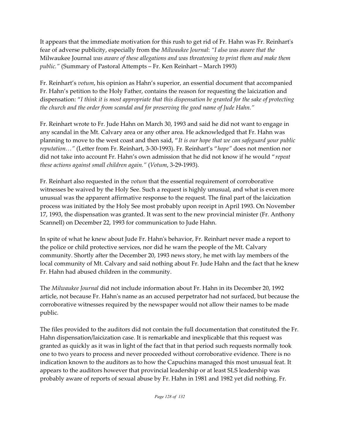It appears that the immediate motivation for this rush to get rid of Fr. Hahn was Fr. Reinhart's fear of adverse publicity, especially from the *Milwaukee Journal*: *"I also was aware that the* Milwaukee Journal *was aware of these allegations and was threatening to print them and make them public."* (Summary of Pastoral Attempts – Fr. Ken Reinhart – March 1993)

Fr. Reinhart's *votum*, his opinion as Hahn's superior, an essential document that accompanied Fr. Hahn's petition to the Holy Father, contains the reason for requesting the laicization and dispensation: "*I think it is most appropriate that this dispensation be granted for the sake of protecting the church and the order from scandal and for preserving the good name of Jude Hahn."* 

Fr. Reinhart wrote to Fr. Jude Hahn on March 30, 1993 and said he did not want to engage in any scandal in the Mt. Calvary area or any other area. He acknowledged that Fr. Hahn was planning to move to the west coast and then said, "*It is our hope that we can safeguard your public reputation…"* (Letter from Fr. Reinhart, 3-30-1993). Fr. Reinhart's "*hope"* does not mention nor did not take into account Fr. Hahn's own admission that he did not know if he would "*repeat these actions against small children again."* (*Votum*, 3-29-1993).

Fr. Reinhart also requested in the *votum* that the essential requirement of corroborative witnesses be waived by the Holy See. Such a request is highly unusual, and what is even more unusual was the apparent affirmative response to the request. The final part of the laicization process was initiated by the Holy See most probably upon receipt in April 1993. On November 17, 1993, the dispensation was granted. It was sent to the new provincial minister (Fr. Anthony Scannell) on December 22, 1993 for communication to Jude Hahn.

In spite of what he knew about Jude Fr. Hahn's behavior, Fr. Reinhart never made a report to the police or child protective services, nor did he warn the people of the Mt. Calvary community. Shortly after the December 20, 1993 news story, he met with lay members of the local community of Mt. Calvary and said nothing about Fr. Jude Hahn and the fact that he knew Fr. Hahn had abused children in the community.

The *Milwaukee Journal* did not include information about Fr. Hahn in its December 20, 1992 article, not because Fr. Hahn's name as an accused perpetrator had not surfaced, but because the corroborative witnesses required by the newspaper would not allow their names to be made public.

The files provided to the auditors did not contain the full documentation that constituted the Fr. Hahn dispensation/laicization case. It is remarkable and inexplicable that this request was granted as quickly as it was in light of the fact that in that period such requests normally took one to two years to process and never proceeded without corroborative evidence. There is no indication known to the auditors as to how the Capuchins managed this most unusual feat. It appears to the auditors however that provincial leadership or at least SLS leadership was probably aware of reports of sexual abuse by Fr. Hahn in 1981 and 1982 yet did nothing. Fr.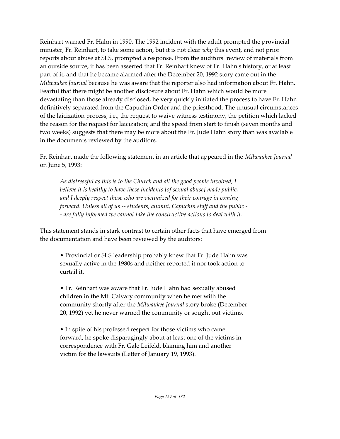Reinhart warned Fr. Hahn in 1990. The 1992 incident with the adult prompted the provincial minister, Fr. Reinhart, to take some action, but it is not clear *why* this event, and not prior reports about abuse at SLS, prompted a response. From the auditors' review of materials from an outside source, it has been asserted that Fr. Reinhart knew of Fr. Hahn's history, or at least part of it, and that he became alarmed after the December 20, 1992 story came out in the *Milwaukee Journal* because he was aware that the reporter also had information about Fr. Hahn. Fearful that there might be another disclosure about Fr. Hahn which would be more devastating than those already disclosed, he very quickly initiated the process to have Fr. Hahn definitively separated from the Capuchin Order and the priesthood. The unusual circumstances of the laicization process, i.e., the request to waive witness testimony, the petition which lacked the reason for the request for laicization; and the speed from start to finish (seven months and two weeks) suggests that there may be more about the Fr. Jude Hahn story than was available in the documents reviewed by the auditors.

Fr. Reinhart made the following statement in an article that appeared in the *Milwaukee Journal* on June 5, 1993:

*As distressful as this is to the Church and all the good people involved, I believe it is healthy to have these incidents [of sexual abuse] made public, and I deeply respect those who are victimized for their courage in coming forward. Unless all of us -- students, alumni, Capuchin staff and the public - - are fully informed we cannot take the constructive actions to deal with it.*

This statement stands in stark contrast to certain other facts that have emerged from the documentation and have been reviewed by the auditors:

• Provincial or SLS leadership probably knew that Fr. Jude Hahn was sexually active in the 1980s and neither reported it nor took action to curtail it.

• Fr. Reinhart was aware that Fr. Jude Hahn had sexually abused children in the Mt. Calvary community when he met with the community shortly after the *Milwaukee Journal* story broke (December 20, 1992) yet he never warned the community or sought out victims.

• In spite of his professed respect for those victims who came forward, he spoke disparagingly about at least one of the victims in correspondence with Fr. Gale Leifeld, blaming him and another victim for the lawsuits (Letter of January 19, 1993).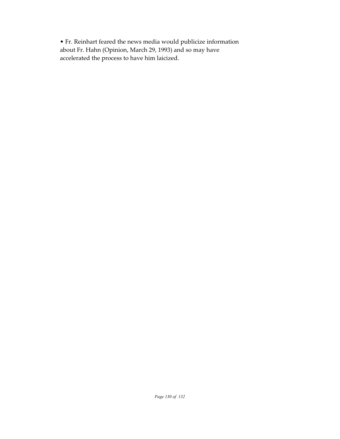• Fr. Reinhart feared the news media would publicize information about Fr. Hahn (Opinion, March 29, 1993) and so may have accelerated the process to have him laicized.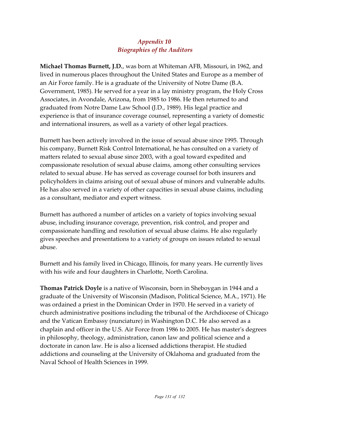### *Appendix 10 Biographies of the Auditors*

**Michael Thomas Burnett, J.D.**, was born at Whiteman AFB, Missouri, in 1962, and lived in numerous places throughout the United States and Europe as a member of an Air Force family. He is a graduate of the University of Notre Dame (B.A. Government, 1985). He served for a year in a lay ministry program, the Holy Cross Associates, in Avondale, Arizona, from 1985 to 1986. He then returned to and graduated from Notre Dame Law School (J.D., 1989). His legal practice and experience is that of insurance coverage counsel, representing a variety of domestic and international insurers, as well as a variety of other legal practices.

Burnett has been actively involved in the issue of sexual abuse since 1995. Through his company, Burnett Risk Control International, he has consulted on a variety of matters related to sexual abuse since 2003, with a goal toward expedited and compassionate resolution of sexual abuse claims, among other consulting services related to sexual abuse. He has served as coverage counsel for both insurers and policyholders in claims arising out of sexual abuse of minors and vulnerable adults. He has also served in a variety of other capacities in sexual abuse claims, including as a consultant, mediator and expert witness.

Burnett has authored a number of articles on a variety of topics involving sexual abuse, including insurance coverage, prevention, risk control, and proper and compassionate handling and resolution of sexual abuse claims. He also regularly gives speeches and presentations to a variety of groups on issues related to sexual abuse.

Burnett and his family lived in Chicago, Illinois, for many years. He currently lives with his wife and four daughters in Charlotte, North Carolina.

**Thomas Patrick Doyle** is a native of Wisconsin, born in Sheboygan in 1944 and a graduate of the University of Wisconsin (Madison, Political Science, M.A., 1971). He was ordained a priest in the Dominican Order in 1970. He served in a variety of church administrative positions including the tribunal of the Archdiocese of Chicago and the Vatican Embassy (nunciature) in Washington D.C. He also served as a chaplain and officer in the U.S. Air Force from 1986 to 2005. He has master's degrees in philosophy, theology, administration, canon law and political science and a doctorate in canon law. He is also a licensed addictions therapist. He studied addictions and counseling at the University of Oklahoma and graduated from the Naval School of Health Sciences in 1999.